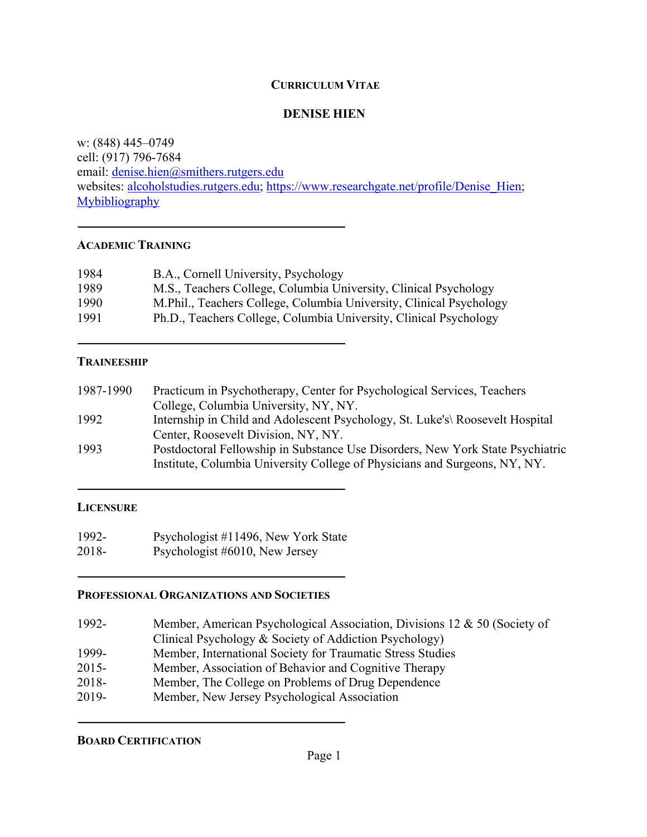### **CURRICULUM VITAE**

### **DENISE HIEN**

w: (848) 445–0749 cell: (917) 796-7684 email: denise.hien@smithers.rutgers.edu websites: alcoholstudies.rutgers.edu; https://www.researchgate.net/profile/Denise Hien; **Mybibliography** 

### **ACADEMIC TRAINING**

| 1984 | B.A., Cornell University, Psychology                                |
|------|---------------------------------------------------------------------|
| 1989 | M.S., Teachers College, Columbia University, Clinical Psychology    |
| 1990 | M.Phil., Teachers College, Columbia University, Clinical Psychology |
| 1991 | Ph.D., Teachers College, Columbia University, Clinical Psychology   |

## **TRAINEESHIP**

| Practicum in Psychotherapy, Center for Psychological Services, Teachers                                                                                      |
|--------------------------------------------------------------------------------------------------------------------------------------------------------------|
| College, Columbia University, NY, NY.                                                                                                                        |
| Internship in Child and Adolescent Psychology, St. Luke's Roosevelt Hospital                                                                                 |
| Center, Roosevelt Division, NY, NY.                                                                                                                          |
| Postdoctoral Fellowship in Substance Use Disorders, New York State Psychiatric<br>Institute, Columbia University College of Physicians and Surgeons, NY, NY. |
|                                                                                                                                                              |

#### **LICENSURE**

1992- Psychologist #11496, New York State 2018- Psychologist #6010, New Jersey

## **PROFESSIONAL ORGANIZATIONS AND SOCIETIES**

| 1992- | Member, American Psychological Association, Divisions 12 & 50 (Society of |
|-------|---------------------------------------------------------------------------|
|       | Clinical Psychology & Society of Addiction Psychology)                    |
| 1999- | Member, International Society for Traumatic Stress Studies                |
| 2015- | Member, Association of Behavior and Cognitive Therapy                     |
| 2018- | Member, The College on Problems of Drug Dependence                        |
| 2019- | Member, New Jersey Psychological Association                              |

**BOARD CERTIFICATION**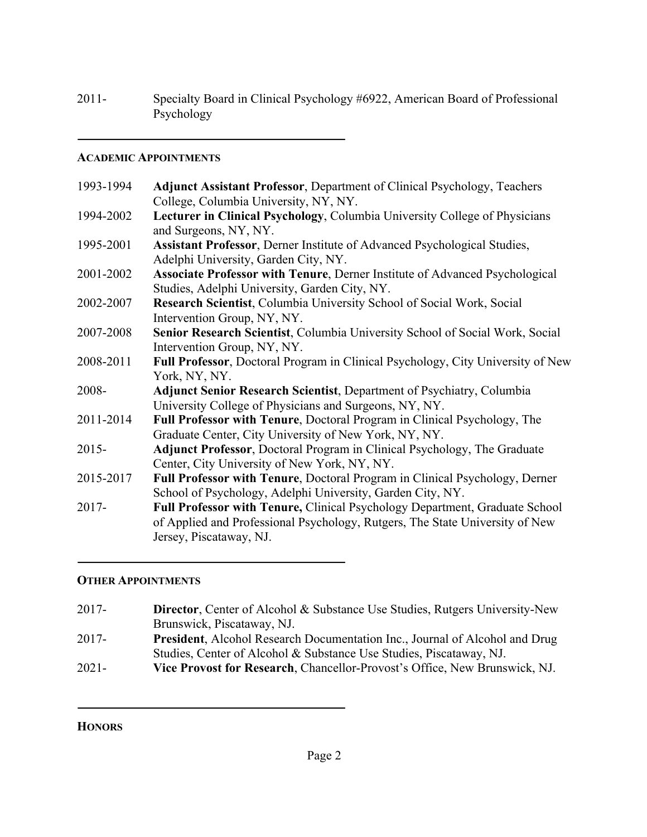# 2011- Specialty Board in Clinical Psychology #6922, American Board of Professional Psychology

### **ACADEMIC APPOINTMENTS**

| 1993-1994 | <b>Adjunct Assistant Professor, Department of Clinical Psychology, Teachers</b>                     |
|-----------|-----------------------------------------------------------------------------------------------------|
|           | College, Columbia University, NY, NY.                                                               |
| 1994-2002 | Lecturer in Clinical Psychology, Columbia University College of Physicians<br>and Surgeons, NY, NY. |
| 1995-2001 | Assistant Professor, Derner Institute of Advanced Psychological Studies,                            |
|           | Adelphi University, Garden City, NY.                                                                |
| 2001-2002 | <b>Associate Professor with Tenure, Derner Institute of Advanced Psychological</b>                  |
|           | Studies, Adelphi University, Garden City, NY.                                                       |
| 2002-2007 | Research Scientist, Columbia University School of Social Work, Social                               |
|           | Intervention Group, NY, NY.                                                                         |
| 2007-2008 | Senior Research Scientist, Columbia University School of Social Work, Social                        |
|           | Intervention Group, NY, NY.                                                                         |
| 2008-2011 | Full Professor, Doctoral Program in Clinical Psychology, City University of New                     |
|           | York, NY, NY.                                                                                       |
| 2008-     | <b>Adjunct Senior Research Scientist</b> , Department of Psychiatry, Columbia                       |
|           | University College of Physicians and Surgeons, NY, NY.                                              |
| 2011-2014 | Full Professor with Tenure, Doctoral Program in Clinical Psychology, The                            |
|           | Graduate Center, City University of New York, NY, NY.                                               |
| $2015 -$  | <b>Adjunct Professor, Doctoral Program in Clinical Psychology, The Graduate</b>                     |
|           | Center, City University of New York, NY, NY.                                                        |
| 2015-2017 | Full Professor with Tenure, Doctoral Program in Clinical Psychology, Derner                         |
|           | School of Psychology, Adelphi University, Garden City, NY.                                          |
| 2017-     | Full Professor with Tenure, Clinical Psychology Department, Graduate School                         |
|           | of Applied and Professional Psychology, Rutgers, The State University of New                        |
|           | Jersey, Piscataway, NJ.                                                                             |
|           |                                                                                                     |

# **OTHER APPOINTMENTS**

- 2017- **Director**, Center of Alcohol & Substance Use Studies, Rutgers University-New Brunswick, Piscataway, NJ.
- 2017- **President**, Alcohol Research Documentation Inc., Journal of Alcohol and Drug Studies, Center of Alcohol & Substance Use Studies, Piscataway, NJ.
- 2021- **Vice Provost for Research**, Chancellor-Provost's Office, New Brunswick, NJ.

**HONORS**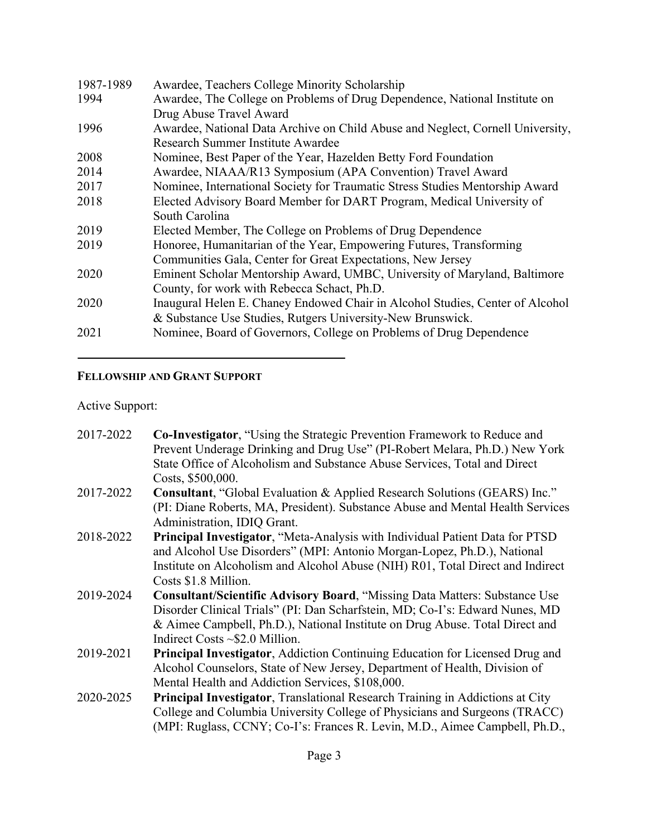| 1987-1989 | Awardee, Teachers College Minority Scholarship                                 |
|-----------|--------------------------------------------------------------------------------|
| 1994      | Awardee, The College on Problems of Drug Dependence, National Institute on     |
|           | Drug Abuse Travel Award                                                        |
| 1996      | Awardee, National Data Archive on Child Abuse and Neglect, Cornell University, |
|           | Research Summer Institute Awardee                                              |
| 2008      | Nominee, Best Paper of the Year, Hazelden Betty Ford Foundation                |
| 2014      | Awardee, NIAAA/R13 Symposium (APA Convention) Travel Award                     |
| 2017      | Nominee, International Society for Traumatic Stress Studies Mentorship Award   |
| 2018      | Elected Advisory Board Member for DART Program, Medical University of          |
|           | South Carolina                                                                 |
| 2019      | Elected Member, The College on Problems of Drug Dependence                     |
| 2019      | Honoree, Humanitarian of the Year, Empowering Futures, Transforming            |
|           | Communities Gala, Center for Great Expectations, New Jersey                    |
| 2020      | Eminent Scholar Mentorship Award, UMBC, University of Maryland, Baltimore      |
|           | County, for work with Rebecca Schact, Ph.D.                                    |
| 2020      | Inaugural Helen E. Chaney Endowed Chair in Alcohol Studies, Center of Alcohol  |
|           | & Substance Use Studies, Rutgers University-New Brunswick.                     |
| 2021      | Nominee, Board of Governors, College on Problems of Drug Dependence            |

# **FELLOWSHIP AND GRANT SUPPORT**

Active Support:

| 2017-2022 | <b>Co-Investigator, "Using the Strategic Prevention Framework to Reduce and</b>      |
|-----------|--------------------------------------------------------------------------------------|
|           | Prevent Underage Drinking and Drug Use" (PI-Robert Melara, Ph.D.) New York           |
|           | State Office of Alcoholism and Substance Abuse Services, Total and Direct            |
|           | Costs, \$500,000.                                                                    |
| 2017-2022 | Consultant, "Global Evaluation & Applied Research Solutions (GEARS) Inc."            |
|           | (PI: Diane Roberts, MA, President). Substance Abuse and Mental Health Services       |
|           | Administration, IDIQ Grant.                                                          |
| 2018-2022 | Principal Investigator, "Meta-Analysis with Individual Patient Data for PTSD         |
|           | and Alcohol Use Disorders" (MPI: Antonio Morgan-Lopez, Ph.D.), National              |
|           | Institute on Alcoholism and Alcohol Abuse (NIH) R01, Total Direct and Indirect       |
|           | Costs \$1.8 Million.                                                                 |
| 2019-2024 | <b>Consultant/Scientific Advisory Board, "Missing Data Matters: Substance Use</b>    |
|           | Disorder Clinical Trials" (PI: Dan Scharfstein, MD; Co-I's: Edward Nunes, MD         |
|           | & Aimee Campbell, Ph.D.), National Institute on Drug Abuse. Total Direct and         |
|           | Indirect Costs $\sim$ \$2.0 Million.                                                 |
| 2019-2021 | <b>Principal Investigator, Addiction Continuing Education for Licensed Drug and</b>  |
|           | Alcohol Counselors, State of New Jersey, Department of Health, Division of           |
|           | Mental Health and Addiction Services, \$108,000.                                     |
| 2020-2025 | <b>Principal Investigator, Translational Research Training in Addictions at City</b> |
|           | College and Columbia University College of Physicians and Surgeons (TRACC)           |
|           | (MPI: Ruglass, CCNY; Co-I's: Frances R. Levin, M.D., Aimee Campbell, Ph.D.,          |
|           |                                                                                      |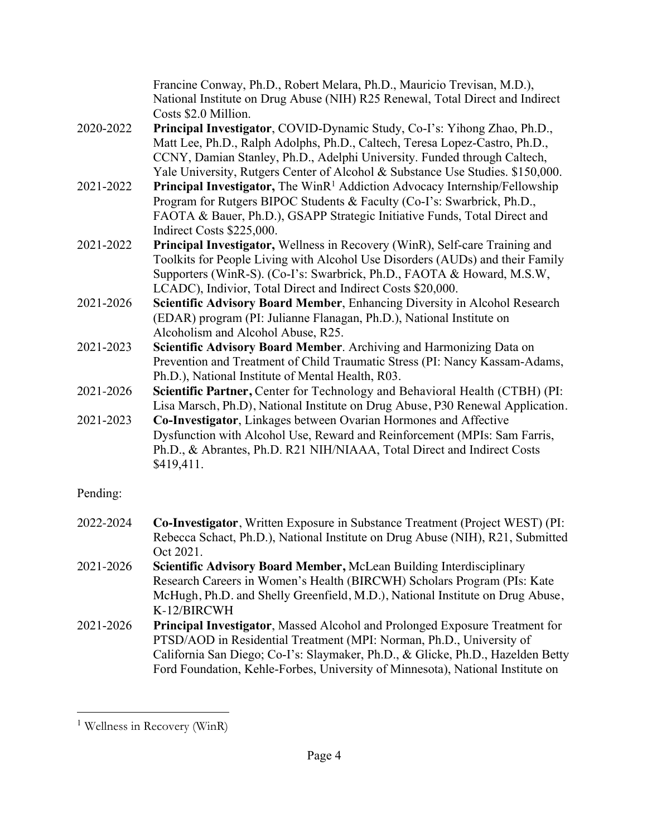|           | Francine Conway, Ph.D., Robert Melara, Ph.D., Mauricio Trevisan, M.D.),<br>National Institute on Drug Abuse (NIH) R25 Renewal, Total Direct and Indirect<br>Costs \$2.0 Million.                                                                                                                                         |
|-----------|--------------------------------------------------------------------------------------------------------------------------------------------------------------------------------------------------------------------------------------------------------------------------------------------------------------------------|
| 2020-2022 | Principal Investigator, COVID-Dynamic Study, Co-I's: Yihong Zhao, Ph.D.,<br>Matt Lee, Ph.D., Ralph Adolphs, Ph.D., Caltech, Teresa Lopez-Castro, Ph.D.,<br>CCNY, Damian Stanley, Ph.D., Adelphi University. Funded through Caltech,<br>Yale University, Rutgers Center of Alcohol & Substance Use Studies. \$150,000.    |
| 2021-2022 | Principal Investigator, The WinR <sup>1</sup> Addiction Advocacy Internship/Fellowship<br>Program for Rutgers BIPOC Students & Faculty (Co-I's: Swarbrick, Ph.D.,<br>FAOTA & Bauer, Ph.D.), GSAPP Strategic Initiative Funds, Total Direct and<br>Indirect Costs \$225,000.                                              |
| 2021-2022 | <b>Principal Investigator, Wellness in Recovery (WinR), Self-care Training and</b><br>Toolkits for People Living with Alcohol Use Disorders (AUDs) and their Family<br>Supporters (WinR-S). (Co-I's: Swarbrick, Ph.D., FAOTA & Howard, M.S.W,<br>LCADC), Indivior, Total Direct and Indirect Costs \$20,000.             |
| 2021-2026 | Scientific Advisory Board Member, Enhancing Diversity in Alcohol Research<br>(EDAR) program (PI: Julianne Flanagan, Ph.D.), National Institute on<br>Alcoholism and Alcohol Abuse, R25.                                                                                                                                  |
| 2021-2023 | Scientific Advisory Board Member. Archiving and Harmonizing Data on<br>Prevention and Treatment of Child Traumatic Stress (PI: Nancy Kassam-Adams,<br>Ph.D.), National Institute of Mental Health, R03.                                                                                                                  |
| 2021-2026 | Scientific Partner, Center for Technology and Behavioral Health (CTBH) (PI:<br>Lisa Marsch, Ph.D), National Institute on Drug Abuse, P30 Renewal Application.                                                                                                                                                            |
| 2021-2023 | Co-Investigator, Linkages between Ovarian Hormones and Affective<br>Dysfunction with Alcohol Use, Reward and Reinforcement (MPIs: Sam Farris,<br>Ph.D., & Abrantes, Ph.D. R21 NIH/NIAAA, Total Direct and Indirect Costs<br>\$419,411.                                                                                   |
| Pending:  |                                                                                                                                                                                                                                                                                                                          |
| 2022-2024 | Co-Investigator, Written Exposure in Substance Treatment (Project WEST) (PI:<br>Rebecca Schact, Ph.D.), National Institute on Drug Abuse (NIH), R21, Submitted<br>Oct 2021.                                                                                                                                              |
| 2021-2026 | Scientific Advisory Board Member, McLean Building Interdisciplinary<br>Research Careers in Women's Health (BIRCWH) Scholars Program (PIs: Kate<br>McHugh, Ph.D. and Shelly Greenfield, M.D.), National Institute on Drug Abuse,<br>K-12/BIRCWH                                                                           |
| 2021-2026 | Principal Investigator, Massed Alcohol and Prolonged Exposure Treatment for<br>PTSD/AOD in Residential Treatment (MPI: Norman, Ph.D., University of<br>California San Diego; Co-I's: Slaymaker, Ph.D., & Glicke, Ph.D., Hazelden Betty<br>Ford Foundation, Kehle-Forbes, University of Minnesota), National Institute on |

<sup>&</sup>lt;sup>1</sup> Wellness in Recovery (WinR)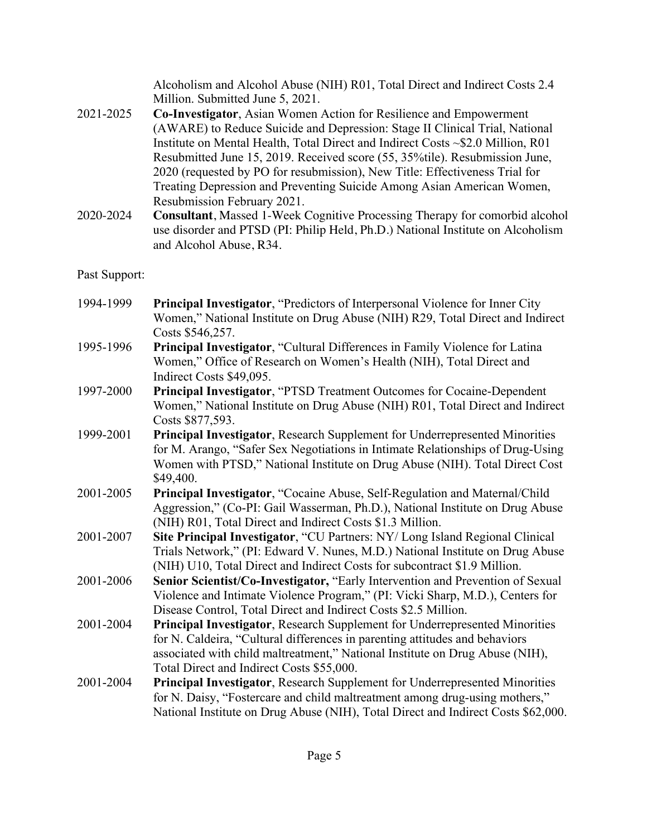Alcoholism and Alcohol Abuse (NIH) R01, Total Direct and Indirect Costs 2.4 Million. Submitted June 5, 2021.

- 2021-2025 **Co-Investigator**, Asian Women Action for Resilience and Empowerment (AWARE) to Reduce Suicide and Depression: Stage II Clinical Trial, National Institute on Mental Health, Total Direct and Indirect Costs ~\$2.0 Million, R01 Resubmitted June 15, 2019. Received score (55, 35%tile). Resubmission June, 2020 (requested by PO for resubmission), New Title: Effectiveness Trial for Treating Depression and Preventing Suicide Among Asian American Women, Resubmission February 2021.
- 2020-2024 **Consultant**, Massed 1-Week Cognitive Processing Therapy for comorbid alcohol use disorder and PTSD (PI: Philip Held, Ph.D.) National Institute on Alcoholism and Alcohol Abuse, R34.

## Past Support:

- 1994-1999 **Principal Investigator**, "Predictors of Interpersonal Violence for Inner City Women," National Institute on Drug Abuse (NIH) R29, Total Direct and Indirect Costs \$546,257.
- 1995-1996 **Principal Investigator**, "Cultural Differences in Family Violence for Latina Women," Office of Research on Women's Health (NIH), Total Direct and Indirect Costs \$49,095.
- 1997-2000 **Principal Investigator**, "PTSD Treatment Outcomes for Cocaine-Dependent Women," National Institute on Drug Abuse (NIH) R01, Total Direct and Indirect Costs \$877,593.
- 1999-2001 **Principal Investigator**, Research Supplement for Underrepresented Minorities for M. Arango, "Safer Sex Negotiations in Intimate Relationships of Drug-Using Women with PTSD," National Institute on Drug Abuse (NIH). Total Direct Cost \$49,400.
- 2001-2005 **Principal Investigator**, "Cocaine Abuse, Self-Regulation and Maternal/Child Aggression," (Co-PI: Gail Wasserman, Ph.D.), National Institute on Drug Abuse (NIH) R01, Total Direct and Indirect Costs \$1.3 Million.
- 2001-2007 **Site Principal Investigator**, "CU Partners: NY/ Long Island Regional Clinical Trials Network," (PI: Edward V. Nunes, M.D.) National Institute on Drug Abuse (NIH) U10, Total Direct and Indirect Costs for subcontract \$1.9 Million.
- 2001-2006 **Senior Scientist/Co-Investigator,** "Early Intervention and Prevention of Sexual Violence and Intimate Violence Program," (PI: Vicki Sharp, M.D.), Centers for Disease Control, Total Direct and Indirect Costs \$2.5 Million.
- 2001-2004 **Principal Investigator**, Research Supplement for Underrepresented Minorities for N. Caldeira, "Cultural differences in parenting attitudes and behaviors associated with child maltreatment," National Institute on Drug Abuse (NIH), Total Direct and Indirect Costs \$55,000.
- 2001-2004 **Principal Investigator**, Research Supplement for Underrepresented Minorities for N. Daisy, "Fostercare and child maltreatment among drug-using mothers," National Institute on Drug Abuse (NIH), Total Direct and Indirect Costs \$62,000.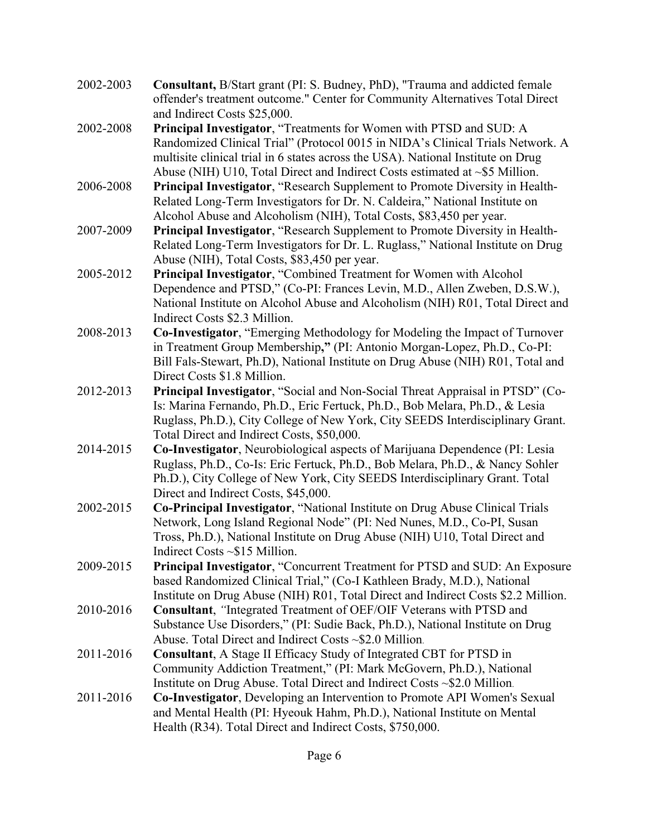- 2002-2003 **Consultant,** B/Start grant (PI: S. Budney, PhD), "Trauma and addicted female offender's treatment outcome." Center for Community Alternatives Total Direct and Indirect Costs \$25,000.
- 2002-2008 **Principal Investigator**, "Treatments for Women with PTSD and SUD: A Randomized Clinical Trial" (Protocol 0015 in NIDA's Clinical Trials Network. A multisite clinical trial in 6 states across the USA). National Institute on Drug Abuse (NIH) U10, Total Direct and Indirect Costs estimated at ~\$5 Million.
- 2006-2008 **Principal Investigator**, "Research Supplement to Promote Diversity in Health-Related Long-Term Investigators for Dr. N. Caldeira," National Institute on Alcohol Abuse and Alcoholism (NIH), Total Costs, \$83,450 per year.
- 2007-2009 **Principal Investigator**, "Research Supplement to Promote Diversity in Health-Related Long-Term Investigators for Dr. L. Ruglass," National Institute on Drug Abuse (NIH), Total Costs, \$83,450 per year.
- 2005-2012 **Principal Investigator**, "Combined Treatment for Women with Alcohol Dependence and PTSD," (Co-PI: Frances Levin, M.D., Allen Zweben, D.S.W.), National Institute on Alcohol Abuse and Alcoholism (NIH) R01, Total Direct and Indirect Costs \$2.3 Million.
- 2008-2013 **Co-Investigator**, "Emerging Methodology for Modeling the Impact of Turnover in Treatment Group Membership**,"** (PI: Antonio Morgan-Lopez, Ph.D., Co-PI: Bill Fals-Stewart, Ph.D), National Institute on Drug Abuse (NIH) R01, Total and Direct Costs \$1.8 Million.
- 2012-2013 **Principal Investigator**, "Social and Non-Social Threat Appraisal in PTSD" (Co-Is: Marina Fernando, Ph.D., Eric Fertuck, Ph.D., Bob Melara, Ph.D., & Lesia Ruglass, Ph.D.), City College of New York, City SEEDS Interdisciplinary Grant. Total Direct and Indirect Costs, \$50,000.
- 2014-2015 **Co-Investigator**, Neurobiological aspects of Marijuana Dependence (PI: Lesia Ruglass, Ph.D., Co-Is: Eric Fertuck, Ph.D., Bob Melara, Ph.D., & Nancy Sohler Ph.D.), City College of New York, City SEEDS Interdisciplinary Grant. Total Direct and Indirect Costs, \$45,000.
- 2002-2015 **Co-Principal Investigator**, "National Institute on Drug Abuse Clinical Trials Network, Long Island Regional Node" (PI: Ned Nunes, M.D., Co-PI, Susan Tross, Ph.D.), National Institute on Drug Abuse (NIH) U10, Total Direct and Indirect Costs ~\$15 Million.
- 2009-2015 **Principal Investigator**, "Concurrent Treatment for PTSD and SUD: An Exposure based Randomized Clinical Trial," (Co-I Kathleen Brady, M.D.), National Institute on Drug Abuse (NIH) R01, Total Direct and Indirect Costs \$2.2 Million.
- 2010-2016 **Consultant**, *"*Integrated Treatment of OEF/OIF Veterans with PTSD and Substance Use Disorders," (PI: Sudie Back, Ph.D.), National Institute on Drug Abuse. Total Direct and Indirect Costs ~\$2.0 Million.
- 2011-2016 **Consultant**, A Stage II Efficacy Study of Integrated CBT for PTSD in Community Addiction Treatment," (PI: Mark McGovern, Ph.D.), National Institute on Drug Abuse. Total Direct and Indirect Costs ~\$2.0 Million.
- 2011-2016 **Co-Investigator**, Developing an Intervention to Promote API Women's Sexual and Mental Health (PI: Hyeouk Hahm, Ph.D.), National Institute on Mental Health (R34). Total Direct and Indirect Costs, \$750,000.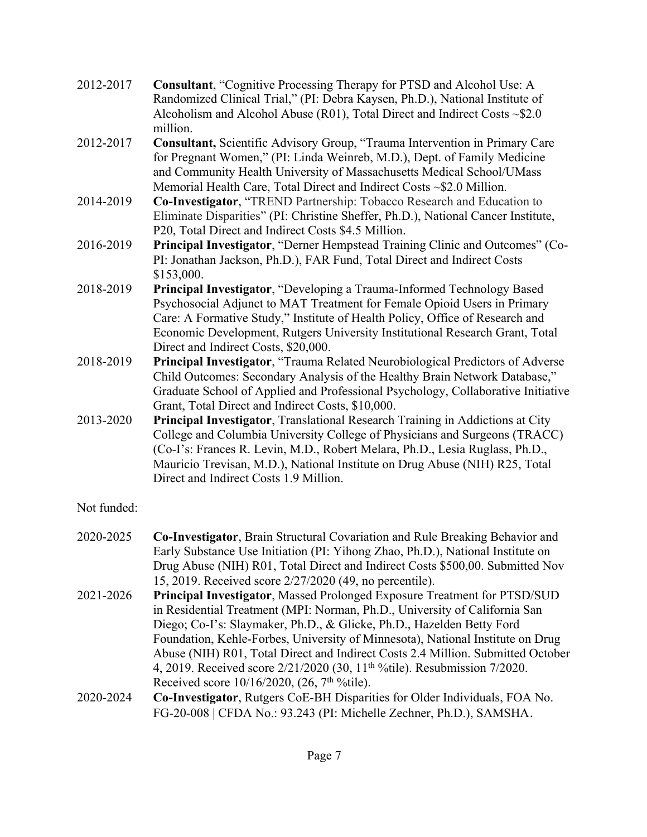| 2012-2017 | <b>Consultant, "Cognitive Processing Therapy for PTSD and Alcohol Use: A</b>      |
|-----------|-----------------------------------------------------------------------------------|
|           | Randomized Clinical Trial," (PI: Debra Kaysen, Ph.D.), National Institute of      |
|           | Alcoholism and Alcohol Abuse (R01), Total Direct and Indirect Costs $\sim$ \$2.0  |
|           | million.                                                                          |
| 2012-2017 | Consultant, Scientific Advisory Group, "Trauma Intervention in Primary Care       |
|           | for Pregnant Women," (PI: Linda Weinreb, M.D.), Dept. of Family Medicine          |
|           | and Community Health University of Massachusetts Medical School/UMass             |
|           | Memorial Health Care, Total Direct and Indirect Costs ~\$2.0 Million.             |
| 2014-2019 | Co-Investigator, "TREND Partnership: Tobacco Research and Education to            |
|           | Eliminate Disparities" (PI: Christine Sheffer, Ph.D.), National Cancer Institute, |
|           | P20, Total Direct and Indirect Costs \$4.5 Million.                               |
| 2016-2019 | Principal Investigator, "Derner Hempstead Training Clinic and Outcomes" (Co-      |
|           | PI: Jonathan Jackson, Ph.D.), FAR Fund, Total Direct and Indirect Costs           |
|           | \$153,000.                                                                        |
| 2018-2019 | Principal Investigator, "Developing a Trauma-Informed Technology Based            |
|           | Psychosocial Adjunct to MAT Treatment for Female Opioid Users in Primary          |
|           | Care: A Formative Study," Institute of Health Policy, Office of Research and      |
|           | Economic Development, Rutgers University Institutional Research Grant, Total      |
|           | Direct and Indirect Costs, \$20,000.                                              |
| 2018-2019 | Principal Investigator, "Trauma Related Neurobiological Predictors of Adverse     |
|           | Child Outcomes: Secondary Analysis of the Healthy Brain Network Database,"        |
|           | Graduate School of Applied and Professional Psychology, Collaborative Initiative  |
|           | Grant, Total Direct and Indirect Costs, \$10,000.                                 |
| 2013-2020 | Principal Investigator, Translational Research Training in Addictions at City     |
|           | College and Columbia University College of Physicians and Surgeons (TRACC)        |
|           | (Co-I's: Frances R. Levin, M.D., Robert Melara, Ph.D., Lesia Ruglass, Ph.D.,      |
|           | Mauricio Trevisan, M.D.), National Institute on Drug Abuse (NIH) R25, Total       |
|           | Direct and Indirect Costs 1.9 Million.                                            |

# Not funded:

| 2020-2025 | <b>Co-Investigator, Brain Structural Covariation and Rule Breaking Behavior and</b>    |
|-----------|----------------------------------------------------------------------------------------|
|           | Early Substance Use Initiation (PI: Yihong Zhao, Ph.D.), National Institute on         |
|           | Drug Abuse (NIH) R01, Total Direct and Indirect Costs \$500,00. Submitted Nov          |
|           | 15, 2019. Received score 2/27/2020 (49, no percentile).                                |
| 2021-2026 | Principal Investigator, Massed Prolonged Exposure Treatment for PTSD/SUD               |
|           | in Residential Treatment (MPI: Norman, Ph.D., University of California San             |
|           | Diego; Co-I's: Slaymaker, Ph.D., & Glicke, Ph.D., Hazelden Betty Ford                  |
|           | Foundation, Kehle-Forbes, University of Minnesota), National Institute on Drug         |
|           | Abuse (NIH) R01, Total Direct and Indirect Costs 2.4 Million. Submitted October        |
|           | 4, 2019. Received score 2/21/2020 (30, 11 <sup>th o</sup> /tile). Resubmission 7/2020. |
|           | Received score $10/16/2020$ , $(26, 7th %tile).$                                       |
| 2020-2024 | Co-Investigator, Rutgers CoE-BH Disparities for Older Individuals, FOA No.             |
|           | FG-20-008   CFDA No.: 93.243 (PI: Michelle Zechner, Ph.D.), SAMSHA.                    |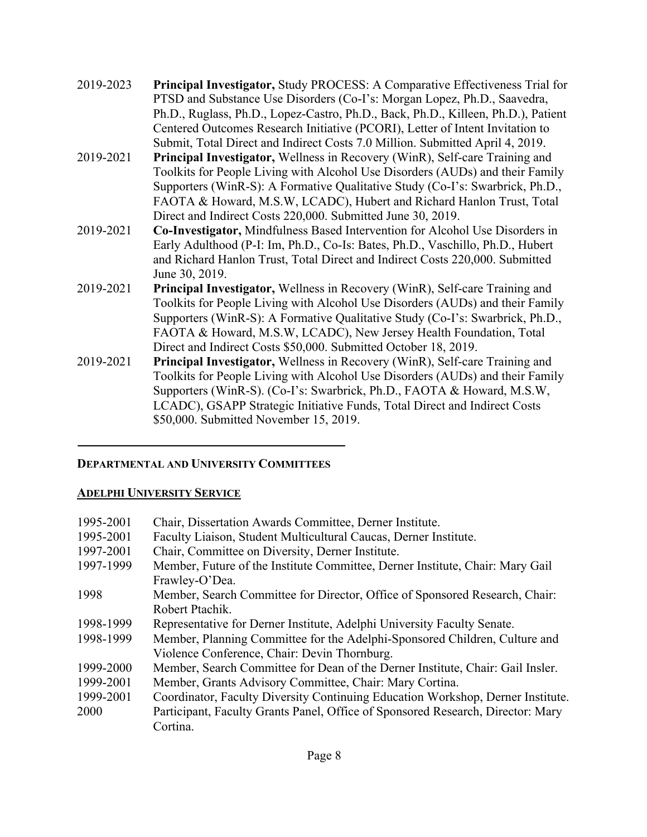| 2019-2023 | Principal Investigator, Study PROCESS: A Comparative Effectiveness Trial for<br>PTSD and Substance Use Disorders (Co-I's: Morgan Lopez, Ph.D., Saavedra,<br>Ph.D., Ruglass, Ph.D., Lopez-Castro, Ph.D., Back, Ph.D., Killeen, Ph.D.), Patient<br>Centered Outcomes Research Initiative (PCORI), Letter of Intent Invitation to<br>Submit, Total Direct and Indirect Costs 7.0 Million. Submitted April 4, 2019. |
|-----------|-----------------------------------------------------------------------------------------------------------------------------------------------------------------------------------------------------------------------------------------------------------------------------------------------------------------------------------------------------------------------------------------------------------------|
| 2019-2021 | <b>Principal Investigator, Wellness in Recovery (WinR), Self-care Training and</b><br>Toolkits for People Living with Alcohol Use Disorders (AUDs) and their Family<br>Supporters (WinR-S): A Formative Qualitative Study (Co-I's: Swarbrick, Ph.D.,<br>FAOTA & Howard, M.S.W, LCADC), Hubert and Richard Hanlon Trust, Total<br>Direct and Indirect Costs 220,000. Submitted June 30, 2019.                    |
| 2019-2021 | <b>Co-Investigator, Mindfulness Based Intervention for Alcohol Use Disorders in</b><br>Early Adulthood (P-I: Im, Ph.D., Co-Is: Bates, Ph.D., Vaschillo, Ph.D., Hubert<br>and Richard Hanlon Trust, Total Direct and Indirect Costs 220,000. Submitted<br>June 30, 2019.                                                                                                                                         |
| 2019-2021 | <b>Principal Investigator, Wellness in Recovery (WinR), Self-care Training and</b><br>Toolkits for People Living with Alcohol Use Disorders (AUDs) and their Family<br>Supporters (WinR-S): A Formative Qualitative Study (Co-I's: Swarbrick, Ph.D.,<br>FAOTA & Howard, M.S.W, LCADC), New Jersey Health Foundation, Total<br>Direct and Indirect Costs \$50,000. Submitted October 18, 2019.                   |
| 2019-2021 | Principal Investigator, Wellness in Recovery (WinR), Self-care Training and<br>Toolkits for People Living with Alcohol Use Disorders (AUDs) and their Family<br>Supporters (WinR-S). (Co-I's: Swarbrick, Ph.D., FAOTA & Howard, M.S.W,<br>LCADC), GSAPP Strategic Initiative Funds, Total Direct and Indirect Costs<br>\$50,000. Submitted November 15, 2019.                                                   |

# **DEPARTMENTAL AND UNIVERSITY COMMITTEES**

# **ADELPHI UNIVERSITY SERVICE**

| Chair, Dissertation Awards Committee, Derner Institute.                         |
|---------------------------------------------------------------------------------|
| Faculty Liaison, Student Multicultural Caucas, Derner Institute.                |
| Chair, Committee on Diversity, Derner Institute.                                |
| Member, Future of the Institute Committee, Derner Institute, Chair: Mary Gail   |
| Frawley-O'Dea.                                                                  |
| Member, Search Committee for Director, Office of Sponsored Research, Chair:     |
| Robert Ptachik.                                                                 |
| Representative for Derner Institute, Adelphi University Faculty Senate.         |
| Member, Planning Committee for the Adelphi-Sponsored Children, Culture and      |
| Violence Conference, Chair: Devin Thornburg.                                    |
| Member, Search Committee for Dean of the Derner Institute, Chair: Gail Insler.  |
| Member, Grants Advisory Committee, Chair: Mary Cortina.                         |
| Coordinator, Faculty Diversity Continuing Education Workshop, Derner Institute. |
| Participant, Faculty Grants Panel, Office of Sponsored Research, Director: Mary |
| Cortina.                                                                        |
|                                                                                 |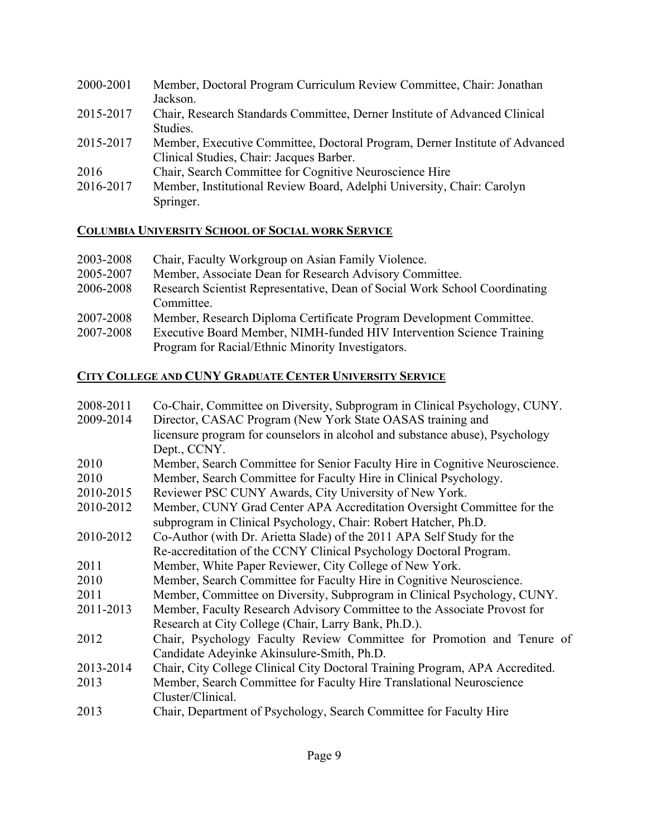| 2000-2001 | Member, Doctoral Program Curriculum Review Committee, Chair: Jonathan       |
|-----------|-----------------------------------------------------------------------------|
|           | Jackson.                                                                    |
| 2015-2017 | Chair, Research Standards Committee, Derner Institute of Advanced Clinical  |
|           | Studies.                                                                    |
| 2015-2017 | Member, Executive Committee, Doctoral Program, Derner Institute of Advanced |
|           | Clinical Studies, Chair: Jacques Barber.                                    |
| 2016      | Chair, Search Committee for Cognitive Neuroscience Hire                     |
| 2016-2017 | Member, Institutional Review Board, Adelphi University, Chair: Carolyn      |
|           | Springer.                                                                   |
|           |                                                                             |

# **COLUMBIA UNIVERSITY SCHOOL OF SOCIAL WORK SERVICE**

| 2003-2008 | Chair, Faculty Workgroup on Asian Family Violence.                         |
|-----------|----------------------------------------------------------------------------|
| 2005-2007 | Member, Associate Dean for Research Advisory Committee.                    |
| 2006-2008 | Research Scientist Representative, Dean of Social Work School Coordinating |
|           | Committee.                                                                 |
| 2007-2008 | Member, Research Diploma Certificate Program Development Committee.        |
| 2007-2008 | Executive Board Member, NIMH-funded HIV Intervention Science Training      |
|           | Program for Racial/Ethnic Minority Investigators.                          |

# **CITY COLLEGE AND CUNY GRADUATE CENTER UNIVERSITY SERVICE**

| 2008-2011 | Co-Chair, Committee on Diversity, Subprogram in Clinical Psychology, CUNY.   |
|-----------|------------------------------------------------------------------------------|
| 2009-2014 | Director, CASAC Program (New York State OASAS training and                   |
|           | licensure program for counselors in alcohol and substance abuse), Psychology |
|           | Dept., CCNY.                                                                 |
| 2010      | Member, Search Committee for Senior Faculty Hire in Cognitive Neuroscience.  |
| 2010      | Member, Search Committee for Faculty Hire in Clinical Psychology.            |
| 2010-2015 | Reviewer PSC CUNY Awards, City University of New York.                       |
| 2010-2012 | Member, CUNY Grad Center APA Accreditation Oversight Committee for the       |
|           | subprogram in Clinical Psychology, Chair: Robert Hatcher, Ph.D.              |
| 2010-2012 | Co-Author (with Dr. Arietta Slade) of the 2011 APA Self Study for the        |
|           | Re-accreditation of the CCNY Clinical Psychology Doctoral Program.           |
| 2011      | Member, White Paper Reviewer, City College of New York.                      |
| 2010      | Member, Search Committee for Faculty Hire in Cognitive Neuroscience.         |
| 2011      | Member, Committee on Diversity, Subprogram in Clinical Psychology, CUNY.     |
| 2011-2013 | Member, Faculty Research Advisory Committee to the Associate Provost for     |
|           | Research at City College (Chair, Larry Bank, Ph.D.).                         |
| 2012      | Chair, Psychology Faculty Review Committee for Promotion and Tenure of       |
|           | Candidate Adeyinke Akinsulure-Smith, Ph.D.                                   |
| 2013-2014 | Chair, City College Clinical City Doctoral Training Program, APA Accredited. |
| 2013      | Member, Search Committee for Faculty Hire Translational Neuroscience         |
|           | Cluster/Clinical.                                                            |
| 2013      | Chair, Department of Psychology, Search Committee for Faculty Hire           |
|           |                                                                              |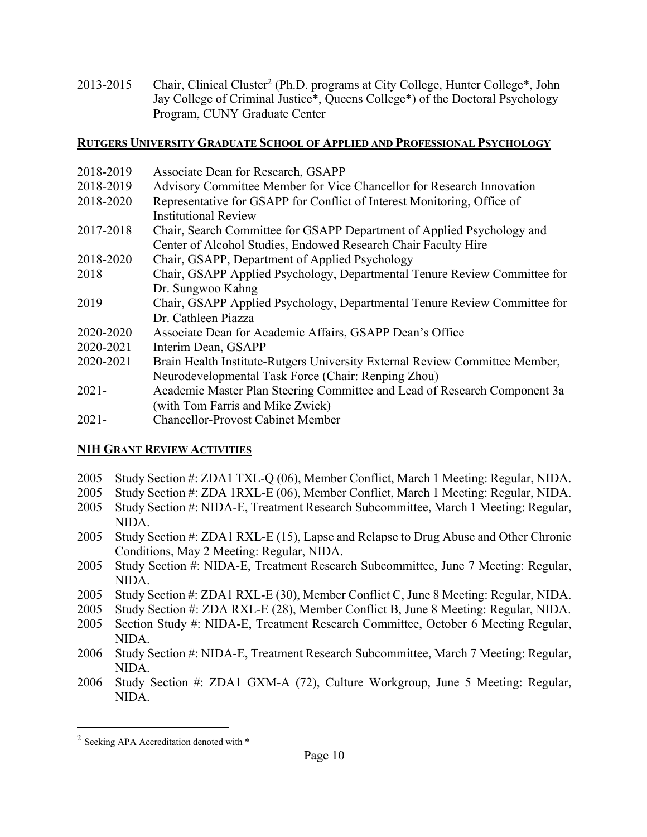2013-2015 Chair, Clinical Cluster<sup>2</sup> (Ph.D. programs at City College, Hunter College<sup>\*</sup>, John Jay College of Criminal Justice\*, Queens College\*) of the Doctoral Psychology Program, CUNY Graduate Center

### **RUTGERS UNIVERSITY GRADUATE SCHOOL OF APPLIED AND PROFESSIONAL PSYCHOLOGY**

- 2018-2019 Associate Dean for Research, GSAPP 2018-2019 Advisory Committee Member for Vice Chancellor for Research Innovation 2018-2020 Representative for GSAPP for Conflict of Interest Monitoring, Office of Institutional Review 2017-2018 Chair, Search Committee for GSAPP Department of Applied Psychology and Center of Alcohol Studies, Endowed Research Chair Faculty Hire 2018-2020 Chair, GSAPP, Department of Applied Psychology 2018 Chair, GSAPP Applied Psychology, Departmental Tenure Review Committee for Dr. Sungwoo Kahng 2019 Chair, GSAPP Applied Psychology, Departmental Tenure Review Committee for Dr. Cathleen Piazza 2020-2020 Associate Dean for Academic Affairs, GSAPP Dean's Office 2020-2021 Interim Dean, GSAPP 2020-2021 Brain Health Institute-Rutgers University External Review Committee Member, Neurodevelopmental Task Force (Chair: Renping Zhou)
- 2021- Academic Master Plan Steering Committee and Lead of Research Component 3a (with Tom Farris and Mike Zwick)
- 2021- Chancellor-Provost Cabinet Member

# **NIH GRANT REVIEW ACTIVITIES**

- 2005 Study Section #: ZDA1 TXL-Q (06), Member Conflict, March 1 Meeting: Regular, NIDA.
- 2005 Study Section #: ZDA 1RXL-E (06), Member Conflict, March 1 Meeting: Regular, NIDA.
- 2005 Study Section #: NIDA-E, Treatment Research Subcommittee, March 1 Meeting: Regular, NIDA.
- 2005 Study Section #: ZDA1 RXL-E (15), Lapse and Relapse to Drug Abuse and Other Chronic Conditions, May 2 Meeting: Regular, NIDA.
- 2005 Study Section #: NIDA-E, Treatment Research Subcommittee, June 7 Meeting: Regular, NIDA.
- 2005 Study Section #: ZDA1 RXL-E (30), Member Conflict C, June 8 Meeting: Regular, NIDA.
- 2005 Study Section #: ZDA RXL-E (28), Member Conflict B, June 8 Meeting: Regular, NIDA.
- 2005 Section Study #: NIDA-E, Treatment Research Committee, October 6 Meeting Regular, NIDA.
- 2006 Study Section #: NIDA-E, Treatment Research Subcommittee, March 7 Meeting: Regular, NIDA.
- 2006 Study Section #: ZDA1 GXM-A (72), Culture Workgroup, June 5 Meeting: Regular, NIDA.

<sup>2</sup> Seeking APA Accreditation denoted with \*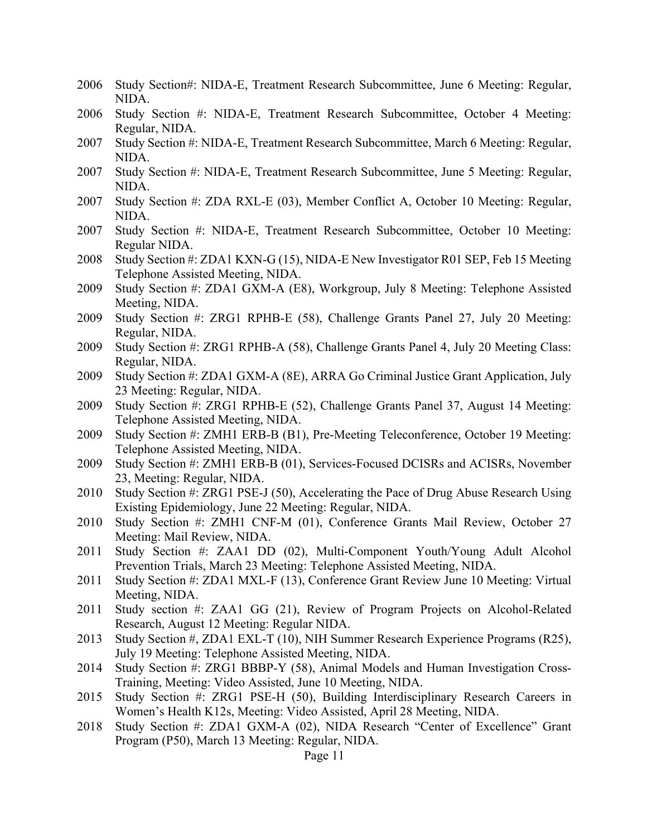- 2006 Study Section#: NIDA-E, Treatment Research Subcommittee, June 6 Meeting: Regular, NIDA.
- 2006 Study Section #: NIDA-E, Treatment Research Subcommittee, October 4 Meeting: Regular, NIDA.
- 2007 Study Section #: NIDA-E, Treatment Research Subcommittee, March 6 Meeting: Regular, NIDA.
- 2007 Study Section #: NIDA-E, Treatment Research Subcommittee, June 5 Meeting: Regular, NIDA.
- 2007 Study Section #: ZDA RXL-E (03), Member Conflict A, October 10 Meeting: Regular, NIDA.
- 2007 Study Section #: NIDA-E, Treatment Research Subcommittee, October 10 Meeting: Regular NIDA.
- 2008 Study Section #: ZDA1 KXN-G (15), NIDA-E New Investigator R01 SEP, Feb 15 Meeting Telephone Assisted Meeting, NIDA.
- 2009 Study Section #: ZDA1 GXM-A (E8), Workgroup, July 8 Meeting: Telephone Assisted Meeting, NIDA.
- 2009 Study Section #: ZRG1 RPHB-E (58), Challenge Grants Panel 27, July 20 Meeting: Regular, NIDA.
- 2009 Study Section #: ZRG1 RPHB-A (58), Challenge Grants Panel 4, July 20 Meeting Class: Regular, NIDA.
- 2009 Study Section #: ZDA1 GXM-A (8E), ARRA Go Criminal Justice Grant Application, July 23 Meeting: Regular, NIDA.
- 2009 Study Section #: ZRG1 RPHB-E (52), Challenge Grants Panel 37, August 14 Meeting: Telephone Assisted Meeting, NIDA.
- 2009 Study Section #: ZMH1 ERB-B (B1), Pre-Meeting Teleconference, October 19 Meeting: Telephone Assisted Meeting, NIDA.
- 2009 Study Section #: ZMH1 ERB-B (01), Services-Focused DCISRs and ACISRs, November 23, Meeting: Regular, NIDA.
- 2010 Study Section #: ZRG1 PSE-J (50), Accelerating the Pace of Drug Abuse Research Using Existing Epidemiology, June 22 Meeting: Regular, NIDA.
- 2010 Study Section #: ZMH1 CNF-M (01), Conference Grants Mail Review, October 27 Meeting: Mail Review, NIDA.
- 2011 Study Section #: ZAA1 DD (02), Multi-Component Youth/Young Adult Alcohol Prevention Trials, March 23 Meeting: Telephone Assisted Meeting, NIDA.
- 2011 Study Section #: ZDA1 MXL-F (13), Conference Grant Review June 10 Meeting: Virtual Meeting, NIDA.
- 2011 Study section #: ZAA1 GG (21), Review of Program Projects on Alcohol-Related Research, August 12 Meeting: Regular NIDA.
- 2013 Study Section #, ZDA1 EXL-T (10), NIH Summer Research Experience Programs (R25), July 19 Meeting: Telephone Assisted Meeting, NIDA.
- 2014 Study Section #: ZRG1 BBBP-Y (58), Animal Models and Human Investigation Cross-Training, Meeting: Video Assisted, June 10 Meeting, NIDA.
- 2015 Study Section #: ZRG1 PSE-H (50), Building Interdisciplinary Research Careers in Women's Health K12s, Meeting: Video Assisted, April 28 Meeting, NIDA.
- 2018 Study Section #: ZDA1 GXM-A (02), NIDA Research "Center of Excellence" Grant Program (P50), March 13 Meeting: Regular, NIDA.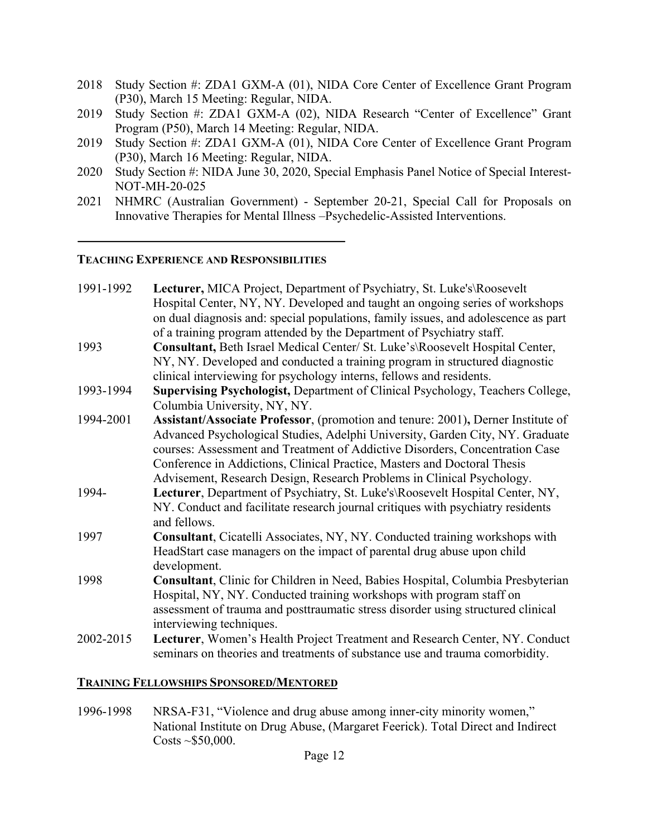- 2018 Study Section #: ZDA1 GXM-A (01), NIDA Core Center of Excellence Grant Program (P30), March 15 Meeting: Regular, NIDA.
- 2019 Study Section #: ZDA1 GXM-A (02), NIDA Research "Center of Excellence" Grant Program (P50), March 14 Meeting: Regular, NIDA.
- 2019 Study Section #: ZDA1 GXM-A (01), NIDA Core Center of Excellence Grant Program (P30), March 16 Meeting: Regular, NIDA.
- 2020 Study Section #: NIDA June 30, 2020, Special Emphasis Panel Notice of Special Interest-NOT-MH-20-025
- 2021 NHMRC (Australian Government) September 20-21, Special Call for Proposals on Innovative Therapies for Mental Illness –Psychedelic-Assisted Interventions.

#### **TEACHING EXPERIENCE AND RESPONSIBILITIES**

| 1991-1992 | Lecturer, MICA Project, Department of Psychiatry, St. Luke's\Roosevelt                                                                                        |
|-----------|---------------------------------------------------------------------------------------------------------------------------------------------------------------|
|           | Hospital Center, NY, NY. Developed and taught an ongoing series of workshops                                                                                  |
|           | on dual diagnosis and: special populations, family issues, and adolescence as part                                                                            |
|           | of a training program attended by the Department of Psychiatry staff.                                                                                         |
| 1993      | Consultant, Beth Israel Medical Center/ St. Luke's\Roosevelt Hospital Center,                                                                                 |
|           | NY, NY. Developed and conducted a training program in structured diagnostic                                                                                   |
|           | clinical interviewing for psychology interns, fellows and residents.                                                                                          |
| 1993-1994 | Supervising Psychologist, Department of Clinical Psychology, Teachers College,                                                                                |
|           | Columbia University, NY, NY.                                                                                                                                  |
| 1994-2001 | Assistant/Associate Professor, (promotion and tenure: 2001), Derner Institute of                                                                              |
|           | Advanced Psychological Studies, Adelphi University, Garden City, NY. Graduate<br>courses: Assessment and Treatment of Addictive Disorders, Concentration Case |
|           | Conference in Addictions, Clinical Practice, Masters and Doctoral Thesis                                                                                      |
|           | Advisement, Research Design, Research Problems in Clinical Psychology.                                                                                        |
| 1994-     | Lecturer, Department of Psychiatry, St. Luke's\Roosevelt Hospital Center, NY,                                                                                 |
|           | NY. Conduct and facilitate research journal critiques with psychiatry residents<br>and fellows.                                                               |
| 1997      | Consultant, Cicatelli Associates, NY, NY. Conducted training workshops with                                                                                   |
|           | HeadStart case managers on the impact of parental drug abuse upon child                                                                                       |
|           | development.                                                                                                                                                  |
| 1998      | Consultant, Clinic for Children in Need, Babies Hospital, Columbia Presbyterian                                                                               |
|           | Hospital, NY, NY. Conducted training workshops with program staff on<br>assessment of trauma and posttraumatic stress disorder using structured clinical      |
|           | interviewing techniques.                                                                                                                                      |
| 2002-2015 | Lecturer, Women's Health Project Treatment and Research Center, NY. Conduct<br>seminars on theories and treatments of substance use and trauma comorbidity.   |
|           |                                                                                                                                                               |

#### **TRAINING FELLOWSHIPS SPONSORED/MENTORED**

1996-1998 NRSA-F31, "Violence and drug abuse among inner-city minority women," National Institute on Drug Abuse, (Margaret Feerick). Total Direct and Indirect  $\text{Costs} \sim $50,000$ .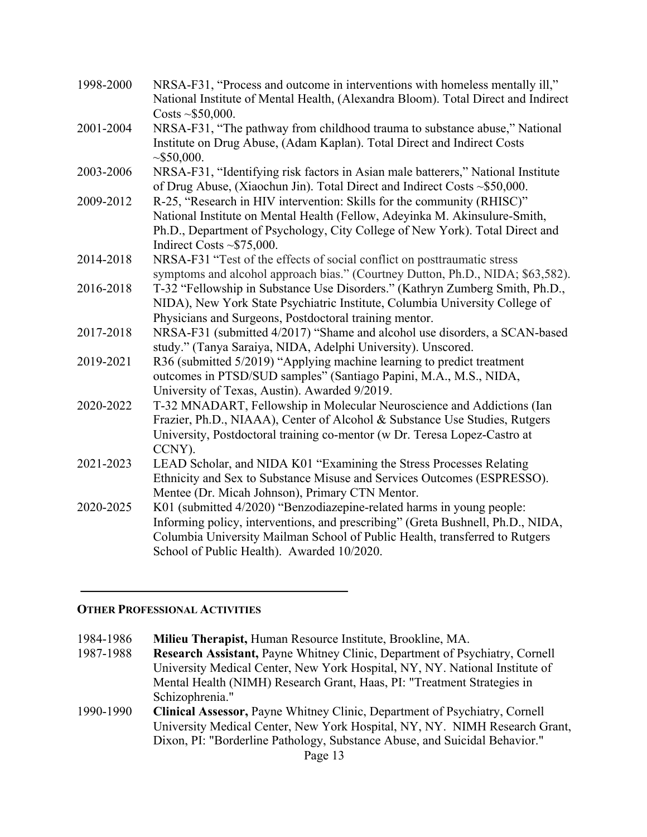| 1998-2000 | NRSA-F31, "Process and outcome in interventions with homeless mentally ill,"<br>National Institute of Mental Health, (Alexandra Bloom). Total Direct and Indirect<br>Costs ~ $$50,000$ .                                                                                              |
|-----------|---------------------------------------------------------------------------------------------------------------------------------------------------------------------------------------------------------------------------------------------------------------------------------------|
| 2001-2004 | NRSA-F31, "The pathway from childhood trauma to substance abuse," National<br>Institute on Drug Abuse, (Adam Kaplan). Total Direct and Indirect Costs<br>$\sim$ \$50,000.                                                                                                             |
| 2003-2006 | NRSA-F31, "Identifying risk factors in Asian male batterers," National Institute<br>of Drug Abuse, (Xiaochun Jin). Total Direct and Indirect Costs ~\$50,000.                                                                                                                         |
| 2009-2012 | R-25, "Research in HIV intervention: Skills for the community (RHISC)"<br>National Institute on Mental Health (Fellow, Adeyinka M. Akinsulure-Smith,<br>Ph.D., Department of Psychology, City College of New York). Total Direct and<br>Indirect Costs $\sim$ \$75,000.               |
| 2014-2018 | NRSA-F31 "Test of the effects of social conflict on posttraumatic stress<br>symptoms and alcohol approach bias." (Courtney Dutton, Ph.D., NIDA; \$63,582).                                                                                                                            |
| 2016-2018 | T-32 "Fellowship in Substance Use Disorders." (Kathryn Zumberg Smith, Ph.D.,<br>NIDA), New York State Psychiatric Institute, Columbia University College of<br>Physicians and Surgeons, Postdoctoral training mentor.                                                                 |
| 2017-2018 | NRSA-F31 (submitted 4/2017) "Shame and alcohol use disorders, a SCAN-based<br>study." (Tanya Saraiya, NIDA, Adelphi University). Unscored.                                                                                                                                            |
| 2019-2021 | R36 (submitted 5/2019) "Applying machine learning to predict treatment<br>outcomes in PTSD/SUD samples" (Santiago Papini, M.A., M.S., NIDA,<br>University of Texas, Austin). Awarded 9/2019.                                                                                          |
| 2020-2022 | T-32 MNADART, Fellowship in Molecular Neuroscience and Addictions (Ian<br>Frazier, Ph.D., NIAAA), Center of Alcohol & Substance Use Studies, Rutgers<br>University, Postdoctoral training co-mentor (w Dr. Teresa Lopez-Castro at<br>CCNY).                                           |
| 2021-2023 | LEAD Scholar, and NIDA K01 "Examining the Stress Processes Relating<br>Ethnicity and Sex to Substance Misuse and Services Outcomes (ESPRESSO).<br>Mentee (Dr. Micah Johnson), Primary CTN Mentor.                                                                                     |
| 2020-2025 | K01 (submitted 4/2020) "Benzodiazepine-related harms in young people:<br>Informing policy, interventions, and prescribing" (Greta Bushnell, Ph.D., NIDA,<br>Columbia University Mailman School of Public Health, transferred to Rutgers<br>School of Public Health). Awarded 10/2020. |

#### **OTHER PROFESSIONAL ACTIVITIES**

1984-1986 **Milieu Therapist,** Human Resource Institute, Brookline, MA.

Research Assistant, Payne Whitney Clinic, Department of Psychiatry, Cornell University Medical Center, New York Hospital, NY, NY. National Institute of Mental Health (NIMH) Research Grant, Haas, PI: "Treatment Strategies in Schizophrenia."

1990-1990 **Clinical Assessor,** Payne Whitney Clinic, Department of Psychiatry, Cornell University Medical Center, New York Hospital, NY, NY. NIMH Research Grant, Dixon, PI: "Borderline Pathology, Substance Abuse, and Suicidal Behavior."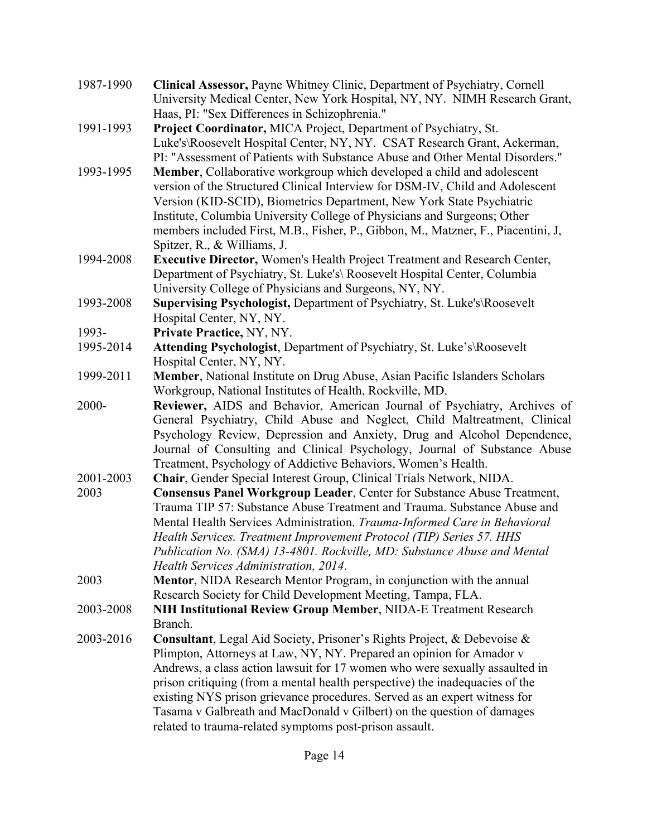| 1987-1990 | Clinical Assessor, Payne Whitney Clinic, Department of Psychiatry, Cornell<br>University Medical Center, New York Hospital, NY, NY. NIMH Research Grant,                                                                                                                                                                                                                                                                                                                                                                         |
|-----------|----------------------------------------------------------------------------------------------------------------------------------------------------------------------------------------------------------------------------------------------------------------------------------------------------------------------------------------------------------------------------------------------------------------------------------------------------------------------------------------------------------------------------------|
| 1991-1993 | Haas, PI: "Sex Differences in Schizophrenia."<br>Project Coordinator, MICA Project, Department of Psychiatry, St.<br>Luke's\Roosevelt Hospital Center, NY, NY. CSAT Research Grant, Ackerman,<br>PI: "Assessment of Patients with Substance Abuse and Other Mental Disorders."                                                                                                                                                                                                                                                   |
| 1993-1995 | Member, Collaborative workgroup which developed a child and adolescent<br>version of the Structured Clinical Interview for DSM-IV, Child and Adolescent<br>Version (KID-SCID), Biometrics Department, New York State Psychiatric<br>Institute, Columbia University College of Physicians and Surgeons; Other<br>members included First, M.B., Fisher, P., Gibbon, M., Matzner, F., Piacentini, J.<br>Spitzer, R., & Williams, J.                                                                                                 |
| 1994-2008 | Executive Director, Women's Health Project Treatment and Research Center,<br>Department of Psychiatry, St. Luke's\ Roosevelt Hospital Center, Columbia<br>University College of Physicians and Surgeons, NY, NY.                                                                                                                                                                                                                                                                                                                 |
| 1993-2008 | Supervising Psychologist, Department of Psychiatry, St. Luke's\Roosevelt<br>Hospital Center, NY, NY.                                                                                                                                                                                                                                                                                                                                                                                                                             |
| 1993-     | Private Practice, NY, NY.                                                                                                                                                                                                                                                                                                                                                                                                                                                                                                        |
| 1995-2014 | Attending Psychologist, Department of Psychiatry, St. Luke's\Roosevelt<br>Hospital Center, NY, NY.                                                                                                                                                                                                                                                                                                                                                                                                                               |
| 1999-2011 | Member, National Institute on Drug Abuse, Asian Pacific Islanders Scholars<br>Workgroup, National Institutes of Health, Rockville, MD.                                                                                                                                                                                                                                                                                                                                                                                           |
| 2000-     | Reviewer, AIDS and Behavior, American Journal of Psychiatry, Archives of<br>General Psychiatry, Child Abuse and Neglect, Child Maltreatment, Clinical<br>Psychology Review, Depression and Anxiety, Drug and Alcohol Dependence,<br>Journal of Consulting and Clinical Psychology, Journal of Substance Abuse<br>Treatment, Psychology of Addictive Behaviors, Women's Health.                                                                                                                                                   |
| 2001-2003 | Chair, Gender Special Interest Group, Clinical Trials Network, NIDA.                                                                                                                                                                                                                                                                                                                                                                                                                                                             |
| 2003      | Consensus Panel Workgroup Leader, Center for Substance Abuse Treatment,<br>Trauma TIP 57: Substance Abuse Treatment and Trauma. Substance Abuse and<br>Mental Health Services Administration. Trauma-Informed Care in Behavioral<br>Health Services. Treatment Improvement Protocol (TIP) Series 57. HHS<br>Publication No. (SMA) 13-4801. Rockville, MD: Substance Abuse and Mental<br>Health Services Administration, 2014.                                                                                                    |
| 2003      | Mentor, NIDA Research Mentor Program, in conjunction with the annual<br>Research Society for Child Development Meeting, Tampa, FLA.                                                                                                                                                                                                                                                                                                                                                                                              |
| 2003-2008 | NIH Institutional Review Group Member, NIDA-E Treatment Research<br>Branch.                                                                                                                                                                                                                                                                                                                                                                                                                                                      |
| 2003-2016 | Consultant, Legal Aid Society, Prisoner's Rights Project, & Debevoise &<br>Plimpton, Attorneys at Law, NY, NY. Prepared an opinion for Amador v<br>Andrews, a class action lawsuit for 17 women who were sexually assaulted in<br>prison critiquing (from a mental health perspective) the inadequacies of the<br>existing NYS prison grievance procedures. Served as an expert witness for<br>Tasama v Galbreath and MacDonald v Gilbert) on the question of damages<br>related to trauma-related symptoms post-prison assault. |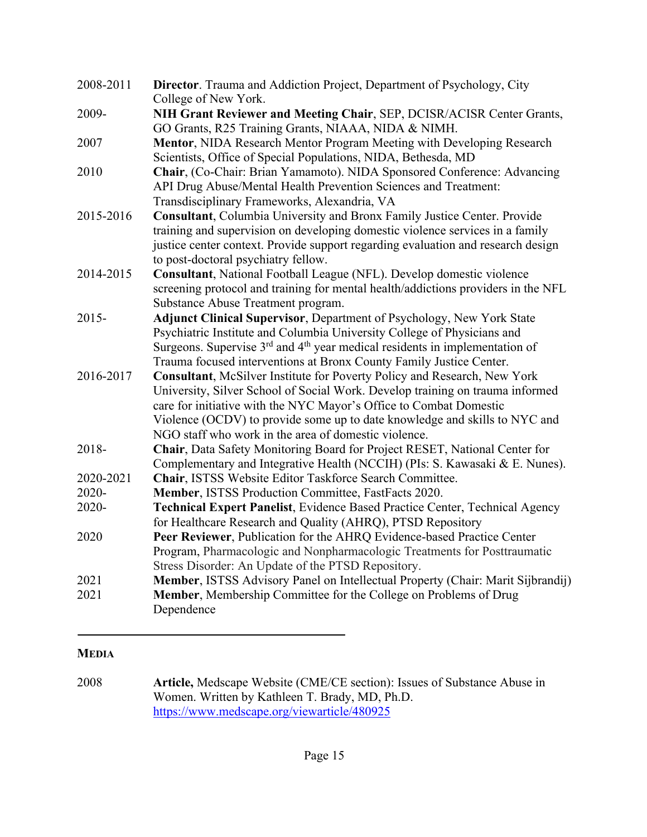| 2008-2011    | <b>Director.</b> Trauma and Addiction Project, Department of Psychology, City<br>College of New York.                                                             |
|--------------|-------------------------------------------------------------------------------------------------------------------------------------------------------------------|
| 2009-        | NIH Grant Reviewer and Meeting Chair, SEP, DCISR/ACISR Center Grants,                                                                                             |
|              | GO Grants, R25 Training Grants, NIAAA, NIDA & NIMH.                                                                                                               |
| 2007         | <b>Mentor, NIDA Research Mentor Program Meeting with Developing Research</b>                                                                                      |
|              | Scientists, Office of Special Populations, NIDA, Bethesda, MD                                                                                                     |
| 2010         | Chair, (Co-Chair: Brian Yamamoto). NIDA Sponsored Conference: Advancing<br>API Drug Abuse/Mental Health Prevention Sciences and Treatment:                        |
|              | Transdisciplinary Frameworks, Alexandria, VA                                                                                                                      |
| 2015-2016    | Consultant, Columbia University and Bronx Family Justice Center. Provide                                                                                          |
|              | training and supervision on developing domestic violence services in a family<br>justice center context. Provide support regarding evaluation and research design |
|              | to post-doctoral psychiatry fellow.                                                                                                                               |
| 2014-2015    | Consultant, National Football League (NFL). Develop domestic violence                                                                                             |
|              | screening protocol and training for mental health/addictions providers in the NFL                                                                                 |
|              | Substance Abuse Treatment program.                                                                                                                                |
| 2015-        | Adjunct Clinical Supervisor, Department of Psychology, New York State                                                                                             |
|              | Psychiatric Institute and Columbia University College of Physicians and                                                                                           |
|              | Surgeons. Supervise 3 <sup>rd</sup> and 4 <sup>th</sup> year medical residents in implementation of                                                               |
|              | Trauma focused interventions at Bronx County Family Justice Center.                                                                                               |
| 2016-2017    | Consultant, McSilver Institute for Poverty Policy and Research, New York                                                                                          |
|              | University, Silver School of Social Work. Develop training on trauma informed                                                                                     |
|              | care for initiative with the NYC Mayor's Office to Combat Domestic                                                                                                |
|              | Violence (OCDV) to provide some up to date knowledge and skills to NYC and                                                                                        |
|              | NGO staff who work in the area of domestic violence.                                                                                                              |
| 2018-        | Chair, Data Safety Monitoring Board for Project RESET, National Center for                                                                                        |
|              | Complementary and Integrative Health (NCCIH) (PIs: S. Kawasaki & E. Nunes).                                                                                       |
| 2020-2021    | Chair, ISTSS Website Editor Taskforce Search Committee.                                                                                                           |
| 2020-        | Member, ISTSS Production Committee, FastFacts 2020.                                                                                                               |
| 2020-        | Technical Expert Panelist, Evidence Based Practice Center, Technical Agency<br>for Healthcare Research and Quality (AHRQ), PTSD Repository                        |
| 2020         | Peer Reviewer, Publication for the AHRQ Evidence-based Practice Center                                                                                            |
|              | Program, Pharmacologic and Nonpharmacologic Treatments for Posttraumatic                                                                                          |
|              | Stress Disorder: An Update of the PTSD Repository.                                                                                                                |
| 2021<br>2021 | Member, ISTSS Advisory Panel on Intellectual Property (Chair: Marit Sijbrandij)<br>Member, Membership Committee for the College on Problems of Drug               |
|              | Dependence                                                                                                                                                        |

# **MEDIA**

2008 **Article,** Medscape Website (CME/CE section): Issues of Substance Abuse in Women. Written by Kathleen T. Brady, MD, Ph.D. https://www.medscape.org/viewarticle/480925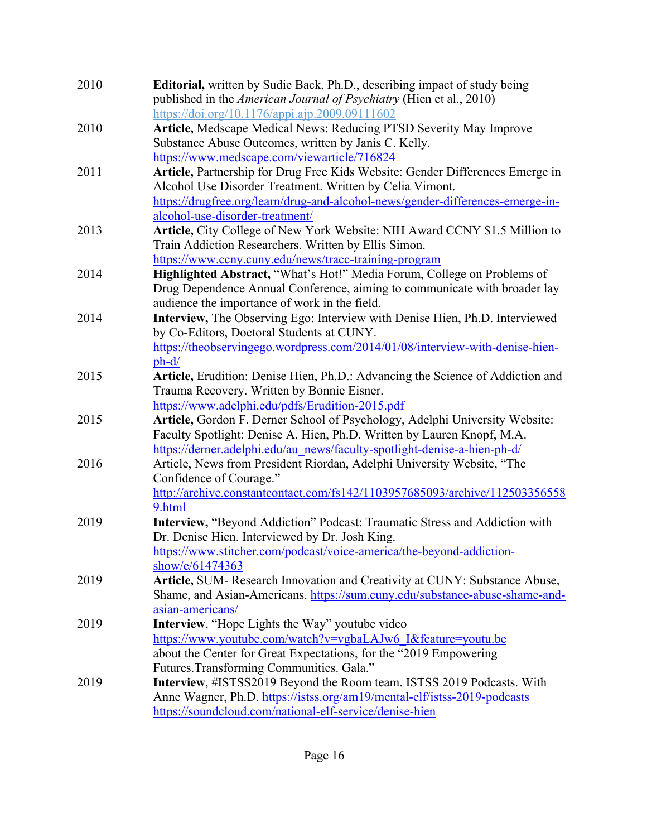| 2010 | <b>Editorial,</b> written by Sudie Back, Ph.D., describing impact of study being<br>published in the American Journal of Psychiatry (Hien et al., 2010) |
|------|---------------------------------------------------------------------------------------------------------------------------------------------------------|
|      | https://doi.org/10.1176/appi.ajp.2009.09111602                                                                                                          |
| 2010 | Article, Medscape Medical News: Reducing PTSD Severity May Improve                                                                                      |
|      | Substance Abuse Outcomes, written by Janis C. Kelly.                                                                                                    |
|      | https://www.medscape.com/viewarticle/716824                                                                                                             |
| 2011 | Article, Partnership for Drug Free Kids Website: Gender Differences Emerge in                                                                           |
|      | Alcohol Use Disorder Treatment. Written by Celia Vimont.                                                                                                |
|      | https://drugfree.org/learn/drug-and-alcohol-news/gender-differences-emerge-in-                                                                          |
|      | alcohol-use-disorder-treatment/                                                                                                                         |
| 2013 | Article, City College of New York Website: NIH Award CCNY \$1.5 Million to                                                                              |
|      | Train Addiction Researchers. Written by Ellis Simon.                                                                                                    |
|      | https://www.ccny.cuny.edu/news/tracc-training-program                                                                                                   |
| 2014 | Highlighted Abstract, "What's Hot!" Media Forum, College on Problems of                                                                                 |
|      | Drug Dependence Annual Conference, aiming to communicate with broader lay                                                                               |
|      | audience the importance of work in the field.                                                                                                           |
| 2014 | Interview, The Observing Ego: Interview with Denise Hien, Ph.D. Interviewed                                                                             |
|      | by Co-Editors, Doctoral Students at CUNY.                                                                                                               |
|      | https://theobservingego.wordpress.com/2014/01/08/interview-with-denise-hien-                                                                            |
|      | ph-d/                                                                                                                                                   |
| 2015 | Article, Erudition: Denise Hien, Ph.D.: Advancing the Science of Addiction and                                                                          |
|      | Trauma Recovery. Written by Bonnie Eisner.                                                                                                              |
|      |                                                                                                                                                         |
| 2015 | https://www.adelphi.edu/pdfs/Erudition-2015.pdf                                                                                                         |
|      | Article, Gordon F. Derner School of Psychology, Adelphi University Website:                                                                             |
|      | Faculty Spotlight: Denise A. Hien, Ph.D. Written by Lauren Knopf, M.A.                                                                                  |
|      | https://derner.adelphi.edu/au_news/faculty-spotlight-denise-a-hien-ph-d/                                                                                |
| 2016 | Article, News from President Riordan, Adelphi University Website, "The                                                                                  |
|      | Confidence of Courage."                                                                                                                                 |
|      | http://archive.constantcontact.com/fs142/1103957685093/archive/112503356558                                                                             |
|      | 9.html                                                                                                                                                  |
| 2019 | Interview, "Beyond Addiction" Podcast: Traumatic Stress and Addiction with                                                                              |
|      | Dr. Denise Hien. Interviewed by Dr. Josh King.                                                                                                          |
|      | https://www.stitcher.com/podcast/voice-america/the-beyond-addiction-                                                                                    |
|      | show/e/61474363                                                                                                                                         |
| 2019 | Article, SUM- Research Innovation and Creativity at CUNY: Substance Abuse,                                                                              |
|      | Shame, and Asian-Americans. https://sum.cuny.edu/substance-abuse-shame-and-                                                                             |
|      | asian-americans/                                                                                                                                        |
| 2019 | <b>Interview, "Hope Lights the Way" youtube video</b>                                                                                                   |
|      | https://www.youtube.com/watch?v=vgbaLAJw6 I&feature=youtu.be                                                                                            |
|      | about the Center for Great Expectations, for the "2019 Empowering                                                                                       |
|      | Futures. Transforming Communities. Gala."                                                                                                               |
| 2019 | Interview, #ISTSS2019 Beyond the Room team. ISTSS 2019 Podcasts. With                                                                                   |
|      | Anne Wagner, Ph.D. https://istss.org/am19/mental-elf/istss-2019-podcasts                                                                                |
|      | https://soundcloud.com/national-elf-service/denise-hien                                                                                                 |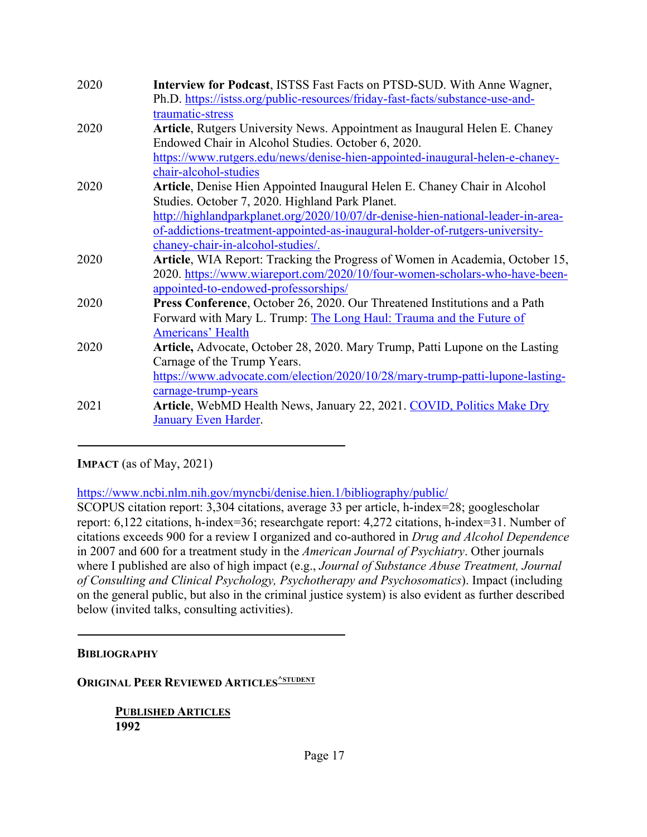| 2020 | Interview for Podcast, ISTSS Fast Facts on PTSD-SUD. With Anne Wagner,<br>Ph.D. https://istss.org/public-resources/friday-fast-facts/substance-use-and-    |
|------|------------------------------------------------------------------------------------------------------------------------------------------------------------|
|      | traumatic-stress                                                                                                                                           |
| 2020 | Article, Rutgers University News. Appointment as Inaugural Helen E. Chaney                                                                                 |
|      | Endowed Chair in Alcohol Studies. October 6, 2020.                                                                                                         |
|      | https://www.rutgers.edu/news/denise-hien-appointed-inaugural-helen-e-chaney-                                                                               |
|      | chair-alcohol-studies                                                                                                                                      |
| 2020 | Article, Denise Hien Appointed Inaugural Helen E. Chaney Chair in Alcohol                                                                                  |
|      | Studies. October 7, 2020. Highland Park Planet.                                                                                                            |
|      | http://highlandparkplanet.org/2020/10/07/dr-denise-hien-national-leader-in-area-                                                                           |
|      | of-addictions-treatment-appointed-as-inaugural-holder-of-rutgers-university-                                                                               |
|      | chaney-chair-in-alcohol-studies/.                                                                                                                          |
| 2020 | Article, WIA Report: Tracking the Progress of Women in Academia, October 15,<br>2020. https://www.wiareport.com/2020/10/four-women-scholars-who-have-been- |
|      | appointed-to-endowed-professorships/                                                                                                                       |
| 2020 | Press Conference, October 26, 2020. Our Threatened Institutions and a Path                                                                                 |
|      | Forward with Mary L. Trump: The Long Haul: Trauma and the Future of                                                                                        |
|      | <b>Americans' Health</b>                                                                                                                                   |
| 2020 | <b>Article,</b> Advocate, October 28, 2020. Mary Trump, Patti Lupone on the Lasting                                                                        |
|      | Carnage of the Trump Years.                                                                                                                                |
|      | https://www.advocate.com/election/2020/10/28/mary-trump-patti-lupone-lasting-                                                                              |
|      | carnage-trump-years                                                                                                                                        |
| 2021 | Article, WebMD Health News, January 22, 2021. COVID, Politics Make Dry                                                                                     |
|      | January Even Harder.                                                                                                                                       |
|      |                                                                                                                                                            |

**IMPACT** (as of May, 2021)

https://www.ncbi.nlm.nih.gov/myncbi/denise.hien.1/bibliography/public/

SCOPUS citation report: 3,304 citations, average 33 per article, h-index=28; googlescholar report: 6,122 citations, h-index=36; researchgate report: 4,272 citations, h-index=31. Number of citations exceeds 900 for a review I organized and co-authored in *Drug and Alcohol Dependence*  in 2007 and 600 for a treatment study in the *American Journal of Psychiatry*. Other journals where I published are also of high impact (e.g., *Journal of Substance Abuse Treatment, Journal of Consulting and Clinical Psychology, Psychotherapy and Psychosomatics*). Impact (including on the general public, but also in the criminal justice system) is also evident as further described below (invited talks, consulting activities).

# **BIBLIOGRAPHY**

## **ORIGINAL PEER REVIEWED ARTICLES**<sup>^STUDENT</sup>

**PUBLISHED ARTICLES 1992**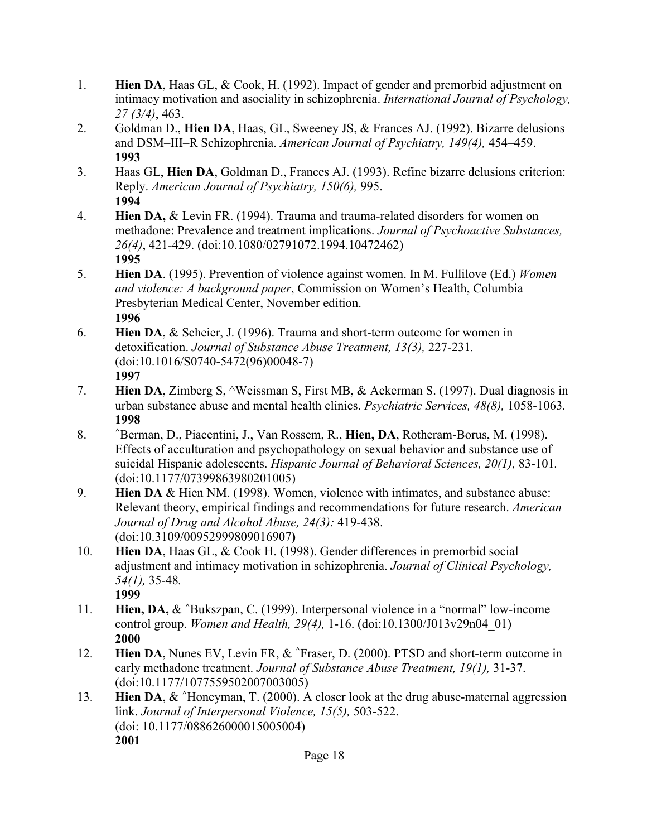- 1. **Hien DA**, Haas GL, & Cook, H. (1992). Impact of gender and premorbid adjustment on intimacy motivation and asociality in schizophrenia. *International Journal of Psychology, 27 (3/4)*, 463.
- 2. Goldman D., **Hien DA**, Haas, GL, Sweeney JS, & Frances AJ. (1992). Bizarre delusions and DSM–III–R Schizophrenia. *American Journal of Psychiatry, 149(4),* 454–459. **1993**
- 3. Haas GL, **Hien DA**, Goldman D., Frances AJ. (1993). Refine bizarre delusions criterion: Reply. *American Journal of Psychiatry, 150(6),* 995. **1994**
- 4. **Hien DA,** & Levin FR. (1994). Trauma and trauma-related disorders for women on methadone: Prevalence and treatment implications. *Journal of Psychoactive Substances, 26(4)*, 421-429. (doi:10.1080/02791072.1994.10472462) **1995**
- 5. **Hien DA**. (1995). Prevention of violence against women. In M. Fullilove (Ed.) *Women and violence: A background paper*, Commission on Women's Health, Columbia Presbyterian Medical Center, November edition. **1996**
- 6. **Hien DA**, & Scheier, J. (1996). Trauma and short-term outcome for women in detoxification. *Journal of Substance Abuse Treatment, 13(3),* 227-231*.* (doi:10.1016/S0740-5472(96)00048-7) **1997**
- 7. **Hien DA**, Zimberg S, ^Weissman S, First MB, & Ackerman S. (1997). Dual diagnosis in urban substance abuse and mental health clinics. *Psychiatric Services, 48(8),* 1058-1063*.* **1998**
- 8. **^**Berman, D., Piacentini, J., Van Rossem, R., **Hien, DA**, Rotheram-Borus, M. (1998). Effects of acculturation and psychopathology on sexual behavior and substance use of suicidal Hispanic adolescents. *Hispanic Journal of Behavioral Sciences, 20(1),* 83-101*.*  (doi:10.1177/07399863980201005)
- 9. **Hien DA** & Hien NM. (1998). Women, violence with intimates, and substance abuse: Relevant theory, empirical findings and recommendations for future research. *American Journal of Drug and Alcohol Abuse, 24(3):* 419-438. (doi:10.3109/00952999809016907**)**
- 10. **Hien DA**, Haas GL, & Cook H. (1998). Gender differences in premorbid social adjustment and intimacy motivation in schizophrenia. *Journal of Clinical Psychology, 54(1),* 35-48*.* **1999**
- 11. **Hien, DA,** & **^**Bukszpan, C. (1999). Interpersonal violence in a "normal" low-income control group. *Women and Health, 29(4),* 1-16. (doi:10.1300/J013v29n04\_01) **2000**
- 12. **Hien DA**, Nunes EV, Levin FR, & **^**Fraser, D. (2000). PTSD and short-term outcome in early methadone treatment. *Journal of Substance Abuse Treatment, 19(1),* 31-37. (doi:10.1177/1077559502007003005)
- 13. **Hien DA**, & **^**Honeyman, T. (2000). A closer look at the drug abuse-maternal aggression link. *Journal of Interpersonal Violence, 15(5),* 503-522. (doi: 10.1177/088626000015005004) **2001**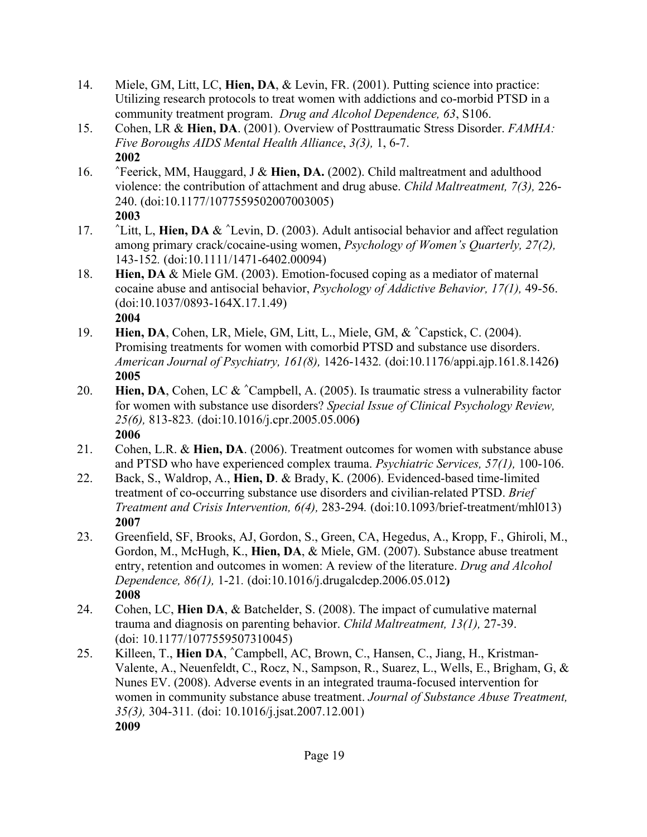- 14. Miele, GM, Litt, LC, **Hien, DA**, & Levin, FR. (2001). Putting science into practice: Utilizing research protocols to treat women with addictions and co-morbid PTSD in a community treatment program. *Drug and Alcohol Dependence, 63*, S106.
- 15. Cohen, LR & **Hien, DA**. (2001). Overview of Posttraumatic Stress Disorder. *FAMHA: Five Boroughs AIDS Mental Health Alliance*, *3(3),* 1, 6-7. **2002**
- 16. **^**Feerick, MM, Hauggard, J & **Hien, DA.** (2002). Child maltreatment and adulthood violence: the contribution of attachment and drug abuse. *Child Maltreatment, 7(3),* 226- 240. (doi:10.1177/1077559502007003005) **2003**
- 17. **^**Litt, L, **Hien, DA** & **^**Levin, D. (2003). Adult antisocial behavior and affect regulation among primary crack/cocaine-using women, *Psychology of Women's Quarterly, 27(2),*  143-152*.* (doi:10.1111/1471-6402.00094)
- 18. **Hien, DA** & Miele GM. (2003). Emotion-focused coping as a mediator of maternal cocaine abuse and antisocial behavior, *Psychology of Addictive Behavior, 17(1),* 49-56. (doi:10.1037/0893-164X.17.1.49) **2004**
- 19. **Hien, DA**, Cohen, LR, Miele, GM, Litt, L., Miele, GM, & **^**Capstick, C. (2004). Promising treatments for women with comorbid PTSD and substance use disorders. *American Journal of Psychiatry, 161(8),* 1426-1432*.* (doi:10.1176/appi.ajp.161.8.1426**) 2005**
- 20. **Hien, DA**, Cohen, LC & **^**Campbell, A. (2005). Is traumatic stress a vulnerability factor for women with substance use disorders? *Special Issue of Clinical Psychology Review, 25(6),* 813-823*.* (doi:10.1016/j.cpr.2005.05.006**) 2006**
- 21. Cohen, L.R. & **Hien, DA**. (2006). Treatment outcomes for women with substance abuse and PTSD who have experienced complex trauma. *Psychiatric Services, 57(1),* 100-106.
- 22. Back, S., Waldrop, A., **Hien, D**. & Brady, K. (2006). Evidenced-based time-limited treatment of co-occurring substance use disorders and civilian-related PTSD. *Brief Treatment and Crisis Intervention, 6(4),* 283-294*.* (doi:10.1093/brief-treatment/mhl013) **2007**
- 23. Greenfield, SF, Brooks, AJ, Gordon, S., Green, CA, Hegedus, A., Kropp, F., Ghiroli, M., Gordon, M., McHugh, K., **Hien, DA**, & Miele, GM. (2007). Substance abuse treatment entry, retention and outcomes in women: A review of the literature. *Drug and Alcohol Dependence, 86(1),* 1-21*.* (doi:10.1016/j.drugalcdep.2006.05.012**) 2008**
- 24. Cohen, LC, **Hien DA**, & Batchelder, S. (2008). The impact of cumulative maternal trauma and diagnosis on parenting behavior. *Child Maltreatment, 13(1),* 27-39. (doi: 10.1177/1077559507310045)
- 25. Killeen, T., **Hien DA**, **^**Campbell, AC, Brown, C., Hansen, C., Jiang, H., Kristman-Valente, A., Neuenfeldt, C., Rocz, N., Sampson, R., Suarez, L., Wells, E., Brigham, G, & Nunes EV. (2008). Adverse events in an integrated trauma-focused intervention for women in community substance abuse treatment. *Journal of Substance Abuse Treatment, 35(3),* 304-311*.* (doi: 10.1016/j.jsat.2007.12.001) **2009**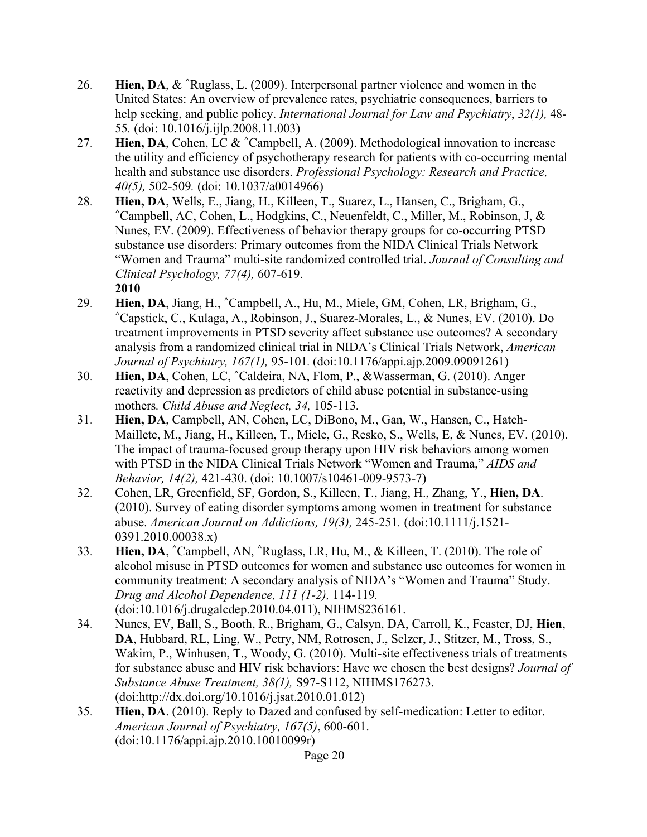- 26. **Hien, DA**, & **^**Ruglass, L. (2009). Interpersonal partner violence and women in the United States: An overview of prevalence rates, psychiatric consequences, barriers to help seeking, and public policy. *International Journal for Law and Psychiatry*, *32(1),* 48- 55*.* (doi: 10.1016/j.ijlp.2008.11.003)
- 27. **Hien, DA**, Cohen, LC & **^**Campbell, A. (2009). Methodological innovation to increase the utility and efficiency of psychotherapy research for patients with co-occurring mental health and substance use disorders. *Professional Psychology: Research and Practice, 40(5),* 502-509*.* (doi: 10.1037/a0014966)
- 28. **Hien, DA**, Wells, E., Jiang, H., Killeen, T., Suarez, L., Hansen, C., Brigham, G., **^**Campbell, AC, Cohen, L., Hodgkins, C., Neuenfeldt, C., Miller, M., Robinson, J, & Nunes, EV. (2009). Effectiveness of behavior therapy groups for co-occurring PTSD substance use disorders: Primary outcomes from the NIDA Clinical Trials Network "Women and Trauma" multi-site randomized controlled trial. *Journal of Consulting and Clinical Psychology, 77(4),* 607-619. **2010**
- 29. **Hien, DA**, Jiang, H., **^**Campbell, A., Hu, M., Miele, GM, Cohen, LR, Brigham, G., **^**Capstick, C., Kulaga, A., Robinson, J., Suarez-Morales, L., & Nunes, EV. (2010). Do treatment improvements in PTSD severity affect substance use outcomes? A secondary analysis from a randomized clinical trial in NIDA's Clinical Trials Network, *American Journal of Psychiatry, 167(1),* 95-101*.* (doi:10.1176/appi.ajp.2009.09091261)
- 30. **Hien, DA**, Cohen, LC, **^**Caldeira, NA, Flom, P., &Wasserman, G. (2010). Anger reactivity and depression as predictors of child abuse potential in substance-using mothers*. Child Abuse and Neglect, 34,* 105-113*.*
- 31. **Hien, DA**, Campbell, AN, Cohen, LC, DiBono, M., Gan, W., Hansen, C., Hatch-Maillete, M., Jiang, H., Killeen, T., Miele, G., Resko, S., Wells, E, & Nunes, EV. (2010). The impact of trauma-focused group therapy upon HIV risk behaviors among women with PTSD in the NIDA Clinical Trials Network "Women and Trauma," *AIDS and Behavior, 14(2),* 421-430. (doi: 10.1007/s10461-009-9573-7)
- 32. Cohen, LR, Greenfield, SF, Gordon, S., Killeen, T., Jiang, H., Zhang, Y., **Hien, DA**. (2010). Survey of eating disorder symptoms among women in treatment for substance abuse. *American Journal on Addictions, 19(3),* 245-251*.* (doi:10.1111/j.1521- 0391.2010.00038.x)
- 33. **Hien, DA**, **^**Campbell, AN, **^**Ruglass, LR, Hu, M., & Killeen, T. (2010). The role of alcohol misuse in PTSD outcomes for women and substance use outcomes for women in community treatment: A secondary analysis of NIDA's "Women and Trauma" Study. *Drug and Alcohol Dependence, 111 (1-2),* 114-119*.* (doi:10.1016/j.drugalcdep.2010.04.011), NIHMS236161.
- 34. Nunes, EV, Ball, S., Booth, R., Brigham, G., Calsyn, DA, Carroll, K., Feaster, DJ, **Hien**, **DA**, Hubbard, RL, Ling, W., Petry, NM, Rotrosen, J., Selzer, J., Stitzer, M., Tross, S., Wakim, P., Winhusen, T., Woody, G. (2010). Multi-site effectiveness trials of treatments for substance abuse and HIV risk behaviors: Have we chosen the best designs? *Journal of Substance Abuse Treatment, 38(1),* S97-S112, NIHMS176273. (doi:http://dx.doi.org/10.1016/j.jsat.2010.01.012)
- 35. **Hien, DA**. (2010). Reply to Dazed and confused by self-medication: Letter to editor. *American Journal of Psychiatry, 167(5)*, 600-601. (doi:10.1176/appi.ajp.2010.10010099r)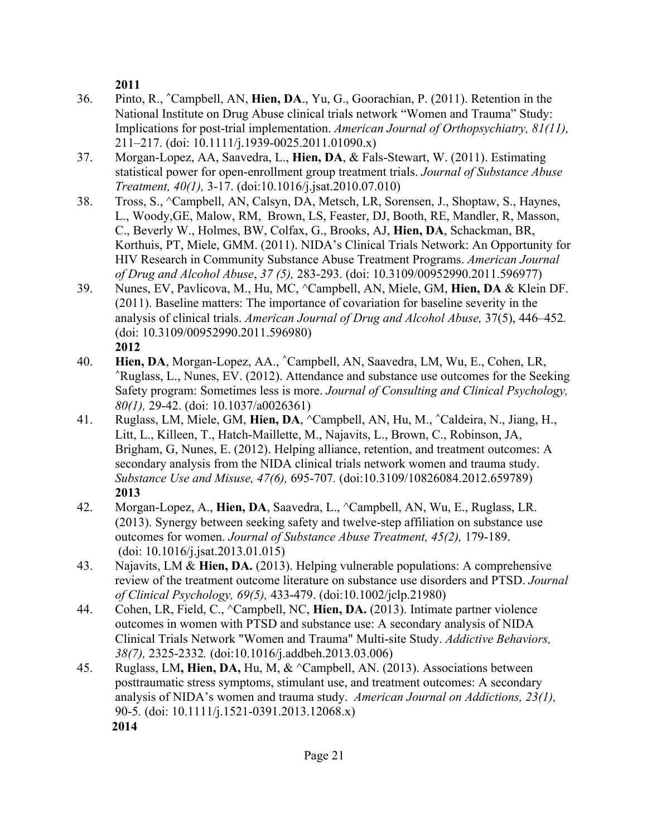**2011**

- 36. Pinto, R., **^**Campbell, AN, **Hien, DA**., Yu, G., Goorachian, P. (2011). Retention in the National Institute on Drug Abuse clinical trials network "Women and Trauma" Study: Implications for post-trial implementation. *American Journal of Orthopsychiatry, 81(11),* 211–217. (doi: 10.1111/j.1939-0025.2011.01090.x)
- 37. Morgan-Lopez, AA, Saavedra, L., **Hien, DA**, & Fals-Stewart, W. (2011). Estimating statistical power for open-enrollment group treatment trials. *Journal of Substance Abuse Treatment, 40(1),* 3-17. (doi:10.1016/j.jsat.2010.07.010)
- 38. Tross, S., ^Campbell, AN, Calsyn, DA, Metsch, LR, Sorensen, J., Shoptaw, S., Haynes, L., Woody,GE, Malow, RM, Brown, LS, Feaster, DJ, Booth, RE, Mandler, R, Masson, C., Beverly W., Holmes, BW, Colfax, G., Brooks, AJ, **Hien, DA**, Schackman, BR, Korthuis, PT, Miele, GMM. (2011). NIDA's Clinical Trials Network: An Opportunity for HIV Research in Community Substance Abuse Treatment Programs. *American Journal of Drug and Alcohol Abuse*, *37 (5),* 283-293. (doi: 10.3109/00952990.2011.596977)
- 39. Nunes, EV, Pavlicova, M., Hu, MC, ^Campbell, AN, Miele, GM, **Hien, DA** & Klein DF. (2011). Baseline matters: The importance of covariation for baseline severity in the analysis of clinical trials. *American Journal of Drug and Alcohol Abuse,* 37(5), 446–452*.* (doi: 10.3109/00952990.2011.596980) **2012**
- 40. **Hien, DA**, Morgan-Lopez, AA., **^**Campbell, AN, Saavedra, LM, Wu, E., Cohen, LR, **^**Ruglass, L., Nunes, EV. (2012). Attendance and substance use outcomes for the Seeking Safety program: Sometimes less is more. *Journal of Consulting and Clinical Psychology, 80(1),* 29-42. (doi: 10.1037/a0026361)
- 41. Ruglass, LM, Miele, GM, **Hien, DA**, ^Campbell, AN, Hu, M., **^**Caldeira, N., Jiang, H., Litt, L., Killeen, T., Hatch-Maillette, M., Najavits, L., Brown, C., Robinson, JA, Brigham, G, Nunes, E. (2012). Helping alliance, retention, and treatment outcomes: A secondary analysis from the NIDA clinical trials network women and trauma study. *Substance Use and Misuse, 47(6),* 695-707*.* (doi:10.3109/10826084.2012.659789) **2013**
- 42. Morgan-Lopez, A., **Hien, DA**, Saavedra, L., ^Campbell, AN, Wu, E., Ruglass, LR. (2013). Synergy between seeking safety and twelve-step affiliation on substance use outcomes for women. *Journal of Substance Abuse Treatment, 45(2),* 179-189. (doi: 10.1016/j.jsat.2013.01.015)
- 43. Najavits, LM & **Hien, DA.** (2013). Helping vulnerable populations: A comprehensive review of the treatment outcome literature on substance use disorders and PTSD. *Journal of Clinical Psychology, 69(5),* 433-479. (doi:10.1002/jclp.21980)
- 44. Cohen, LR, Field, C., ^Campbell, NC, **Hien, DA.** (2013). Intimate partner violence outcomes in women with PTSD and substance use: A secondary analysis of NIDA Clinical Trials Network "Women and Trauma" Multi-site Study. *Addictive Behaviors, 38(7),* 2325-2332*.* (doi:10.1016/j.addbeh.2013.03.006)
- 45. Ruglass, LM**, Hien, DA,** Hu, M, & ^Campbell, AN. (2013). Associations between posttraumatic stress symptoms, stimulant use, and treatment outcomes: A secondary analysis of NIDA's women and trauma study. *American Journal on Addictions, 23(1),*  90-5*.* (doi: 10.1111/j.1521-0391.2013.12068.x) **2014**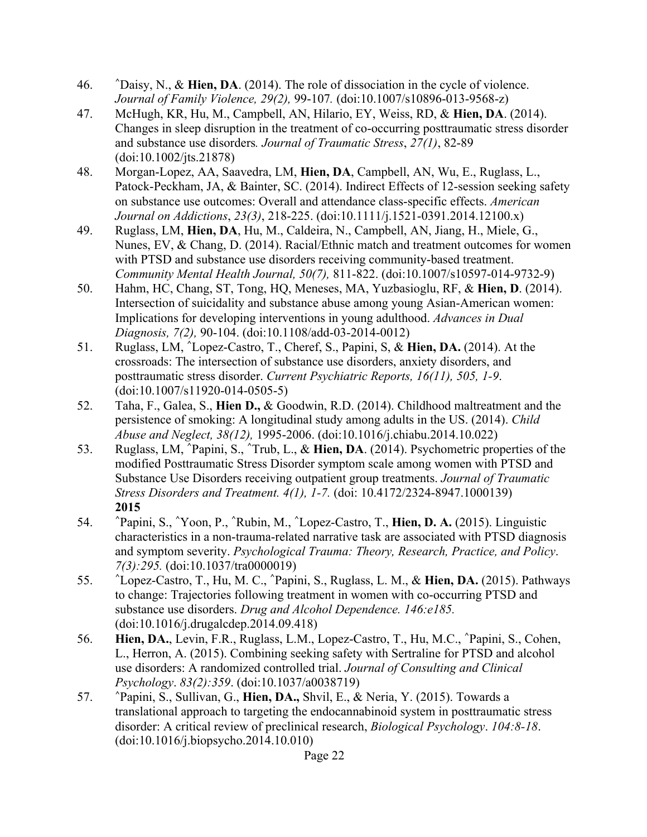- 46. **^**Daisy, N., & **Hien, DA**. (2014). The role of dissociation in the cycle of violence. *Journal of Family Violence, 29(2),* 99-107*.* (doi:10.1007/s10896-013-9568-z)
- 47. McHugh, KR, Hu, M., Campbell, AN, Hilario, EY, Weiss, RD, & **Hien, DA**. (2014). Changes in sleep disruption in the treatment of co-occurring posttraumatic stress disorder and substance use disorders*. Journal of Traumatic Stress*, *27(1)*, 82-89 (doi:10.1002/jts.21878)
- 48. Morgan-Lopez, AA, Saavedra, LM, **Hien, DA**, Campbell, AN, Wu, E., Ruglass, L., Patock-Peckham, JA, & Bainter, SC. (2014). Indirect Effects of 12-session seeking safety on substance use outcomes: Overall and attendance class-specific effects. *American Journal on Addictions*, *23(3)*, 218-225. (doi:10.1111/j.1521-0391.2014.12100.x)
- 49. Ruglass, LM, **Hien, DA**, Hu, M., Caldeira, N., Campbell, AN, Jiang, H., Miele, G., Nunes, EV, & Chang, D. (2014). Racial/Ethnic match and treatment outcomes for women with PTSD and substance use disorders receiving community-based treatment. *Community Mental Health Journal, 50(7),* 811-822. (doi:10.1007/s10597-014-9732-9)
- 50. Hahm, HC, Chang, ST, Tong, HQ, Meneses, MA, Yuzbasioglu, RF, & **Hien, D**. (2014). Intersection of suicidality and substance abuse among young Asian-American women: Implications for developing interventions in young adulthood. *Advances in Dual Diagnosis, 7(2),* 90-104. (doi:10.1108/add-03-2014-0012)
- 51. Ruglass, LM, **^**Lopez-Castro, T., Cheref, S., Papini, S, & **Hien, DA.** (2014). At the crossroads: The intersection of substance use disorders, anxiety disorders, and posttraumatic stress disorder. *Current Psychiatric Reports, 16(11), 505, 1-9*. (doi:10.1007/s11920-014-0505-5)
- 52. Taha, F., Galea, S., **Hien D.,** & Goodwin, R.D. (2014). Childhood maltreatment and the persistence of smoking: A longitudinal study among adults in the US. (2014). *Child Abuse and Neglect, 38(12),* 1995-2006. (doi:10.1016/j.chiabu.2014.10.022)
- 53. Ruglass, LM, **^**Papini, S., **^**Trub, L., & **Hien, DA**. (2014). Psychometric properties of the modified Posttraumatic Stress Disorder symptom scale among women with PTSD and Substance Use Disorders receiving outpatient group treatments. *Journal of Traumatic Stress Disorders and Treatment. 4(1), 1-7.* (doi: 10.4172/2324-8947.1000139) **2015**
- 54. **^**Papini, S., **^**Yoon, P., **^**Rubin, M., **^**Lopez-Castro, T., **Hien, D. A.** (2015). Linguistic characteristics in a non-trauma-related narrative task are associated with PTSD diagnosis and symptom severity. *Psychological Trauma: Theory, Research, Practice, and Policy*. *7(3):295.* (doi:10.1037/tra0000019)
- 55. **^**Lopez-Castro, T., Hu, M. C., **^**Papini, S., Ruglass, L. M., & **Hien, DA.** (2015). Pathways to change: Trajectories following treatment in women with co-occurring PTSD and substance use disorders. *Drug and Alcohol Dependence. 146:e185.* (doi:10.1016/j.drugalcdep.2014.09.418)
- 56. **Hien, DA.**, Levin, F.R., Ruglass, L.M., Lopez-Castro, T., Hu, M.C., **^**Papini, S., Cohen, L., Herron, A. (2015). Combining seeking safety with Sertraline for PTSD and alcohol use disorders: A randomized controlled trial. *Journal of Consulting and Clinical Psychology*. *83(2):359*. (doi:10.1037/a0038719)
- 57. **^**Papini, S., Sullivan, G., **Hien, DA.,** Shvil, E., & Neria, Y. (2015). Towards a translational approach to targeting the endocannabinoid system in posttraumatic stress disorder: A critical review of preclinical research, *Biological Psychology*. *104:8-18*. (doi:10.1016/j.biopsycho.2014.10.010)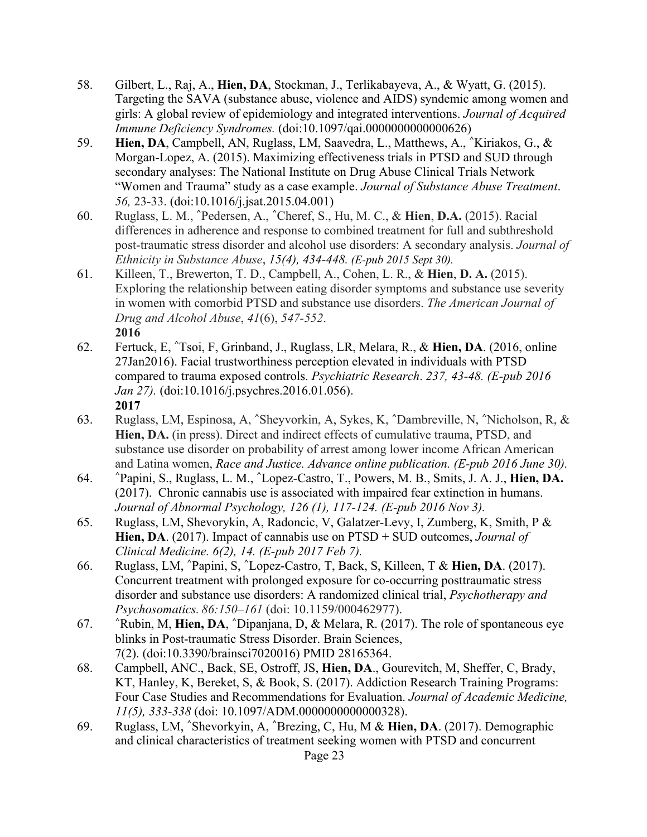- 58. Gilbert, L., Raj, A., **Hien, DA**, Stockman, J., Terlikabayeva, A., & Wyatt, G. (2015). Targeting the SAVA (substance abuse, violence and AIDS) syndemic among women and girls: A global review of epidemiology and integrated interventions. *Journal of Acquired Immune Deficiency Syndromes.* (doi:10.1097/qai.0000000000000626)
- 59. **Hien, DA**, Campbell, AN, Ruglass, LM, Saavedra, L., Matthews, A., **^**Kiriakos, G., & Morgan-Lopez, A. (2015). Maximizing effectiveness trials in PTSD and SUD through secondary analyses: The National Institute on Drug Abuse Clinical Trials Network "Women and Trauma" study as a case example. *Journal of Substance Abuse Treatment*. *56,* 23-33. (doi:10.1016/j.jsat.2015.04.001)
- 60. Ruglass, L. M., **^**Pedersen, A., **^**Cheref, S., Hu, M. C., & **Hien**, **D.A.** (2015). Racial differences in adherence and response to combined treatment for full and subthreshold post-traumatic stress disorder and alcohol use disorders: A secondary analysis. *Journal of Ethnicity in Substance Abuse*, *15(4), 434-448. (E-pub 2015 Sept 30).*
- 61. Killeen, T., Brewerton, T. D., Campbell, A., Cohen, L. R., & **Hien**, **D. A.** (2015). Exploring the relationship between eating disorder symptoms and substance use severity in women with comorbid PTSD and substance use disorders. *The American Journal of Drug and Alcohol Abuse*, *41*(6), *547-552*. **2016**
- 62. Fertuck, E, **^**Tsoi, F, Grinband, J., Ruglass, LR, Melara, R., & **Hien, DA**. (2016, online 27Jan2016). Facial trustworthiness perception elevated in individuals with PTSD compared to trauma exposed controls. *Psychiatric Research*. *237, 43-48. (E-pub 2016 Jan 27).* (doi:10.1016/j.psychres.2016.01.056). **2017**
- 63. Ruglass, LM, Espinosa, A, **^**Sheyvorkin, A, Sykes, K, **^**Dambreville, N, **^**Nicholson, R, & **Hien, DA.** (in press). Direct and indirect effects of cumulative trauma, PTSD, and substance use disorder on probability of arrest among lower income African American and Latina women, *Race and Justice. Advance online publication. (E-pub 2016 June 30).*
- 64. **^**Papini, S., Ruglass, L. M., **^**Lopez-Castro, T., Powers, M. B., Smits, J. A. J., **Hien, DA.** (2017). Chronic cannabis use is associated with impaired fear extinction in humans. *Journal of Abnormal Psychology, 126 (1), 117-124. (E-pub 2016 Nov 3).*
- 65. Ruglass, LM, Shevorykin, A, Radoncic, V, Galatzer-Levy, I, Zumberg, K, Smith, P & **Hien, DA**. (2017). Impact of cannabis use on PTSD + SUD outcomes, *Journal of Clinical Medicine. 6(2), 14. (E-pub 2017 Feb 7).*
- 66. Ruglass, LM, **^**Papini, S, **^**Lopez-Castro, T, Back, S, Killeen, T & **Hien, DA**. (2017). Concurrent treatment with prolonged exposure for co-occurring posttraumatic stress disorder and substance use disorders: A randomized clinical trial, *Psychotherapy and Psychosomatics. 86:150–161* (doi: 10.1159/000462977).
- 67. **^**Rubin, M, **Hien, DA**, **^**Dipanjana, D, & Melara, R. (2017). The role of spontaneous eye blinks in Post-traumatic Stress Disorder. Brain Sciences, 7(2). (doi:10.3390/brainsci7020016) PMID 28165364.
- 68. Campbell, ANC., Back, SE, Ostroff, JS, **Hien, DA**., Gourevitch, M, Sheffer, C, Brady, KT, Hanley, K, Bereket, S, & Book, S. (2017). Addiction Research Training Programs: Four Case Studies and Recommendations for Evaluation. *Journal of Academic Medicine, 11(5), 333-338* (doi: 10.1097/ADM.0000000000000328).
- 69. Ruglass, LM, **^**Shevorkyin, A, **^**Brezing, C, Hu, M & **Hien, DA**. (2017). Demographic and clinical characteristics of treatment seeking women with PTSD and concurrent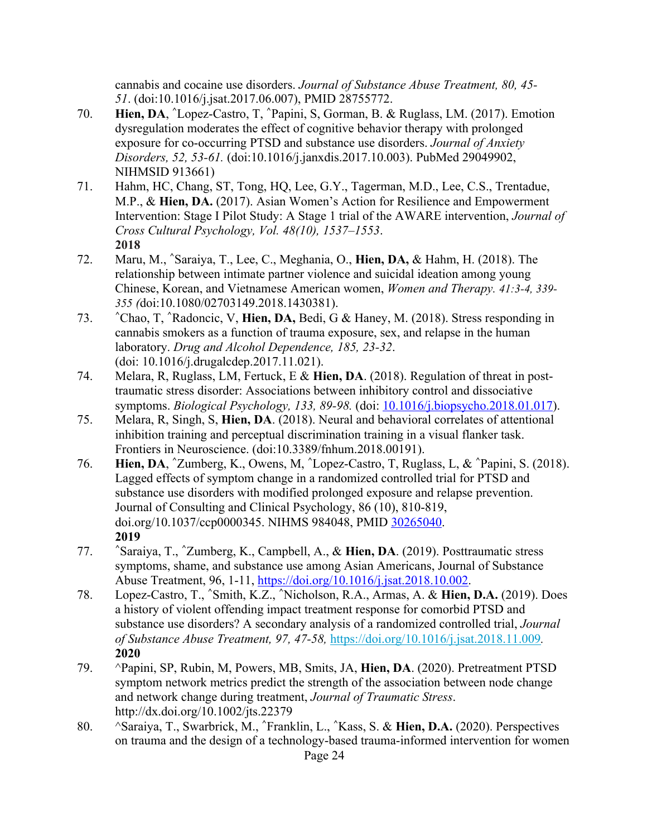cannabis and cocaine use disorders. *Journal of Substance Abuse Treatment, 80, 45- 51*. (doi:10.1016/j.jsat.2017.06.007), PMID 28755772.

- 70. **Hien, DA**, **^**Lopez-Castro, T, **^**Papini, S, Gorman, B. & Ruglass, LM. (2017). Emotion dysregulation moderates the effect of cognitive behavior therapy with prolonged exposure for co-occurring PTSD and substance use disorders. *Journal of Anxiety Disorders, 52, 53-61.* (doi:10.1016/j.janxdis.2017.10.003). PubMed 29049902, NIHMSID 913661)
- 71. Hahm, HC, Chang, ST, Tong, HQ, Lee, G.Y., Tagerman, M.D., Lee, C.S., Trentadue, M.P., & **Hien, DA.** (2017). Asian Women's Action for Resilience and Empowerment Intervention: Stage I Pilot Study: A Stage 1 trial of the AWARE intervention, *Journal of Cross Cultural Psychology, Vol. 48(10), 1537–1553*. **2018**
- 72. Maru, M., **^**Saraiya, T., Lee, C., Meghania, O., **Hien, DA,** & Hahm, H. (2018). The relationship between intimate partner violence and suicidal ideation among young Chinese, Korean, and Vietnamese American women, *Women and Therapy. 41:3-4, 339- 355 (*doi:10.1080/02703149.2018.1430381).
- 73. **^**Chao, T, **^**Radoncic, V, **Hien, DA,** Bedi, G & Haney, M. (2018). Stress responding in cannabis smokers as a function of trauma exposure, sex, and relapse in the human laboratory. *Drug and Alcohol Dependence, 185, 23-32*. (doi: 10.1016/j.drugalcdep.2017.11.021).
- 74. Melara, R, Ruglass, LM, Fertuck, E & **Hien, DA**. (2018). Regulation of threat in posttraumatic stress disorder: Associations between inhibitory control and dissociative symptoms. *Biological Psychology, 133, 89-98.* (doi: 10.1016/j.biopsycho.2018.01.017).
- 75. Melara, R, Singh, S, **Hien, DA**. (2018). Neural and behavioral correlates of attentional inhibition training and perceptual discrimination training in a visual flanker task. Frontiers in Neuroscience. (doi:10.3389/fnhum.2018.00191).
- 76. **Hien, DA**, **^**Zumberg, K., Owens, M, **^**Lopez-Castro, T, Ruglass, L, & **^**Papini, S. (2018). Lagged effects of symptom change in a randomized controlled trial for PTSD and substance use disorders with modified prolonged exposure and relapse prevention. Journal of Consulting and Clinical Psychology, 86 (10), 810-819, doi.org/10.1037/ccp0000345. NIHMS 984048, PMID 30265040. **2019**
- 77. **^**Saraiya, T., **^**Zumberg, K., Campbell, A., & **Hien, DA**. (2019). Posttraumatic stress symptoms, shame, and substance use among Asian Americans, Journal of Substance Abuse Treatment, 96, 1-11, https://doi.org/10.1016/j.jsat.2018.10.002.
- 78. Lopez-Castro, T., **^**Smith, K.Z., **^**Nicholson, R.A., Armas, A. & **Hien, D.A.** (2019). Does a history of violent offending impact treatment response for comorbid PTSD and substance use disorders? A secondary analysis of a randomized controlled trial, *Journal of Substance Abuse Treatment, 97, 47-58,* https://doi.org/10.1016/j.jsat.2018.11.009*.* **2020**
- 79. ^Papini, SP, Rubin, M, Powers, MB, Smits, JA, **Hien, DA**. (2020). Pretreatment PTSD symptom network metrics predict the strength of the association between node change and network change during treatment, *Journal of Traumatic Stress*. http://dx.doi.org/10.1002/jts.22379
- 80. ^Saraiya, T., Swarbrick, M., **^**Franklin, L., **^**Kass, S. & **Hien, D.A.** (2020). Perspectives on trauma and the design of a technology-based trauma-informed intervention for women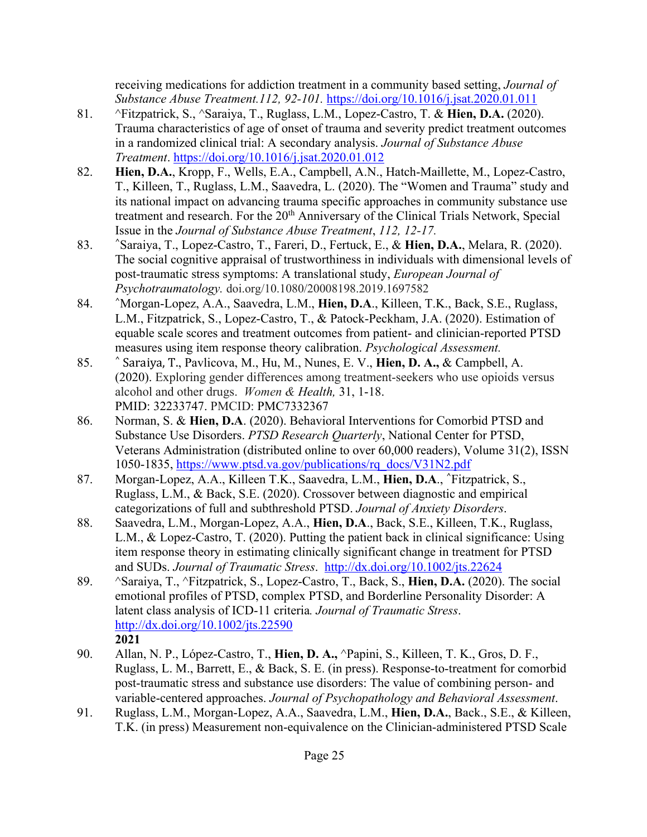receiving medications for addiction treatment in a community based setting, *Journal of Substance Abuse Treatment.112, 92-101.* https://doi.org/10.1016/j.jsat.2020.01.011

- 81. ^Fitzpatrick, S., ^Saraiya, T., Ruglass, L.M., Lopez-Castro, T. & **Hien, D.A.** (2020). Trauma characteristics of age of onset of trauma and severity predict treatment outcomes in a randomized clinical trial: A secondary analysis. *Journal of Substance Abuse Treatment*. https://doi.org/10.1016/j.jsat.2020.01.012
- 82. **Hien, D.A.**, Kropp, F., Wells, E.A., Campbell, A.N., Hatch-Maillette, M., Lopez-Castro, T., Killeen, T., Ruglass, L.M., Saavedra, L. (2020). The "Women and Trauma" study and its national impact on advancing trauma specific approaches in community substance use treatment and research. For the 20<sup>th</sup> Anniversary of the Clinical Trials Network, Special Issue in the *Journal of Substance Abuse Treatment*, *112, 12-17.*
- 83. **^**Saraiya, T., Lopez-Castro, T., Fareri, D., Fertuck, E., & **Hien, D.A.**, Melara, R. (2020). The social cognitive appraisal of trustworthiness in individuals with dimensional levels of post-traumatic stress symptoms: A translational study, *European Journal of Psychotraumatology.* doi.org/10.1080/20008198.2019.1697582
- 84. **^**Morgan-Lopez, A.A., Saavedra, L.M., **Hien, D.A**., Killeen, T.K., Back, S.E., Ruglass, L.M., Fitzpatrick, S., Lopez-Castro, T., & Patock-Peckham, J.A. (2020). Estimation of equable scale scores and treatment outcomes from patient- and clinician-reported PTSD measures using item response theory calibration. *Psychological Assessment.*
- 85. **^** Saraiya, T., Pavlicova, M., Hu, M., Nunes, E. V., **Hien, D. A.,** & Campbell, A. (2020). Exploring gender differences among treatment-seekers who use opioids versus alcohol and other drugs. *Women & Health,* 31, 1-18. PMID: 32233747. PMCID: PMC7332367
- 86. Norman, S. & **Hien, D.A**. (2020). Behavioral Interventions for Comorbid PTSD and Substance Use Disorders. *PTSD Research Quarterly*, National Center for PTSD, Veterans Administration (distributed online to over 60,000 readers), Volume 31(2), ISSN 1050-1835, https://www.ptsd.va.gov/publications/rq\_docs/V31N2.pdf
- 87. Morgan-Lopez, A.A., Killeen T.K., Saavedra, L.M., **Hien, D.A**., **^**Fitzpatrick, S., Ruglass, L.M., & Back, S.E. (2020). Crossover between diagnostic and empirical categorizations of full and subthreshold PTSD. *Journal of Anxiety Disorders*.
- 88. Saavedra, L.M., Morgan-Lopez, A.A., **Hien, D.A**., Back, S.E., Killeen, T.K., Ruglass, L.M., & Lopez-Castro, T. (2020). Putting the patient back in clinical significance: Using item response theory in estimating clinically significant change in treatment for PTSD and SUDs. *Journal of Traumatic Stress*. http://dx.doi.org/10.1002/jts.22624
- 89. ^Saraiya, T., ^Fitzpatrick, S., Lopez-Castro, T., Back, S., **Hien, D.A.** (2020). The social emotional profiles of PTSD, complex PTSD, and Borderline Personality Disorder: A latent class analysis of ICD-11 criteria*. Journal of Traumatic Stress*. http://dx.doi.org/10.1002/jts.22590 **2021**
- 90. Allan, N. P., López-Castro, T., **Hien, D. A.,** ^Papini, S., Killeen, T. K., Gros, D. F., Ruglass, L. M., Barrett, E., & Back, S. E. (in press). Response-to-treatment for comorbid post-traumatic stress and substance use disorders: The value of combining person- and variable-centered approaches. *Journal of Psychopathology and Behavioral Assessment*.
- 91. Ruglass, L.M., Morgan-Lopez, A.A., Saavedra, L.M., **Hien, D.A.**, Back., S.E., & Killeen, T.K. (in press) Measurement non-equivalence on the Clinician-administered PTSD Scale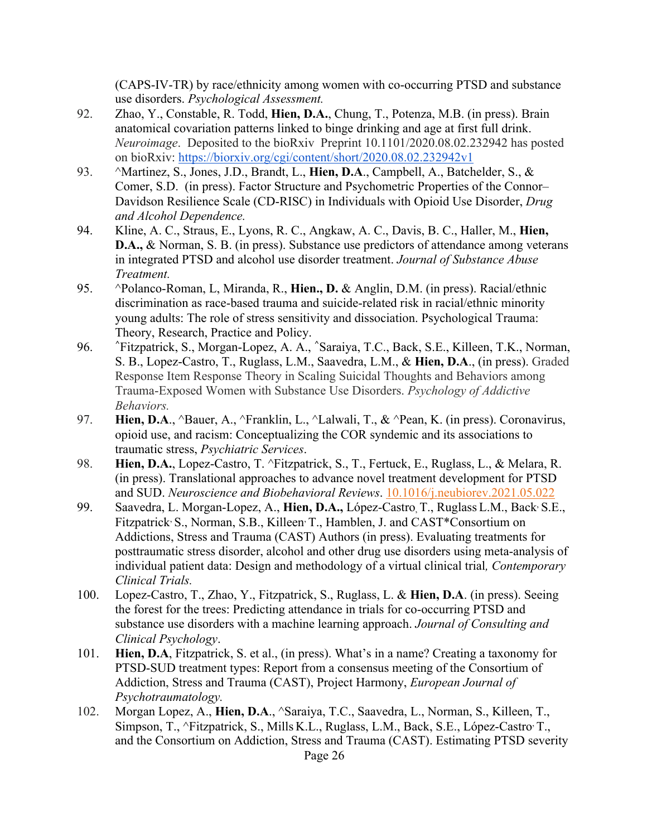(CAPS-IV-TR) by race/ethnicity among women with co-occurring PTSD and substance use disorders. *Psychological Assessment.*

- 92. Zhao, Y., Constable, R. Todd, **Hien, D.A.**, Chung, T., Potenza, M.B. (in press). Brain anatomical covariation patterns linked to binge drinking and age at first full drink. *Neuroimage*. Deposited to the bioRxiv Preprint 10.1101/2020.08.02.232942 has posted on bioRxiv: https://biorxiv.org/cgi/content/short/2020.08.02.232942v1
- 93. ^Martinez, S., Jones, J.D., Brandt, L., **Hien, D.A**., Campbell, A., Batchelder, S., & Comer, S.D. (in press). Factor Structure and Psychometric Properties of the Connor– Davidson Resilience Scale (CD-RISC) in Individuals with Opioid Use Disorder, *Drug and Alcohol Dependence.*
- 94. Kline, A. C., Straus, E., Lyons, R. C., Angkaw, A. C., Davis, B. C., Haller, M., **Hien, D.A.,** & Norman, S. B. (in press). Substance use predictors of attendance among veterans in integrated PTSD and alcohol use disorder treatment. *Journal of Substance Abuse Treatment.*
- 95. ^Polanco-Roman, L, Miranda, R., **Hien., D.** & Anglin, D.M. (in press). Racial/ethnic discrimination as race-based trauma and suicide-related risk in racial/ethnic minority young adults: The role of stress sensitivity and dissociation. Psychological Trauma: Theory, Research, Practice and Policy.
- 96. **^**Fitzpatrick, S., Morgan-Lopez, A. A., **^**Saraiya, T.C., Back, S.E., Killeen, T.K., Norman, S. B., Lopez-Castro, T., Ruglass, L.M., Saavedra, L.M., & **Hien, D.A**., (in press). Graded Response Item Response Theory in Scaling Suicidal Thoughts and Behaviors among Trauma-Exposed Women with Substance Use Disorders. *Psychology of Addictive Behaviors.*
- 97. **Hien, D.A**., ^Bauer, A., ^Franklin, L., ^Lalwali, T., & ^Pean, K. (in press). Coronavirus, opioid use, and racism: Conceptualizing the COR syndemic and its associations to traumatic stress, *Psychiatric Services*.
- 98. **Hien, D.A.**, Lopez-Castro, T. ^Fitzpatrick, S., T., Fertuck, E., Ruglass, L., & Melara, R. (in press). Translational approaches to advance novel treatment development for PTSD and SUD. *Neuroscience and Biobehavioral Reviews*. 10.1016/j.neubiorev.2021.05.022
- 99. Saavedra, L. Morgan-Lopez, A., **Hien, D.A.,** López-Castro, T., Ruglass L.M., Back, S.E., Fitzpatrick, S., Norman, S.B., Killeen, T., Hamblen, J. and CAST\*Consortium on Addictions, Stress and Trauma (CAST) Authors (in press). Evaluating treatments for posttraumatic stress disorder, alcohol and other drug use disorders using meta-analysis of individual patient data: Design and methodology of a virtual clinical trial*, Contemporary Clinical Trials.*
- 100. Lopez-Castro, T., Zhao, Y., Fitzpatrick, S., Ruglass, L. & **Hien, D.A**. (in press). Seeing the forest for the trees: Predicting attendance in trials for co-occurring PTSD and substance use disorders with a machine learning approach. *Journal of Consulting and Clinical Psychology*.
- 101. **Hien, D.A**, Fitzpatrick, S. et al., (in press). What's in a name? Creating a taxonomy for PTSD-SUD treatment types: Report from a consensus meeting of the Consortium of Addiction, Stress and Trauma (CAST), Project Harmony, *European Journal of Psychotraumatology.*
- 102. Morgan Lopez, A., **Hien, D.A**., ^Saraiya, T.C., Saavedra, L., Norman, S., Killeen, T., Simpson, T., ^Fitzpatrick, S., Mills K.L., Ruglass, L.M., Back, S.E., López-Castro, T., and the Consortium on Addiction, Stress and Trauma (CAST). Estimating PTSD severity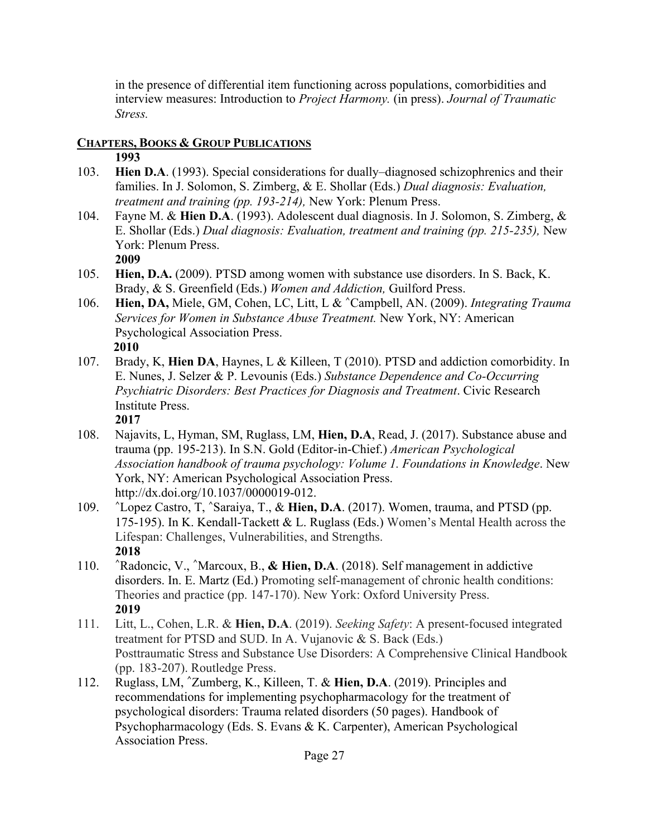in the presence of differential item functioning across populations, comorbidities and interview measures: Introduction to *Project Harmony.* (in press). *Journal of Traumatic Stress.*

# **CHAPTERS, BOOKS & GROUP PUBLICATIONS**

# **1993**

- 103. **Hien D.A**. (1993). Special considerations for dually–diagnosed schizophrenics and their families. In J. Solomon, S. Zimberg, & E. Shollar (Eds.) *Dual diagnosis: Evaluation, treatment and training (pp. 193-214),* New York: Plenum Press.
- 104. Fayne M. & **Hien D.A**. (1993). Adolescent dual diagnosis. In J. Solomon, S. Zimberg, & E. Shollar (Eds.) *Dual diagnosis: Evaluation, treatment and training (pp. 215-235),* New York: Plenum Press.
	- **2009**
- 105. **Hien, D.A.** (2009). PTSD among women with substance use disorders. In S. Back, K. Brady, & S. Greenfield (Eds.) *Women and Addiction,* Guilford Press.
- 106. **Hien, DA,** Miele, GM, Cohen, LC, Litt, L & **^**Campbell, AN. (2009). *Integrating Trauma Services for Women in Substance Abuse Treatment.* New York, NY: American Psychological Association Press. **2010**
- 107. Brady, K, **Hien DA**, Haynes, L & Killeen, T (2010). PTSD and addiction comorbidity. In E. Nunes, J. Selzer & P. Levounis (Eds.) *Substance Dependence and Co-Occurring Psychiatric Disorders: Best Practices for Diagnosis and Treatment*. Civic Research Institute Press. **2017**
- 108. Najavits, L, Hyman, SM, Ruglass, LM, **Hien, D.A**, Read, J. (2017). Substance abuse and trauma (pp. 195-213). In S.N. Gold (Editor-in-Chief.) *American Psychological Association handbook of trauma psychology: Volume 1. Foundations in Knowledge*. New York, NY: American Psychological Association Press. http://dx.doi.org/10.1037/0000019-012.
- 109. **^**Lopez Castro, T, **^**Saraiya, T., & **Hien, D.A**. (2017). Women, trauma, and PTSD (pp. 175-195). In K. Kendall-Tackett & L. Ruglass (Eds.) Women's Mental Health across the Lifespan: Challenges, Vulnerabilities, and Strengths. **2018**
- 110. **^**Radoncic, V., **^**Marcoux, B., **& Hien, D.A**. (2018). Self management in addictive disorders. In. E. Martz (Ed.) Promoting self-management of chronic health conditions: Theories and practice (pp. 147-170). New York: Oxford University Press. **2019**
- 111. Litt, L., Cohen, L.R. & **Hien, D.A**. (2019). *Seeking Safety*: A present-focused integrated treatment for PTSD and SUD. In A. Vujanovic & S. Back (Eds.) Posttraumatic Stress and Substance Use Disorders: A Comprehensive Clinical Handbook (pp. 183-207). Routledge Press.
- 112. Ruglass, LM, **^**Zumberg, K., Killeen, T. & **Hien, D.A**. (2019). Principles and recommendations for implementing psychopharmacology for the treatment of psychological disorders: Trauma related disorders (50 pages). Handbook of Psychopharmacology (Eds. S. Evans & K. Carpenter), American Psychological Association Press.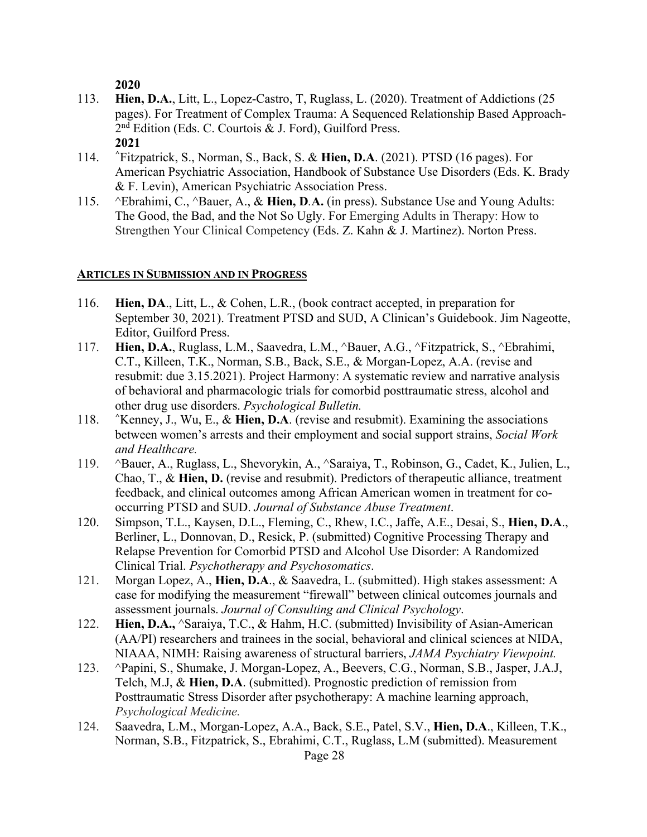**2020**

- 113. **Hien, D.A.**, Litt, L., Lopez-Castro, T, Ruglass, L. (2020). Treatment of Addictions (25 pages). For Treatment of Complex Trauma: A Sequenced Relationship Based Approach-2nd Edition (Eds. C. Courtois & J. Ford), Guilford Press. **2021**
- 114. **^**Fitzpatrick, S., Norman, S., Back, S. & **Hien, D.A**. (2021). PTSD (16 pages). For American Psychiatric Association, Handbook of Substance Use Disorders (Eds. K. Brady & F. Levin), American Psychiatric Association Press.
- 115. ^Ebrahimi, C., ^Bauer, A., & **Hien, D***.***A.** (in press). Substance Use and Young Adults: The Good, the Bad, and the Not So Ugly. For Emerging Adults in Therapy: How to Strengthen Your Clinical Competency (Eds. Z. Kahn & J. Martinez). Norton Press.

## **ARTICLES IN SUBMISSION AND IN PROGRESS**

- 116. **Hien, DA**., Litt, L., & Cohen, L.R., (book contract accepted, in preparation for September 30, 2021). Treatment PTSD and SUD, A Clinican's Guidebook. Jim Nageotte, Editor, Guilford Press.
- 117. **Hien, D.A.**, Ruglass, L.M., Saavedra, L.M., ^Bauer, A.G., ^Fitzpatrick, S., ^Ebrahimi, C.T., Killeen, T.K., Norman, S.B., Back, S.E., & Morgan-Lopez, A.A. (revise and resubmit: due 3.15.2021). Project Harmony: A systematic review and narrative analysis of behavioral and pharmacologic trials for comorbid posttraumatic stress, alcohol and other drug use disorders. *Psychological Bulletin.*
- 118. **^**Kenney, J., Wu, E., & **Hien, D.A**. (revise and resubmit). Examining the associations between women's arrests and their employment and social support strains, *Social Work and Healthcare.*
- 119. ^Bauer, A., Ruglass, L., Shevorykin, A., ^Saraiya, T., Robinson, G., Cadet, K., Julien, L., Chao, T., & **Hien, D.** (revise and resubmit). Predictors of therapeutic alliance, treatment feedback, and clinical outcomes among African American women in treatment for cooccurring PTSD and SUD. *Journal of Substance Abuse Treatment*.
- 120. Simpson, T.L., Kaysen, D.L., Fleming, C., Rhew, I.C., Jaffe, A.E., Desai, S., **Hien, D.A**., Berliner, L., Donnovan, D., Resick, P. (submitted) Cognitive Processing Therapy and Relapse Prevention for Comorbid PTSD and Alcohol Use Disorder: A Randomized Clinical Trial. *Psychotherapy and Psychosomatics*.
- 121. Morgan Lopez, A., **Hien, D.A**., & Saavedra, L. (submitted). High stakes assessment: A case for modifying the measurement "firewall" between clinical outcomes journals and assessment journals. *Journal of Consulting and Clinical Psychology*.
- 122. **Hien, D.A.,** ^Saraiya, T.C., & Hahm, H.C. (submitted) Invisibility of Asian-American (AA/PI) researchers and trainees in the social, behavioral and clinical sciences at NIDA, NIAAA, NIMH: Raising awareness of structural barriers, *JAMA Psychiatry Viewpoint.*
- 123. ^Papini, S., Shumake, J. Morgan-Lopez, A., Beevers, C.G., Norman, S.B., Jasper, J.A.J, Telch, M.J, & **Hien, D.A**. (submitted). Prognostic prediction of remission from Posttraumatic Stress Disorder after psychotherapy: A machine learning approach, *Psychological Medicine.*
- 124. Saavedra, L.M., Morgan-Lopez, A.A., Back, S.E., Patel, S.V., **Hien, D.A**., Killeen, T.K., Norman, S.B., Fitzpatrick, S., Ebrahimi, C.T., Ruglass, L.M (submitted). Measurement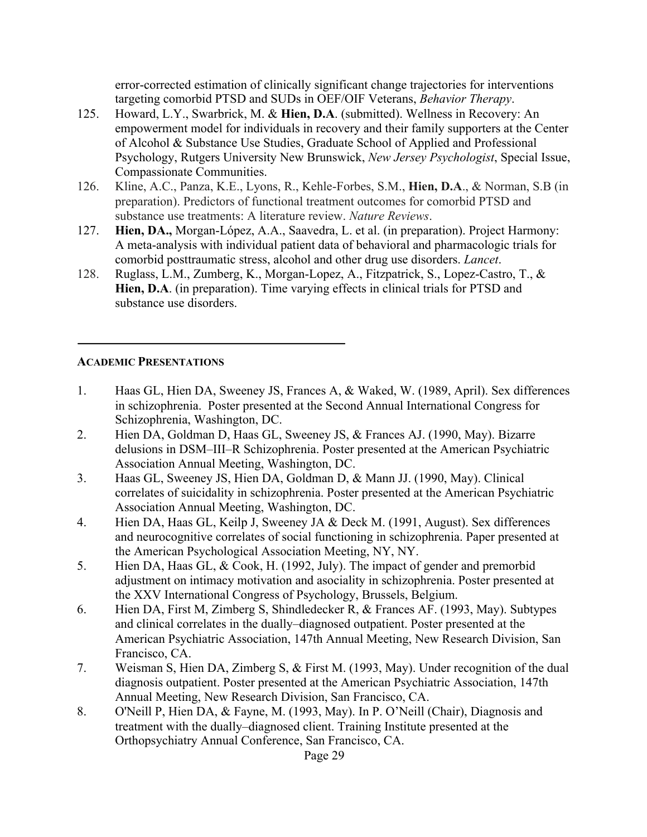error-corrected estimation of clinically significant change trajectories for interventions targeting comorbid PTSD and SUDs in OEF/OIF Veterans, *Behavior Therapy*.

- 125. Howard, L.Y., Swarbrick, M. & **Hien, D.A**. (submitted). Wellness in Recovery: An empowerment model for individuals in recovery and their family supporters at the Center of Alcohol & Substance Use Studies, Graduate School of Applied and Professional Psychology, Rutgers University New Brunswick, *New Jersey Psychologist*, Special Issue, Compassionate Communities.
- 126. Kline, A.C., Panza, K.E., Lyons, R., Kehle-Forbes, S.M., **Hien, D.A**., & Norman, S.B (in preparation). Predictors of functional treatment outcomes for comorbid PTSD and substance use treatments: A literature review. *Nature Reviews*.
- 127. **Hien, DA.,** Morgan-López, A.A., Saavedra, L. et al. (in preparation). Project Harmony: A meta-analysis with individual patient data of behavioral and pharmacologic trials for comorbid posttraumatic stress, alcohol and other drug use disorders. *Lancet*.
- 128. Ruglass, L.M., Zumberg, K., Morgan-Lopez, A., Fitzpatrick, S., Lopez-Castro, T., & **Hien, D.A**. (in preparation). Time varying effects in clinical trials for PTSD and substance use disorders.

## **ACADEMIC PRESENTATIONS**

- 1. Haas GL, Hien DA, Sweeney JS, Frances A, & Waked, W. (1989, April). Sex differences in schizophrenia. Poster presented at the Second Annual International Congress for Schizophrenia, Washington, DC.
- 2. Hien DA, Goldman D, Haas GL, Sweeney JS, & Frances AJ. (1990, May). Bizarre delusions in DSM–III–R Schizophrenia. Poster presented at the American Psychiatric Association Annual Meeting, Washington, DC.
- 3. Haas GL, Sweeney JS, Hien DA, Goldman D, & Mann JJ. (1990, May). Clinical correlates of suicidality in schizophrenia. Poster presented at the American Psychiatric Association Annual Meeting, Washington, DC.
- 4. Hien DA, Haas GL, Keilp J, Sweeney JA & Deck M. (1991, August). Sex differences and neurocognitive correlates of social functioning in schizophrenia. Paper presented at the American Psychological Association Meeting, NY, NY.
- 5. Hien DA, Haas GL, & Cook, H. (1992, July). The impact of gender and premorbid adjustment on intimacy motivation and asociality in schizophrenia. Poster presented at the XXV International Congress of Psychology, Brussels, Belgium.
- 6. Hien DA, First M, Zimberg S, Shindledecker R, & Frances AF. (1993, May). Subtypes and clinical correlates in the dually–diagnosed outpatient. Poster presented at the American Psychiatric Association, 147th Annual Meeting, New Research Division, San Francisco, CA.
- 7. Weisman S, Hien DA, Zimberg S, & First M. (1993, May). Under recognition of the dual diagnosis outpatient. Poster presented at the American Psychiatric Association, 147th Annual Meeting, New Research Division, San Francisco, CA.
- 8. O'Neill P, Hien DA, & Fayne, M. (1993, May). In P. O'Neill (Chair), Diagnosis and treatment with the dually–diagnosed client. Training Institute presented at the Orthopsychiatry Annual Conference, San Francisco, CA.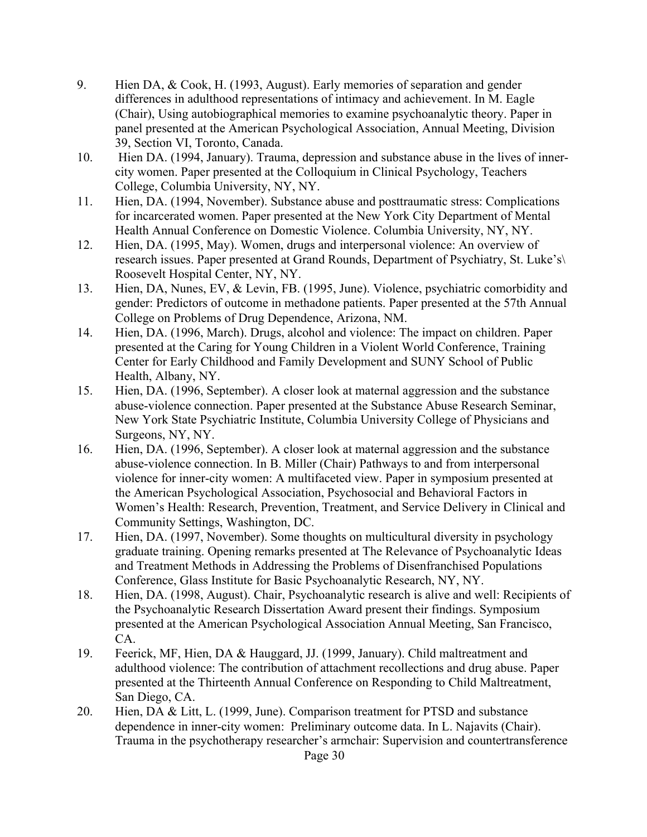- 9. Hien DA, & Cook, H. (1993, August). Early memories of separation and gender differences in adulthood representations of intimacy and achievement. In M. Eagle (Chair), Using autobiographical memories to examine psychoanalytic theory. Paper in panel presented at the American Psychological Association, Annual Meeting, Division 39, Section VI, Toronto, Canada.
- 10. Hien DA. (1994, January). Trauma, depression and substance abuse in the lives of innercity women. Paper presented at the Colloquium in Clinical Psychology, Teachers College, Columbia University, NY, NY.
- 11. Hien, DA. (1994, November). Substance abuse and posttraumatic stress: Complications for incarcerated women. Paper presented at the New York City Department of Mental Health Annual Conference on Domestic Violence. Columbia University, NY, NY.
- 12. Hien, DA. (1995, May). Women, drugs and interpersonal violence: An overview of research issues. Paper presented at Grand Rounds, Department of Psychiatry, St. Luke's\ Roosevelt Hospital Center, NY, NY.
- 13. Hien, DA, Nunes, EV, & Levin, FB. (1995, June). Violence, psychiatric comorbidity and gender: Predictors of outcome in methadone patients. Paper presented at the 57th Annual College on Problems of Drug Dependence, Arizona, NM.
- 14. Hien, DA. (1996, March). Drugs, alcohol and violence: The impact on children. Paper presented at the Caring for Young Children in a Violent World Conference, Training Center for Early Childhood and Family Development and SUNY School of Public Health, Albany, NY.
- 15. Hien, DA. (1996, September). A closer look at maternal aggression and the substance abuse-violence connection. Paper presented at the Substance Abuse Research Seminar, New York State Psychiatric Institute, Columbia University College of Physicians and Surgeons, NY, NY.
- 16. Hien, DA. (1996, September). A closer look at maternal aggression and the substance abuse-violence connection. In B. Miller (Chair) Pathways to and from interpersonal violence for inner-city women: A multifaceted view. Paper in symposium presented at the American Psychological Association, Psychosocial and Behavioral Factors in Women's Health: Research, Prevention, Treatment, and Service Delivery in Clinical and Community Settings, Washington, DC.
- 17. Hien, DA. (1997, November). Some thoughts on multicultural diversity in psychology graduate training. Opening remarks presented at The Relevance of Psychoanalytic Ideas and Treatment Methods in Addressing the Problems of Disenfranchised Populations Conference, Glass Institute for Basic Psychoanalytic Research, NY, NY.
- 18. Hien, DA. (1998, August). Chair, Psychoanalytic research is alive and well: Recipients of the Psychoanalytic Research Dissertation Award present their findings. Symposium presented at the American Psychological Association Annual Meeting, San Francisco, CA.
- 19. Feerick, MF, Hien, DA & Hauggard, JJ. (1999, January). Child maltreatment and adulthood violence: The contribution of attachment recollections and drug abuse. Paper presented at the Thirteenth Annual Conference on Responding to Child Maltreatment, San Diego, CA.
- 20. Hien, DA & Litt, L. (1999, June). Comparison treatment for PTSD and substance dependence in inner-city women: Preliminary outcome data. In L. Najavits (Chair). Trauma in the psychotherapy researcher's armchair: Supervision and countertransference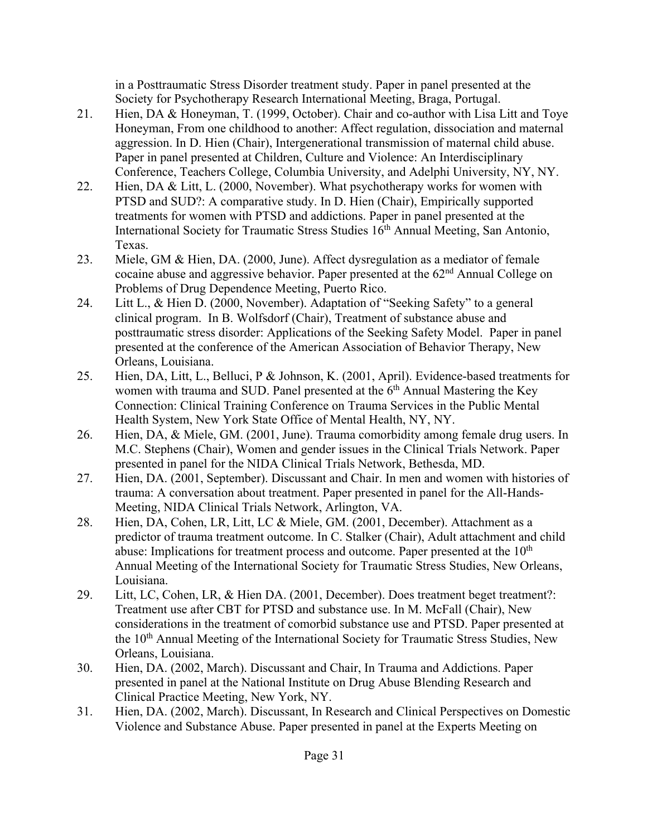in a Posttraumatic Stress Disorder treatment study. Paper in panel presented at the Society for Psychotherapy Research International Meeting, Braga, Portugal.

- 21. Hien, DA & Honeyman, T. (1999, October). Chair and co-author with Lisa Litt and Toye Honeyman, From one childhood to another: Affect regulation, dissociation and maternal aggression. In D. Hien (Chair), Intergenerational transmission of maternal child abuse. Paper in panel presented at Children, Culture and Violence: An Interdisciplinary Conference, Teachers College, Columbia University, and Adelphi University, NY, NY.
- 22. Hien, DA & Litt, L. (2000, November). What psychotherapy works for women with PTSD and SUD?: A comparative study. In D. Hien (Chair), Empirically supported treatments for women with PTSD and addictions. Paper in panel presented at the International Society for Traumatic Stress Studies 16<sup>th</sup> Annual Meeting, San Antonio, Texas.
- 23. Miele, GM & Hien, DA. (2000, June). Affect dysregulation as a mediator of female cocaine abuse and aggressive behavior. Paper presented at the 62nd Annual College on Problems of Drug Dependence Meeting, Puerto Rico.
- 24. Litt L., & Hien D. (2000, November). Adaptation of "Seeking Safety" to a general clinical program. In B. Wolfsdorf (Chair), Treatment of substance abuse and posttraumatic stress disorder: Applications of the Seeking Safety Model. Paper in panel presented at the conference of the American Association of Behavior Therapy, New Orleans, Louisiana.
- 25. Hien, DA, Litt, L., Belluci, P & Johnson, K. (2001, April). Evidence-based treatments for women with trauma and SUD. Panel presented at the 6<sup>th</sup> Annual Mastering the Key Connection: Clinical Training Conference on Trauma Services in the Public Mental Health System, New York State Office of Mental Health, NY, NY.
- 26. Hien, DA, & Miele, GM. (2001, June). Trauma comorbidity among female drug users. In M.C. Stephens (Chair), Women and gender issues in the Clinical Trials Network. Paper presented in panel for the NIDA Clinical Trials Network, Bethesda, MD.
- 27. Hien, DA. (2001, September). Discussant and Chair. In men and women with histories of trauma: A conversation about treatment. Paper presented in panel for the All-Hands-Meeting, NIDA Clinical Trials Network, Arlington, VA.
- 28. Hien, DA, Cohen, LR, Litt, LC & Miele, GM. (2001, December). Attachment as a predictor of trauma treatment outcome. In C. Stalker (Chair), Adult attachment and child abuse: Implications for treatment process and outcome. Paper presented at the  $10<sup>th</sup>$ Annual Meeting of the International Society for Traumatic Stress Studies, New Orleans, Louisiana.
- 29. Litt, LC, Cohen, LR, & Hien DA. (2001, December). Does treatment beget treatment?: Treatment use after CBT for PTSD and substance use. In M. McFall (Chair), New considerations in the treatment of comorbid substance use and PTSD. Paper presented at the 10<sup>th</sup> Annual Meeting of the International Society for Traumatic Stress Studies, New Orleans, Louisiana.
- 30. Hien, DA. (2002, March). Discussant and Chair, In Trauma and Addictions. Paper presented in panel at the National Institute on Drug Abuse Blending Research and Clinical Practice Meeting, New York, NY.
- 31. Hien, DA. (2002, March). Discussant, In Research and Clinical Perspectives on Domestic Violence and Substance Abuse. Paper presented in panel at the Experts Meeting on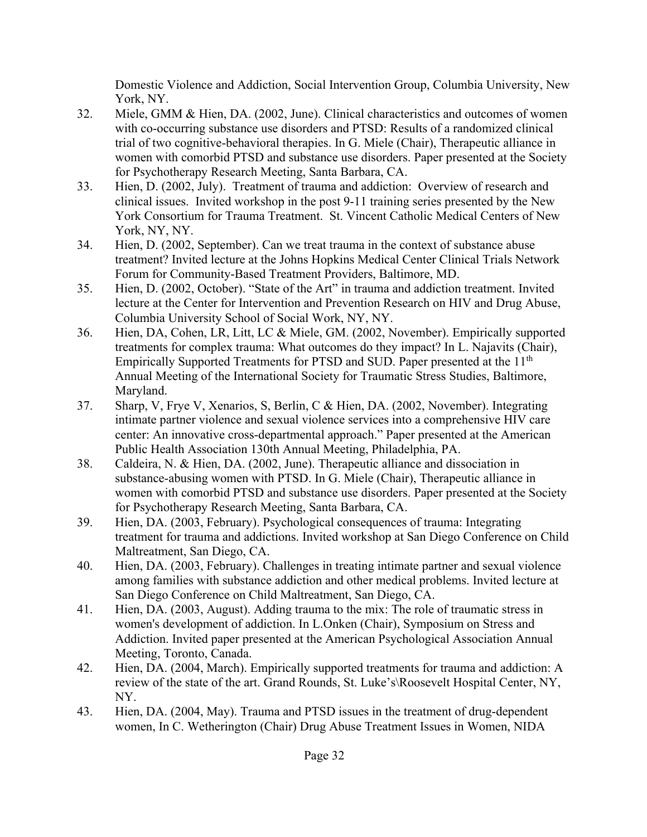Domestic Violence and Addiction, Social Intervention Group, Columbia University, New York, NY.

- 32. Miele, GMM & Hien, DA. (2002, June). Clinical characteristics and outcomes of women with co-occurring substance use disorders and PTSD: Results of a randomized clinical trial of two cognitive-behavioral therapies. In G. Miele (Chair), Therapeutic alliance in women with comorbid PTSD and substance use disorders. Paper presented at the Society for Psychotherapy Research Meeting, Santa Barbara, CA.
- 33. Hien, D. (2002, July). Treatment of trauma and addiction: Overview of research and clinical issues. Invited workshop in the post 9-11 training series presented by the New York Consortium for Trauma Treatment. St. Vincent Catholic Medical Centers of New York, NY, NY.
- 34. Hien, D. (2002, September). Can we treat trauma in the context of substance abuse treatment? Invited lecture at the Johns Hopkins Medical Center Clinical Trials Network Forum for Community-Based Treatment Providers, Baltimore, MD.
- 35. Hien, D. (2002, October). "State of the Art" in trauma and addiction treatment. Invited lecture at the Center for Intervention and Prevention Research on HIV and Drug Abuse, Columbia University School of Social Work, NY, NY.
- 36. Hien, DA, Cohen, LR, Litt, LC & Miele, GM. (2002, November). Empirically supported treatments for complex trauma: What outcomes do they impact? In L. Najavits (Chair), Empirically Supported Treatments for PTSD and SUD. Paper presented at the 11<sup>th</sup> Annual Meeting of the International Society for Traumatic Stress Studies, Baltimore, Maryland.
- 37. Sharp, V, Frye V, Xenarios, S, Berlin, C & Hien, DA. (2002, November). Integrating intimate partner violence and sexual violence services into a comprehensive HIV care center: An innovative cross-departmental approach." Paper presented at the American Public Health Association 130th Annual Meeting, Philadelphia, PA.
- 38. Caldeira, N. & Hien, DA. (2002, June). Therapeutic alliance and dissociation in substance-abusing women with PTSD. In G. Miele (Chair), Therapeutic alliance in women with comorbid PTSD and substance use disorders. Paper presented at the Society for Psychotherapy Research Meeting, Santa Barbara, CA.
- 39. Hien, DA. (2003, February). Psychological consequences of trauma: Integrating treatment for trauma and addictions. Invited workshop at San Diego Conference on Child Maltreatment, San Diego, CA.
- 40. Hien, DA. (2003, February). Challenges in treating intimate partner and sexual violence among families with substance addiction and other medical problems. Invited lecture at San Diego Conference on Child Maltreatment, San Diego, CA.
- 41. Hien, DA. (2003, August). Adding trauma to the mix: The role of traumatic stress in women's development of addiction. In L.Onken (Chair), Symposium on Stress and Addiction. Invited paper presented at the American Psychological Association Annual Meeting, Toronto, Canada.
- 42. Hien, DA. (2004, March). Empirically supported treatments for trauma and addiction: A review of the state of the art. Grand Rounds, St. Luke's\Roosevelt Hospital Center, NY, NY.
- 43. Hien, DA. (2004, May). Trauma and PTSD issues in the treatment of drug-dependent women, In C. Wetherington (Chair) Drug Abuse Treatment Issues in Women, NIDA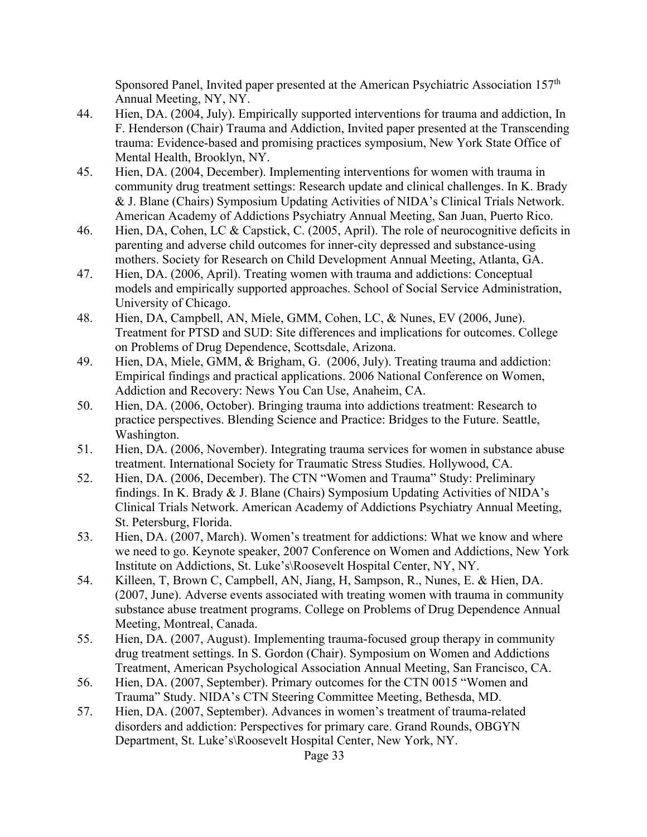Sponsored Panel, Invited paper presented at the American Psychiatric Association 157th Annual Meeting, NY, NY.

- 44. Hien, DA. (2004, July). Empirically supported interventions for trauma and addiction, In F. Henderson (Chair) Trauma and Addiction, Invited paper presented at the Transcending trauma: Evidence-based and promising practices symposium, New York State Office of Mental Health, Brooklyn, NY.
- 45. Hien, DA. (2004, December). Implementing interventions for women with trauma in community drug treatment settings: Research update and clinical challenges. In K. Brady & J. Blane (Chairs) Symposium Updating Activities of NIDA's Clinical Trials Network. American Academy of Addictions Psychiatry Annual Meeting, San Juan, Puerto Rico.
- 46. Hien, DA, Cohen, LC & Capstick, C. (2005, April). The role of neurocognitive deficits in parenting and adverse child outcomes for inner-city depressed and substance-using mothers. Society for Research on Child Development Annual Meeting, Atlanta, GA.
- 47. Hien, DA. (2006, April). Treating women with trauma and addictions: Conceptual models and empirically supported approaches. School of Social Service Administration, University of Chicago.
- 48. Hien, DA, Campbell, AN, Miele, GMM, Cohen, LC, & Nunes, EV (2006, June). Treatment for PTSD and SUD: Site differences and implications for outcomes. College on Problems of Drug Dependence, Scottsdale, Arizona.
- 49. Hien, DA, Miele, GMM, & Brigham, G. (2006, July). Treating trauma and addiction: Empirical findings and practical applications. 2006 National Conference on Women, Addiction and Recovery: News You Can Use, Anaheim, CA.
- 50. Hien, DA. (2006, October). Bringing trauma into addictions treatment: Research to practice perspectives. Blending Science and Practice: Bridges to the Future. Seattle, Washington.
- 51. Hien, DA. (2006, November). Integrating trauma services for women in substance abuse treatment. International Society for Traumatic Stress Studies. Hollywood, CA.
- 52. Hien, DA. (2006, December). The CTN "Women and Trauma" Study: Preliminary findings. In K. Brady & J. Blane (Chairs) Symposium Updating Activities of NIDA's Clinical Trials Network. American Academy of Addictions Psychiatry Annual Meeting, St. Petersburg, Florida.
- 53. Hien, DA. (2007, March). Women's treatment for addictions: What we know and where we need to go. Keynote speaker, 2007 Conference on Women and Addictions, New York Institute on Addictions, St. Luke's\Roosevelt Hospital Center, NY, NY.
- 54. Killeen, T, Brown C, Campbell, AN, Jiang, H, Sampson, R., Nunes, E. & Hien, DA. (2007, June). Adverse events associated with treating women with trauma in community substance abuse treatment programs. College on Problems of Drug Dependence Annual Meeting, Montreal, Canada.
- 55. Hien, DA. (2007, August). Implementing trauma-focused group therapy in community drug treatment settings. In S. Gordon (Chair). Symposium on Women and Addictions Treatment, American Psychological Association Annual Meeting, San Francisco, CA.
- 56. Hien, DA. (2007, September). Primary outcomes for the CTN 0015 "Women and Trauma" Study. NIDA's CTN Steering Committee Meeting, Bethesda, MD.
- 57. Hien, DA. (2007, September). Advances in women's treatment of trauma-related disorders and addiction: Perspectives for primary care. Grand Rounds, OBGYN Department, St. Luke's\Roosevelt Hospital Center, New York, NY.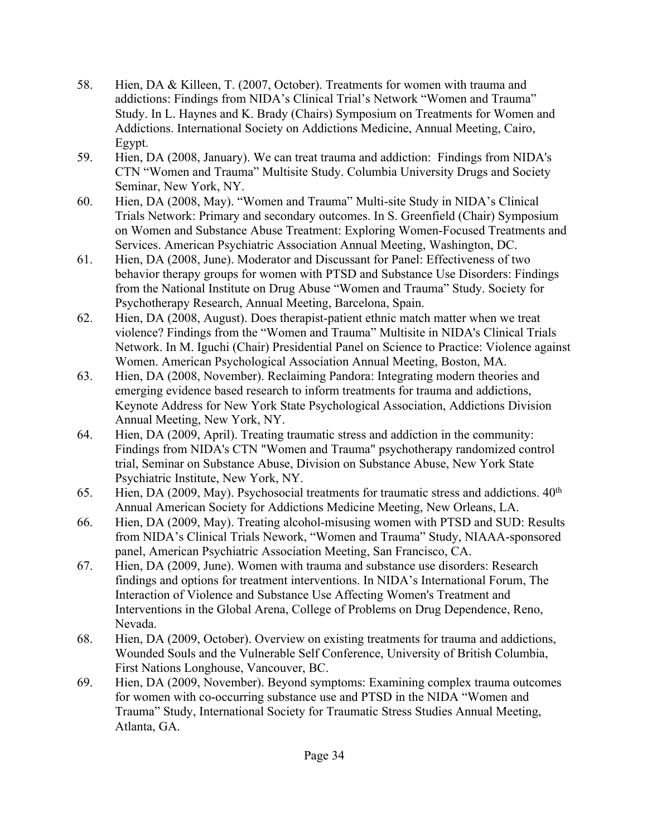- 58. Hien, DA & Killeen, T. (2007, October). Treatments for women with trauma and addictions: Findings from NIDA's Clinical Trial's Network "Women and Trauma" Study. In L. Haynes and K. Brady (Chairs) Symposium on Treatments for Women and Addictions. International Society on Addictions Medicine, Annual Meeting, Cairo, Egypt.
- 59. Hien, DA (2008, January). We can treat trauma and addiction: Findings from NIDA's CTN "Women and Trauma" Multisite Study. Columbia University Drugs and Society Seminar, New York, NY.
- 60. Hien, DA (2008, May). "Women and Trauma" Multi-site Study in NIDA's Clinical Trials Network: Primary and secondary outcomes. In S. Greenfield (Chair) Symposium on Women and Substance Abuse Treatment: Exploring Women-Focused Treatments and Services. American Psychiatric Association Annual Meeting, Washington, DC.
- 61. Hien, DA (2008, June). Moderator and Discussant for Panel: Effectiveness of two behavior therapy groups for women with PTSD and Substance Use Disorders: Findings from the National Institute on Drug Abuse "Women and Trauma" Study. Society for Psychotherapy Research, Annual Meeting, Barcelona, Spain.
- 62. Hien, DA (2008, August). Does therapist-patient ethnic match matter when we treat violence? Findings from the "Women and Trauma" Multisite in NIDA's Clinical Trials Network. In M. Iguchi (Chair) Presidential Panel on Science to Practice: Violence against Women. American Psychological Association Annual Meeting, Boston, MA.
- 63. Hien, DA (2008, November). Reclaiming Pandora: Integrating modern theories and emerging evidence based research to inform treatments for trauma and addictions, Keynote Address for New York State Psychological Association, Addictions Division Annual Meeting, New York, NY.
- 64. Hien, DA (2009, April). Treating traumatic stress and addiction in the community: Findings from NIDA's CTN "Women and Trauma" psychotherapy randomized control trial, Seminar on Substance Abuse, Division on Substance Abuse, New York State Psychiatric Institute, New York, NY.
- 65. Hien, DA (2009, May). Psychosocial treatments for traumatic stress and addictions.  $40<sup>th</sup>$ Annual American Society for Addictions Medicine Meeting, New Orleans, LA.
- 66. Hien, DA (2009, May). Treating alcohol-misusing women with PTSD and SUD: Results from NIDA's Clinical Trials Nework, "Women and Trauma" Study, NIAAA-sponsored panel, American Psychiatric Association Meeting, San Francisco, CA.
- 67. Hien, DA (2009, June). Women with trauma and substance use disorders: Research findings and options for treatment interventions. In NIDA's International Forum, The Interaction of Violence and Substance Use Affecting Women's Treatment and Interventions in the Global Arena, College of Problems on Drug Dependence, Reno, Nevada.
- 68. Hien, DA (2009, October). Overview on existing treatments for trauma and addictions, Wounded Souls and the Vulnerable Self Conference, University of British Columbia, First Nations Longhouse, Vancouver, BC.
- 69. Hien, DA (2009, November). Beyond symptoms: Examining complex trauma outcomes for women with co-occurring substance use and PTSD in the NIDA "Women and Trauma" Study, International Society for Traumatic Stress Studies Annual Meeting, Atlanta, GA.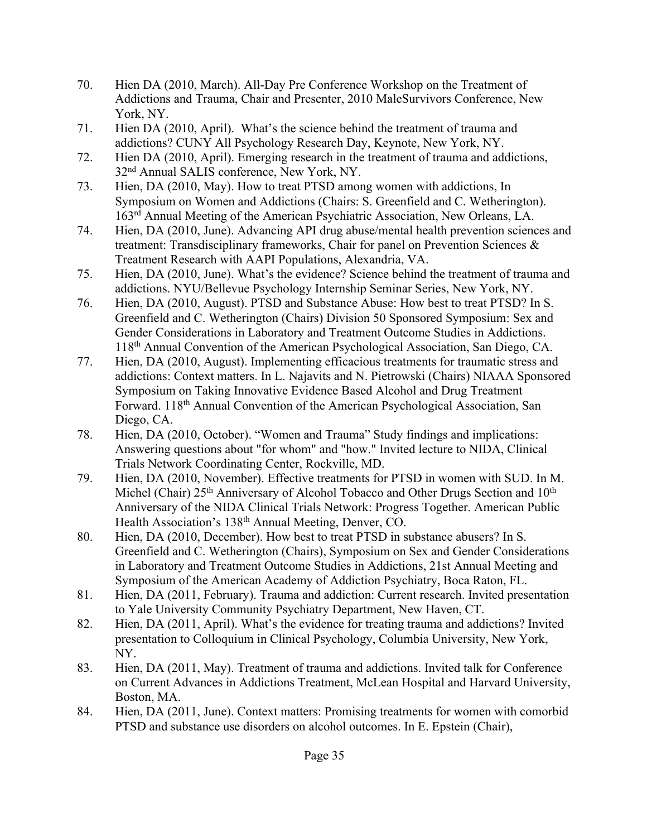- 70. Hien DA (2010, March). All-Day Pre Conference Workshop on the Treatment of Addictions and Trauma, Chair and Presenter, 2010 MaleSurvivors Conference, New York, NY.
- 71. Hien DA (2010, April). What's the science behind the treatment of trauma and addictions? CUNY All Psychology Research Day, Keynote, New York, NY.
- 72. Hien DA (2010, April). Emerging research in the treatment of trauma and addictions, 32nd Annual SALIS conference, New York, NY.
- 73. Hien, DA (2010, May). How to treat PTSD among women with addictions, In Symposium on Women and Addictions (Chairs: S. Greenfield and C. Wetherington). 163rd Annual Meeting of the American Psychiatric Association, New Orleans, LA.
- 74. Hien, DA (2010, June). Advancing API drug abuse/mental health prevention sciences and treatment: Transdisciplinary frameworks, Chair for panel on Prevention Sciences & Treatment Research with AAPI Populations, Alexandria, VA.
- 75. Hien, DA (2010, June). What's the evidence? Science behind the treatment of trauma and addictions. NYU/Bellevue Psychology Internship Seminar Series, New York, NY.
- 76. Hien, DA (2010, August). PTSD and Substance Abuse: How best to treat PTSD? In S. Greenfield and C. Wetherington (Chairs) Division 50 Sponsored Symposium: Sex and Gender Considerations in Laboratory and Treatment Outcome Studies in Addictions. 118th Annual Convention of the American Psychological Association, San Diego, CA.
- 77. Hien, DA (2010, August). Implementing efficacious treatments for traumatic stress and addictions: Context matters. In L. Najavits and N. Pietrowski (Chairs) NIAAA Sponsored Symposium on Taking Innovative Evidence Based Alcohol and Drug Treatment Forward. 118th Annual Convention of the American Psychological Association, San Diego, CA.
- 78. Hien, DA (2010, October). "Women and Trauma" Study findings and implications: Answering questions about "for whom" and "how." Invited lecture to NIDA, Clinical Trials Network Coordinating Center, Rockville, MD.
- 79. Hien, DA (2010, November). Effective treatments for PTSD in women with SUD. In M. Michel (Chair) 25<sup>th</sup> Anniversary of Alcohol Tobacco and Other Drugs Section and 10<sup>th</sup> Anniversary of the NIDA Clinical Trials Network: Progress Together. American Public Health Association's 138<sup>th</sup> Annual Meeting, Denver, CO.
- 80. Hien, DA (2010, December). How best to treat PTSD in substance abusers? In S. Greenfield and C. Wetherington (Chairs), Symposium on Sex and Gender Considerations in Laboratory and Treatment Outcome Studies in Addictions, 21st Annual Meeting and Symposium of the American Academy of Addiction Psychiatry, Boca Raton, FL.
- 81. Hien, DA (2011, February). Trauma and addiction: Current research. Invited presentation to Yale University Community Psychiatry Department, New Haven, CT.
- 82. Hien, DA (2011, April). What's the evidence for treating trauma and addictions? Invited presentation to Colloquium in Clinical Psychology, Columbia University, New York, NY.
- 83. Hien, DA (2011, May). Treatment of trauma and addictions. Invited talk for Conference on Current Advances in Addictions Treatment, McLean Hospital and Harvard University, Boston, MA.
- 84. Hien, DA (2011, June). Context matters: Promising treatments for women with comorbid PTSD and substance use disorders on alcohol outcomes. In E. Epstein (Chair),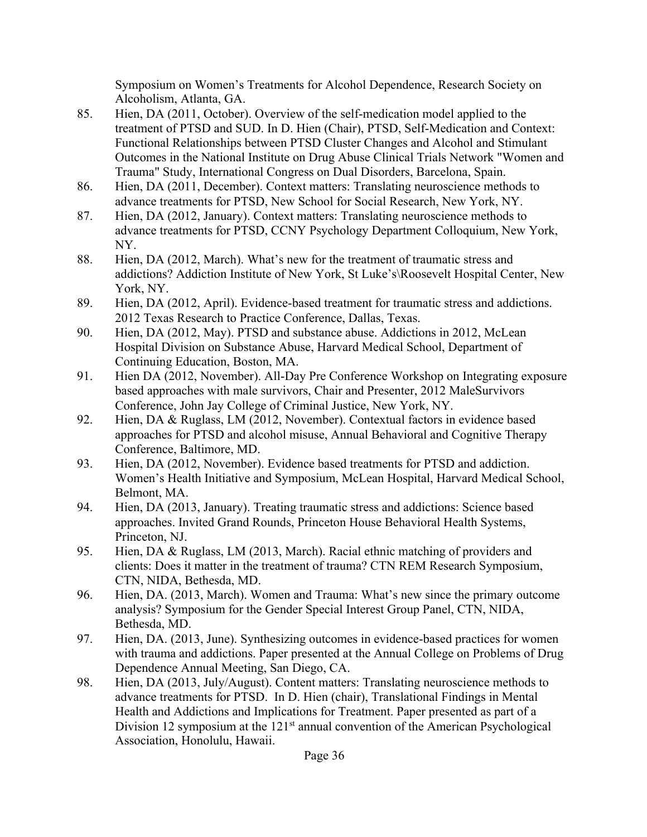Symposium on Women's Treatments for Alcohol Dependence, Research Society on Alcoholism, Atlanta, GA.

- 85. Hien, DA (2011, October). Overview of the self-medication model applied to the treatment of PTSD and SUD. In D. Hien (Chair), PTSD, Self-Medication and Context: Functional Relationships between PTSD Cluster Changes and Alcohol and Stimulant Outcomes in the National Institute on Drug Abuse Clinical Trials Network "Women and Trauma" Study, International Congress on Dual Disorders, Barcelona, Spain.
- 86. Hien, DA (2011, December). Context matters: Translating neuroscience methods to advance treatments for PTSD, New School for Social Research, New York, NY.
- 87. Hien, DA (2012, January). Context matters: Translating neuroscience methods to advance treatments for PTSD, CCNY Psychology Department Colloquium, New York, NY.
- 88. Hien, DA (2012, March). What's new for the treatment of traumatic stress and addictions? Addiction Institute of New York, St Luke's\Roosevelt Hospital Center, New York, NY.
- 89. Hien, DA (2012, April). Evidence-based treatment for traumatic stress and addictions. 2012 Texas Research to Practice Conference, Dallas, Texas.
- 90. Hien, DA (2012, May). PTSD and substance abuse. Addictions in 2012, McLean Hospital Division on Substance Abuse, Harvard Medical School, Department of Continuing Education, Boston, MA.
- 91. Hien DA (2012, November). All-Day Pre Conference Workshop on Integrating exposure based approaches with male survivors, Chair and Presenter, 2012 MaleSurvivors Conference, John Jay College of Criminal Justice, New York, NY.
- 92. Hien, DA & Ruglass, LM (2012, November). Contextual factors in evidence based approaches for PTSD and alcohol misuse, Annual Behavioral and Cognitive Therapy Conference, Baltimore, MD.
- 93. Hien, DA (2012, November). Evidence based treatments for PTSD and addiction. Women's Health Initiative and Symposium, McLean Hospital, Harvard Medical School, Belmont, MA.
- 94. Hien, DA (2013, January). Treating traumatic stress and addictions: Science based approaches. Invited Grand Rounds, Princeton House Behavioral Health Systems, Princeton, NJ.
- 95. Hien, DA & Ruglass, LM (2013, March). Racial ethnic matching of providers and clients: Does it matter in the treatment of trauma? CTN REM Research Symposium, CTN, NIDA, Bethesda, MD.
- 96. Hien, DA. (2013, March). Women and Trauma: What's new since the primary outcome analysis? Symposium for the Gender Special Interest Group Panel, CTN, NIDA, Bethesda, MD.
- 97. Hien, DA. (2013, June). Synthesizing outcomes in evidence-based practices for women with trauma and addictions. Paper presented at the Annual College on Problems of Drug Dependence Annual Meeting, San Diego, CA.
- 98. Hien, DA (2013, July/August). Content matters: Translating neuroscience methods to advance treatments for PTSD. In D. Hien (chair), Translational Findings in Mental Health and Addictions and Implications for Treatment. Paper presented as part of a Division 12 symposium at the 121<sup>st</sup> annual convention of the American Psychological Association, Honolulu, Hawaii.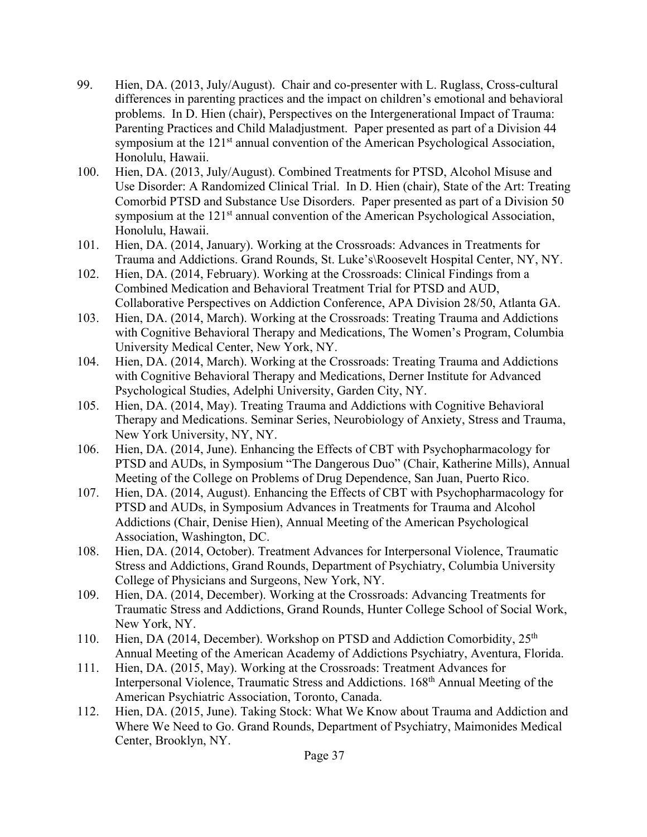- 99. Hien, DA. (2013, July/August). Chair and co-presenter with L. Ruglass, Cross-cultural differences in parenting practices and the impact on children's emotional and behavioral problems. In D. Hien (chair), Perspectives on the Intergenerational Impact of Trauma: Parenting Practices and Child Maladjustment. Paper presented as part of a Division 44 symposium at the 121<sup>st</sup> annual convention of the American Psychological Association, Honolulu, Hawaii.
- 100. Hien, DA. (2013, July/August). Combined Treatments for PTSD, Alcohol Misuse and Use Disorder: A Randomized Clinical Trial. In D. Hien (chair), State of the Art: Treating Comorbid PTSD and Substance Use Disorders. Paper presented as part of a Division 50 symposium at the 121<sup>st</sup> annual convention of the American Psychological Association, Honolulu, Hawaii.
- 101. Hien, DA. (2014, January). Working at the Crossroads: Advances in Treatments for Trauma and Addictions. Grand Rounds, St. Luke's\Roosevelt Hospital Center, NY, NY.
- 102. Hien, DA. (2014, February). Working at the Crossroads: Clinical Findings from a Combined Medication and Behavioral Treatment Trial for PTSD and AUD, Collaborative Perspectives on Addiction Conference, APA Division 28/50, Atlanta GA.
- 103. Hien, DA. (2014, March). Working at the Crossroads: Treating Trauma and Addictions with Cognitive Behavioral Therapy and Medications, The Women's Program, Columbia University Medical Center, New York, NY.
- 104. Hien, DA. (2014, March). Working at the Crossroads: Treating Trauma and Addictions with Cognitive Behavioral Therapy and Medications, Derner Institute for Advanced Psychological Studies, Adelphi University, Garden City, NY.
- 105. Hien, DA. (2014, May). Treating Trauma and Addictions with Cognitive Behavioral Therapy and Medications. Seminar Series, Neurobiology of Anxiety, Stress and Trauma, New York University, NY, NY.
- 106. Hien, DA. (2014, June). Enhancing the Effects of CBT with Psychopharmacology for PTSD and AUDs, in Symposium "The Dangerous Duo" (Chair, Katherine Mills), Annual Meeting of the College on Problems of Drug Dependence, San Juan, Puerto Rico.
- 107. Hien, DA. (2014, August). Enhancing the Effects of CBT with Psychopharmacology for PTSD and AUDs, in Symposium Advances in Treatments for Trauma and Alcohol Addictions (Chair, Denise Hien), Annual Meeting of the American Psychological Association, Washington, DC.
- 108. Hien, DA. (2014, October). Treatment Advances for Interpersonal Violence, Traumatic Stress and Addictions, Grand Rounds, Department of Psychiatry, Columbia University College of Physicians and Surgeons, New York, NY.
- 109. Hien, DA. (2014, December). Working at the Crossroads: Advancing Treatments for Traumatic Stress and Addictions, Grand Rounds, Hunter College School of Social Work, New York, NY.
- 110. Hien, DA (2014, December). Workshop on PTSD and Addiction Comorbidity,  $25<sup>th</sup>$ Annual Meeting of the American Academy of Addictions Psychiatry, Aventura, Florida.
- 111. Hien, DA. (2015, May). Working at the Crossroads: Treatment Advances for Interpersonal Violence, Traumatic Stress and Addictions. 168th Annual Meeting of the American Psychiatric Association, Toronto, Canada.
- 112. Hien, DA. (2015, June). Taking Stock: What We Know about Trauma and Addiction and Where We Need to Go. Grand Rounds, Department of Psychiatry, Maimonides Medical Center, Brooklyn, NY.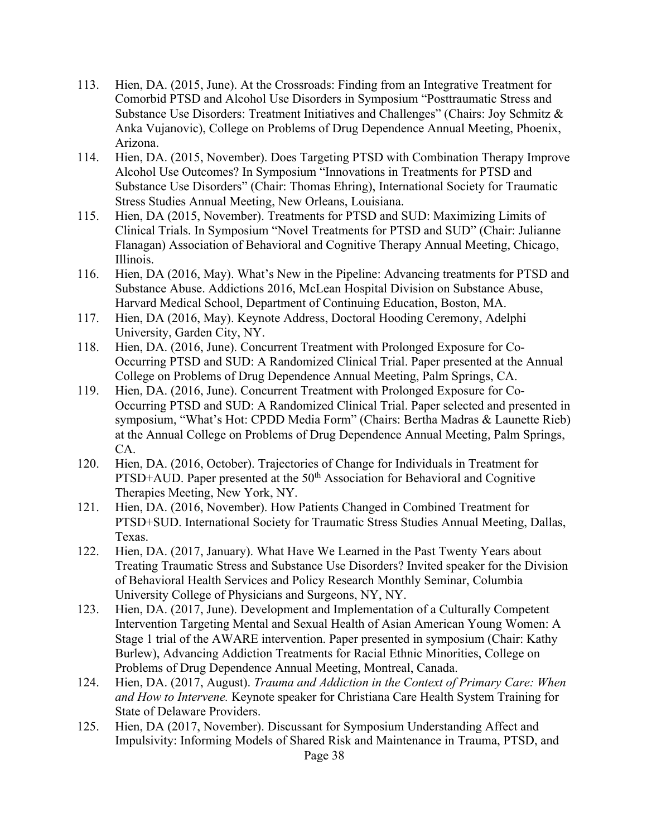- 113. Hien, DA. (2015, June). At the Crossroads: Finding from an Integrative Treatment for Comorbid PTSD and Alcohol Use Disorders in Symposium "Posttraumatic Stress and Substance Use Disorders: Treatment Initiatives and Challenges" (Chairs: Joy Schmitz & Anka Vujanovic), College on Problems of Drug Dependence Annual Meeting, Phoenix, Arizona.
- 114. Hien, DA. (2015, November). Does Targeting PTSD with Combination Therapy Improve Alcohol Use Outcomes? In Symposium "Innovations in Treatments for PTSD and Substance Use Disorders" (Chair: Thomas Ehring), International Society for Traumatic Stress Studies Annual Meeting, New Orleans, Louisiana.
- 115. Hien, DA (2015, November). Treatments for PTSD and SUD: Maximizing Limits of Clinical Trials. In Symposium "Novel Treatments for PTSD and SUD" (Chair: Julianne Flanagan) Association of Behavioral and Cognitive Therapy Annual Meeting, Chicago, Illinois.
- 116. Hien, DA (2016, May). What's New in the Pipeline: Advancing treatments for PTSD and Substance Abuse. Addictions 2016, McLean Hospital Division on Substance Abuse, Harvard Medical School, Department of Continuing Education, Boston, MA.
- 117. Hien, DA (2016, May). Keynote Address, Doctoral Hooding Ceremony, Adelphi University, Garden City, NY.
- 118. Hien, DA. (2016, June). Concurrent Treatment with Prolonged Exposure for Co-Occurring PTSD and SUD: A Randomized Clinical Trial. Paper presented at the Annual College on Problems of Drug Dependence Annual Meeting, Palm Springs, CA.
- 119. Hien, DA. (2016, June). Concurrent Treatment with Prolonged Exposure for Co-Occurring PTSD and SUD: A Randomized Clinical Trial. Paper selected and presented in symposium, "What's Hot: CPDD Media Form" (Chairs: Bertha Madras & Launette Rieb) at the Annual College on Problems of Drug Dependence Annual Meeting, Palm Springs, CA.
- 120. Hien, DA. (2016, October). Trajectories of Change for Individuals in Treatment for PTSD+AUD. Paper presented at the 50<sup>th</sup> Association for Behavioral and Cognitive Therapies Meeting, New York, NY.
- 121. Hien, DA. (2016, November). How Patients Changed in Combined Treatment for PTSD+SUD. International Society for Traumatic Stress Studies Annual Meeting, Dallas, Texas.
- 122. Hien, DA. (2017, January). What Have We Learned in the Past Twenty Years about Treating Traumatic Stress and Substance Use Disorders? Invited speaker for the Division of Behavioral Health Services and Policy Research Monthly Seminar, Columbia University College of Physicians and Surgeons, NY, NY.
- 123. Hien, DA. (2017, June). Development and Implementation of a Culturally Competent Intervention Targeting Mental and Sexual Health of Asian American Young Women: A Stage 1 trial of the AWARE intervention. Paper presented in symposium (Chair: Kathy Burlew), Advancing Addiction Treatments for Racial Ethnic Minorities, College on Problems of Drug Dependence Annual Meeting, Montreal, Canada.
- 124. Hien, DA. (2017, August). *Trauma and Addiction in the Context of Primary Care: When and How to Intervene.* Keynote speaker for Christiana Care Health System Training for State of Delaware Providers.
- 125. Hien, DA (2017, November). Discussant for Symposium Understanding Affect and Impulsivity: Informing Models of Shared Risk and Maintenance in Trauma, PTSD, and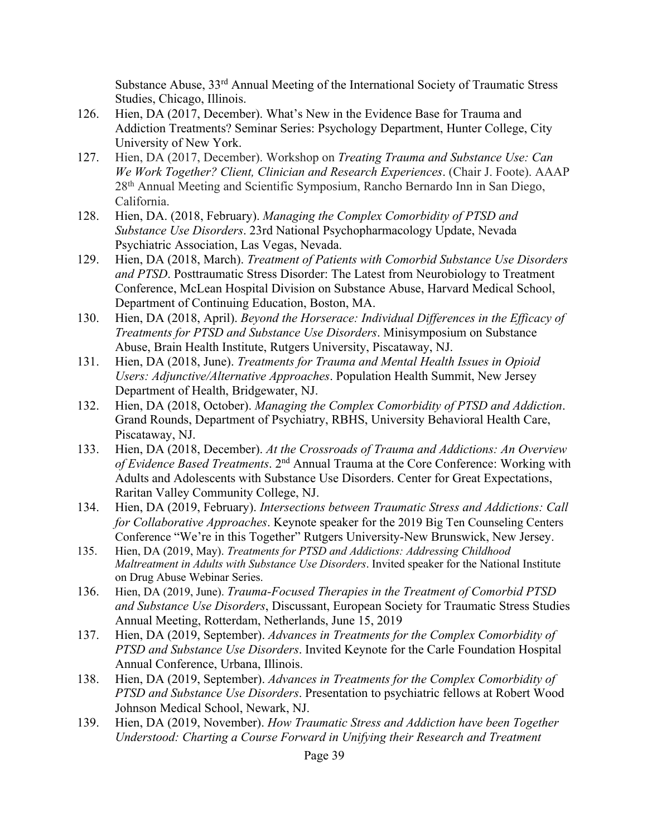Substance Abuse, 33rd Annual Meeting of the International Society of Traumatic Stress Studies, Chicago, Illinois.

- 126. Hien, DA (2017, December). What's New in the Evidence Base for Trauma and Addiction Treatments? Seminar Series: Psychology Department, Hunter College, City University of New York.
- 127. Hien, DA (2017, December). Workshop on *Treating Trauma and Substance Use: Can We Work Together? Client, Clinician and Research Experiences*. (Chair J. Foote). AAAP 28th Annual Meeting and Scientific Symposium, Rancho Bernardo Inn in San Diego, California.
- 128. Hien, DA. (2018, February). *Managing the Complex Comorbidity of PTSD and Substance Use Disorders*. 23rd National Psychopharmacology Update, Nevada Psychiatric Association, Las Vegas, Nevada.
- 129. Hien, DA (2018, March). *Treatment of Patients with Comorbid Substance Use Disorders and PTSD*. Posttraumatic Stress Disorder: The Latest from Neurobiology to Treatment Conference, McLean Hospital Division on Substance Abuse, Harvard Medical School, Department of Continuing Education, Boston, MA.
- 130. Hien, DA (2018, April). *Beyond the Horserace: Individual Differences in the Efficacy of Treatments for PTSD and Substance Use Disorders*. Minisymposium on Substance Abuse, Brain Health Institute, Rutgers University, Piscataway, NJ.
- 131. Hien, DA (2018, June). *Treatments for Trauma and Mental Health Issues in Opioid Users: Adjunctive/Alternative Approaches*. Population Health Summit, New Jersey Department of Health, Bridgewater, NJ.
- 132. Hien, DA (2018, October). *Managing the Complex Comorbidity of PTSD and Addiction*. Grand Rounds, Department of Psychiatry, RBHS, University Behavioral Health Care, Piscataway, NJ.
- 133. Hien, DA (2018, December). *At the Crossroads of Trauma and Addictions: An Overview of Evidence Based Treatments*. 2nd Annual Trauma at the Core Conference: Working with Adults and Adolescents with Substance Use Disorders. Center for Great Expectations, Raritan Valley Community College, NJ.
- 134. Hien, DA (2019, February). *Intersections between Traumatic Stress and Addictions: Call for Collaborative Approaches*. Keynote speaker for the 2019 Big Ten Counseling Centers Conference "We're in this Together" Rutgers University-New Brunswick, New Jersey.
- 135. Hien, DA (2019, May). *Treatments for PTSD and Addictions: Addressing Childhood Maltreatment in Adults with Substance Use Disorders*. Invited speaker for the National Institute on Drug Abuse Webinar Series.
- 136. Hien, DA (2019, June). *Trauma-Focused Therapies in the Treatment of Comorbid PTSD and Substance Use Disorders*, Discussant, European Society for Traumatic Stress Studies Annual Meeting, Rotterdam, Netherlands, June 15, 2019
- 137. Hien, DA (2019, September). *Advances in Treatments for the Complex Comorbidity of PTSD and Substance Use Disorders*. Invited Keynote for the Carle Foundation Hospital Annual Conference, Urbana, Illinois.
- 138. Hien, DA (2019, September). *Advances in Treatments for the Complex Comorbidity of PTSD and Substance Use Disorders*. Presentation to psychiatric fellows at Robert Wood Johnson Medical School, Newark, NJ.
- 139. Hien, DA (2019, November). *How Traumatic Stress and Addiction have been Together Understood: Charting a Course Forward in Unifying their Research and Treatment*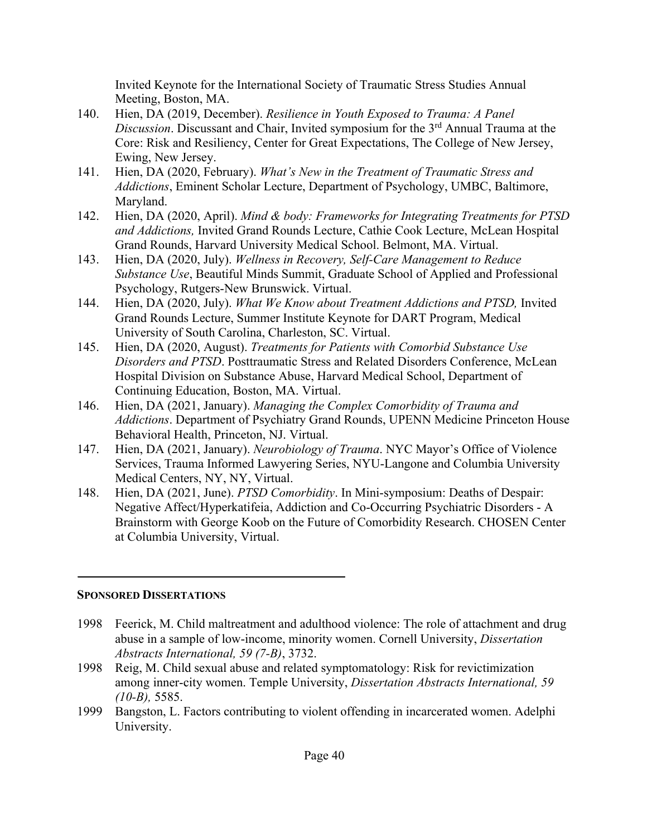Invited Keynote for the International Society of Traumatic Stress Studies Annual Meeting, Boston, MA.

- 140. Hien, DA (2019, December). *Resilience in Youth Exposed to Trauma: A Panel Discussion*. Discussant and Chair, Invited symposium for the 3rd Annual Trauma at the Core: Risk and Resiliency, Center for Great Expectations, The College of New Jersey, Ewing, New Jersey.
- 141. Hien, DA (2020, February). *What's New in the Treatment of Traumatic Stress and Addictions*, Eminent Scholar Lecture, Department of Psychology, UMBC, Baltimore, Maryland.
- 142. Hien, DA (2020, April). *Mind & body: Frameworks for Integrating Treatments for PTSD and Addictions,* Invited Grand Rounds Lecture, Cathie Cook Lecture, McLean Hospital Grand Rounds, Harvard University Medical School. Belmont, MA. Virtual.
- 143. Hien, DA (2020, July). *Wellness in Recovery, Self-Care Management to Reduce Substance Use*, Beautiful Minds Summit, Graduate School of Applied and Professional Psychology, Rutgers-New Brunswick. Virtual.
- 144. Hien, DA (2020, July). *What We Know about Treatment Addictions and PTSD,* Invited Grand Rounds Lecture, Summer Institute Keynote for DART Program, Medical University of South Carolina, Charleston, SC. Virtual.
- 145. Hien, DA (2020, August). *Treatments for Patients with Comorbid Substance Use Disorders and PTSD*. Posttraumatic Stress and Related Disorders Conference, McLean Hospital Division on Substance Abuse, Harvard Medical School, Department of Continuing Education, Boston, MA. Virtual.
- 146. Hien, DA (2021, January). *Managing the Complex Comorbidity of Trauma and Addictions*. Department of Psychiatry Grand Rounds, UPENN Medicine Princeton House Behavioral Health, Princeton, NJ. Virtual.
- 147. Hien, DA (2021, January). *Neurobiology of Trauma*. NYC Mayor's Office of Violence Services, Trauma Informed Lawyering Series, NYU-Langone and Columbia University Medical Centers, NY, NY, Virtual.
- 148. Hien, DA (2021, June). *PTSD Comorbidity*. In Mini-symposium: Deaths of Despair: Negative Affect/Hyperkatifeia, Addiction and Co-Occurring Psychiatric Disorders - A Brainstorm with George Koob on the Future of Comorbidity Research. CHOSEN Center at Columbia University, Virtual.

#### **SPONSORED DISSERTATIONS**

- 1998 Feerick, M. Child maltreatment and adulthood violence: The role of attachment and drug abuse in a sample of low-income, minority women. Cornell University, *Dissertation Abstracts International, 59 (7-B)*, 3732.
- 1998 Reig, M. Child sexual abuse and related symptomatology: Risk for revictimization among inner-city women. Temple University, *Dissertation Abstracts International, 59 (10-B),* 5585.
- 1999 Bangston, L. Factors contributing to violent offending in incarcerated women. Adelphi University.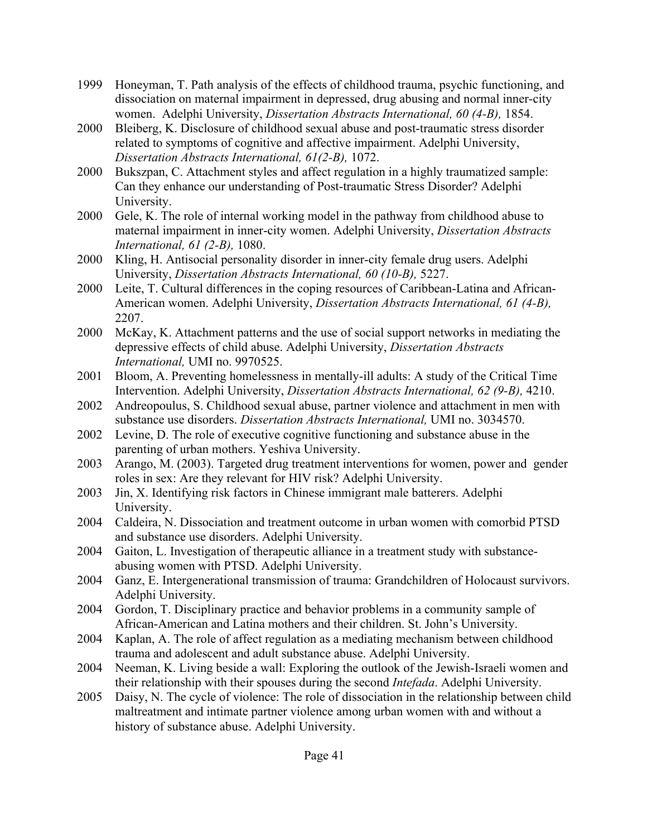- 1999 Honeyman, T. Path analysis of the effects of childhood trauma, psychic functioning, and dissociation on maternal impairment in depressed, drug abusing and normal inner-city women. Adelphi University, *Dissertation Abstracts International, 60 (4-B),* 1854.
- 2000 Bleiberg, K. Disclosure of childhood sexual abuse and post-traumatic stress disorder related to symptoms of cognitive and affective impairment. Adelphi University, *Dissertation Abstracts International, 61(2-B),* 1072.
- 2000 Bukszpan, C. Attachment styles and affect regulation in a highly traumatized sample: Can they enhance our understanding of Post-traumatic Stress Disorder? Adelphi University.
- 2000 Gele, K. The role of internal working model in the pathway from childhood abuse to maternal impairment in inner-city women. Adelphi University, *Dissertation Abstracts International, 61 (2-B),* 1080.
- 2000 Kling, H. Antisocial personality disorder in inner-city female drug users. Adelphi University, *Dissertation Abstracts International, 60 (10-B),* 5227.
- 2000 Leite, T. Cultural differences in the coping resources of Caribbean-Latina and African-American women. Adelphi University, *Dissertation Abstracts International, 61 (4-B),* 2207.
- 2000 McKay, K. Attachment patterns and the use of social support networks in mediating the depressive effects of child abuse. Adelphi University, *Dissertation Abstracts International,* UMI no. 9970525.
- 2001 Bloom, A. Preventing homelessness in mentally-ill adults: A study of the Critical Time Intervention. Adelphi University, *Dissertation Abstracts International, 62 (9-B),* 4210.
- 2002 Andreopoulus, S. Childhood sexual abuse, partner violence and attachment in men with substance use disorders. *Dissertation Abstracts International,* UMI no. 3034570.
- 2002 Levine, D. The role of executive cognitive functioning and substance abuse in the parenting of urban mothers. Yeshiva University.
- 2003 Arango, M. (2003). Targeted drug treatment interventions for women, power and gender roles in sex: Are they relevant for HIV risk? Adelphi University.
- 2003 Jin, X. Identifying risk factors in Chinese immigrant male batterers. Adelphi University.
- 2004 Caldeira, N. Dissociation and treatment outcome in urban women with comorbid PTSD and substance use disorders. Adelphi University.
- 2004 Gaiton, L. Investigation of therapeutic alliance in a treatment study with substanceabusing women with PTSD. Adelphi University.
- 2004 Ganz, E. Intergenerational transmission of trauma: Grandchildren of Holocaust survivors. Adelphi University.
- 2004 Gordon, T. Disciplinary practice and behavior problems in a community sample of African-American and Latina mothers and their children. St. John's University.
- 2004 Kaplan, A. The role of affect regulation as a mediating mechanism between childhood trauma and adolescent and adult substance abuse. Adelphi University.
- 2004 Neeman, K. Living beside a wall: Exploring the outlook of the Jewish-Israeli women and their relationship with their spouses during the second *Intefada*. Adelphi University.
- 2005 Daisy, N. The cycle of violence: The role of dissociation in the relationship between child maltreatment and intimate partner violence among urban women with and without a history of substance abuse. Adelphi University.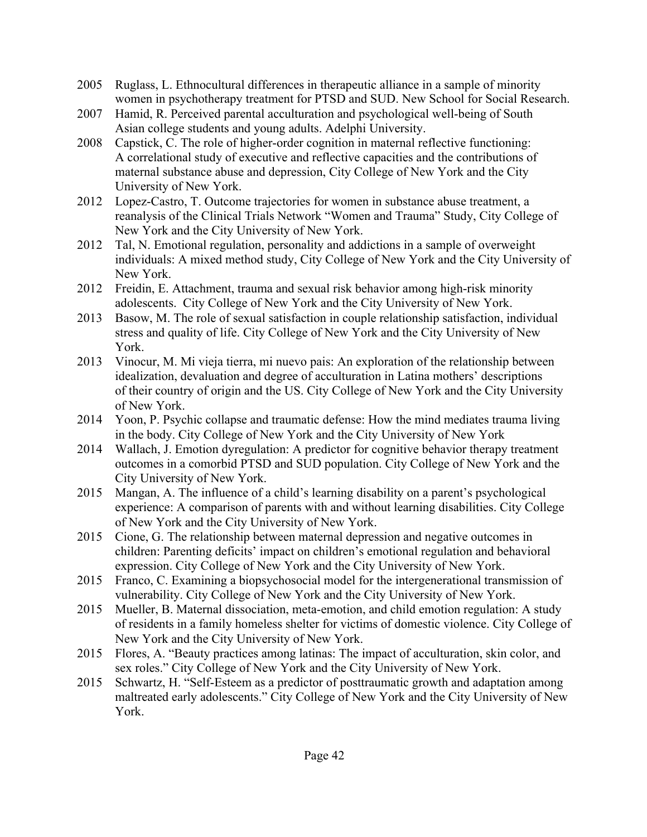- 2005 Ruglass, L. Ethnocultural differences in therapeutic alliance in a sample of minority women in psychotherapy treatment for PTSD and SUD. New School for Social Research.
- 2007 Hamid, R. Perceived parental acculturation and psychological well-being of South Asian college students and young adults. Adelphi University.
- 2008 Capstick, C. The role of higher-order cognition in maternal reflective functioning: A correlational study of executive and reflective capacities and the contributions of maternal substance abuse and depression, City College of New York and the City University of New York.
- 2012 Lopez-Castro, T. Outcome trajectories for women in substance abuse treatment, a reanalysis of the Clinical Trials Network "Women and Trauma" Study, City College of New York and the City University of New York.
- 2012 Tal, N. Emotional regulation, personality and addictions in a sample of overweight individuals: A mixed method study, City College of New York and the City University of New York.
- 2012 Freidin, E. Attachment, trauma and sexual risk behavior among high-risk minority adolescents. City College of New York and the City University of New York.
- 2013 Basow, M. The role of sexual satisfaction in couple relationship satisfaction, individual stress and quality of life. City College of New York and the City University of New York.
- 2013 Vinocur, M. Mi vieja tierra, mi nuevo pais: An exploration of the relationship between idealization, devaluation and degree of acculturation in Latina mothers' descriptions of their country of origin and the US. City College of New York and the City University of New York.
- 2014 Yoon, P. Psychic collapse and traumatic defense: How the mind mediates trauma living in the body. City College of New York and the City University of New York
- 2014 Wallach, J. Emotion dyregulation: A predictor for cognitive behavior therapy treatment outcomes in a comorbid PTSD and SUD population. City College of New York and the City University of New York.
- 2015 Mangan, A. The influence of a child's learning disability on a parent's psychological experience: A comparison of parents with and without learning disabilities. City College of New York and the City University of New York.
- 2015 Cione, G. The relationship between maternal depression and negative outcomes in children: Parenting deficits' impact on children's emotional regulation and behavioral expression. City College of New York and the City University of New York.
- 2015 Franco, C. Examining a biopsychosocial model for the intergenerational transmission of vulnerability. City College of New York and the City University of New York.
- 2015 Mueller, B. Maternal dissociation, meta-emotion, and child emotion regulation: A study of residents in a family homeless shelter for victims of domestic violence. City College of New York and the City University of New York.
- 2015 Flores, A. "Beauty practices among latinas: The impact of acculturation, skin color, and sex roles." City College of New York and the City University of New York.
- 2015 Schwartz, H. "Self-Esteem as a predictor of posttraumatic growth and adaptation among maltreated early adolescents." City College of New York and the City University of New York.